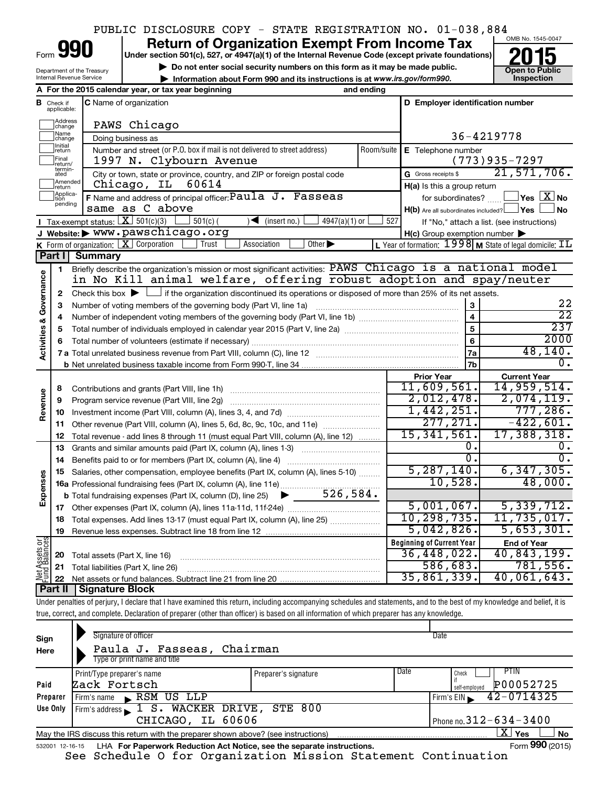|                                                                                                                                               |                            |                                                                   | PUBLIC DISCLOSURE COPY - STATE REGISTRATION NO. 01-038,884                                                                                                                 |            |                                                     |                                                                               |  |  |  |  |  |
|-----------------------------------------------------------------------------------------------------------------------------------------------|----------------------------|-------------------------------------------------------------------|----------------------------------------------------------------------------------------------------------------------------------------------------------------------------|------------|-----------------------------------------------------|-------------------------------------------------------------------------------|--|--|--|--|--|
|                                                                                                                                               |                            |                                                                   | <b>Return of Organization Exempt From Income Tax</b>                                                                                                                       |            |                                                     | OMB No. 1545-0047                                                             |  |  |  |  |  |
| Form<br>Under section 501(c), 527, or 4947(a)(1) of the Internal Revenue Code (except private foundations)                                    |                            |                                                                   |                                                                                                                                                                            |            |                                                     |                                                                               |  |  |  |  |  |
| Do not enter social security numbers on this form as it may be made public.<br>Department of the Treasury                                     |                            |                                                                   |                                                                                                                                                                            |            |                                                     |                                                                               |  |  |  |  |  |
| <b>Open to Public</b><br>Inspection<br>Internal Revenue Service<br>Information about Form 990 and its instructions is at www.irs.gov/form990. |                            |                                                                   |                                                                                                                                                                            |            |                                                     |                                                                               |  |  |  |  |  |
| A For the 2015 calendar year, or tax year beginning<br>and ending                                                                             |                            |                                                                   |                                                                                                                                                                            |            |                                                     |                                                                               |  |  |  |  |  |
| в                                                                                                                                             | Check if<br>applicable:    |                                                                   | C Name of organization                                                                                                                                                     |            | D Employer identification number                    |                                                                               |  |  |  |  |  |
|                                                                                                                                               |                            |                                                                   |                                                                                                                                                                            |            |                                                     |                                                                               |  |  |  |  |  |
|                                                                                                                                               | Address<br>change<br>Name  |                                                                   | PAWS Chicago                                                                                                                                                               |            |                                                     |                                                                               |  |  |  |  |  |
|                                                                                                                                               | change<br>Initial          |                                                                   | Doing business as                                                                                                                                                          |            |                                                     | 36-4219778                                                                    |  |  |  |  |  |
|                                                                                                                                               | ∣return<br>Final           |                                                                   | Number and street (or P.O. box if mail is not delivered to street address)<br>1997 N. Clybourn Avenue                                                                      | Room/suite | E Telephone number                                  | $(773)935 - 7297$                                                             |  |  |  |  |  |
|                                                                                                                                               | return/<br>termin-         |                                                                   |                                                                                                                                                                            |            |                                                     | 21,571,706.                                                                   |  |  |  |  |  |
|                                                                                                                                               | ated<br>Amended            |                                                                   | City or town, state or province, country, and ZIP or foreign postal code<br>Chicago, IL<br>60614                                                                           |            | G Gross receipts \$                                 |                                                                               |  |  |  |  |  |
|                                                                                                                                               | return<br>Applica-<br>tion |                                                                   | F Name and address of principal officer: Paula J. Fasseas                                                                                                                  |            | H(a) Is this a group return<br>for subordinates?    | $\Box$ Yes $[\overline{\mathrm{X}}]$ No                                       |  |  |  |  |  |
|                                                                                                                                               | pending                    |                                                                   | same as C above                                                                                                                                                            |            | $H(b)$ Are all subordinates included? $\Box$ Yes    | ⊥No                                                                           |  |  |  |  |  |
|                                                                                                                                               |                            | Tax-exempt status: $X \overline{3}$ 501(c)(3)                     | $501(c)$ (<br>$\sqrt{\bullet}$ (insert no.)<br>$4947(a)(1)$ or                                                                                                             | 527        |                                                     | If "No," attach a list. (see instructions)                                    |  |  |  |  |  |
|                                                                                                                                               |                            |                                                                   | J Website: > WWW.pawschicago.org                                                                                                                                           |            | $H(c)$ Group exemption number $\blacktriangleright$ |                                                                               |  |  |  |  |  |
|                                                                                                                                               |                            |                                                                   | K Form of organization: $X$ Corporation<br>Trust<br>Association<br>Other $\blacktriangleright$                                                                             |            |                                                     | L Year of formation: $1998$ M State of legal domicile: $\overline{\text{1L}}$ |  |  |  |  |  |
|                                                                                                                                               | Part I                     | <b>Summary</b>                                                    |                                                                                                                                                                            |            |                                                     |                                                                               |  |  |  |  |  |
|                                                                                                                                               | 1                          |                                                                   | Briefly describe the organization's mission or most significant activities: PAWS Chicago is a national model                                                               |            |                                                     |                                                                               |  |  |  |  |  |
|                                                                                                                                               |                            |                                                                   | in No Kill animal welfare, offering robust adoption and spay/neuter                                                                                                        |            |                                                     |                                                                               |  |  |  |  |  |
| Governance                                                                                                                                    | 2                          |                                                                   | Check this box $\blacktriangleright$ $\Box$ if the organization discontinued its operations or disposed of more than 25% of its net assets.                                |            |                                                     |                                                                               |  |  |  |  |  |
|                                                                                                                                               | з                          | Number of voting members of the governing body (Part VI, line 1a) | 22<br>$\overline{22}$                                                                                                                                                      |            |                                                     |                                                                               |  |  |  |  |  |
|                                                                                                                                               | 4                          |                                                                   | $\overline{\mathbf{4}}$                                                                                                                                                    |            |                                                     |                                                                               |  |  |  |  |  |
|                                                                                                                                               | 5                          |                                                                   | $\overline{5}$                                                                                                                                                             |            |                                                     |                                                                               |  |  |  |  |  |
|                                                                                                                                               |                            |                                                                   |                                                                                                                                                                            |            | 6                                                   | 2000                                                                          |  |  |  |  |  |
| <b>Activities &amp;</b>                                                                                                                       |                            |                                                                   |                                                                                                                                                                            |            | 7a                                                  | 48, 140.                                                                      |  |  |  |  |  |
|                                                                                                                                               |                            |                                                                   |                                                                                                                                                                            |            | 7b                                                  | 0.                                                                            |  |  |  |  |  |
|                                                                                                                                               |                            |                                                                   |                                                                                                                                                                            |            | <b>Prior Year</b>                                   | <b>Current Year</b>                                                           |  |  |  |  |  |
|                                                                                                                                               | 8                          |                                                                   |                                                                                                                                                                            |            | 11,609,561.                                         | 14,959,514.                                                                   |  |  |  |  |  |
| Revenue                                                                                                                                       | 9                          |                                                                   | Program service revenue (Part VIII, line 2g)                                                                                                                               |            | 2,012,478.                                          | 2,074,119.                                                                    |  |  |  |  |  |
|                                                                                                                                               | 10                         |                                                                   |                                                                                                                                                                            |            | 1,442,251.                                          | 777,286.                                                                      |  |  |  |  |  |
|                                                                                                                                               | 11                         |                                                                   | Other revenue (Part VIII, column (A), lines 5, 6d, 8c, 9c, 10c, and 11e) <i>mummum</i>                                                                                     |            | 277,271.<br>15, 341, 561.                           | $-422,601.$<br>17,388,318.                                                    |  |  |  |  |  |
|                                                                                                                                               | 12                         |                                                                   | Total revenue - add lines 8 through 11 (must equal Part VIII, column (A), line 12)                                                                                         |            | о.                                                  | 0.                                                                            |  |  |  |  |  |
|                                                                                                                                               | 13                         |                                                                   | Grants and similar amounts paid (Part IX, column (A), lines 1-3) <i></i>                                                                                                   |            | σ.                                                  | 0.                                                                            |  |  |  |  |  |
|                                                                                                                                               | 14                         |                                                                   |                                                                                                                                                                            |            | 5, 287, 140.                                        | 6, 347, 305.                                                                  |  |  |  |  |  |
|                                                                                                                                               | 15                         |                                                                   | Salaries, other compensation, employee benefits (Part IX, column (A), lines 5-10)                                                                                          |            | 10,528.                                             | 48,000.                                                                       |  |  |  |  |  |
| Expenses                                                                                                                                      |                            |                                                                   |                                                                                                                                                                            |            |                                                     |                                                                               |  |  |  |  |  |
|                                                                                                                                               |                            |                                                                   |                                                                                                                                                                            |            | 5,001,067.                                          | 5,339,712.                                                                    |  |  |  |  |  |
|                                                                                                                                               | 18                         |                                                                   | Total expenses. Add lines 13-17 (must equal Part IX, column (A), line 25)                                                                                                  |            | 10,298,735.                                         | 11,735,017.                                                                   |  |  |  |  |  |
|                                                                                                                                               | 19                         |                                                                   |                                                                                                                                                                            |            | 5,042,826.                                          | 5,653,301.                                                                    |  |  |  |  |  |
|                                                                                                                                               |                            |                                                                   |                                                                                                                                                                            |            | <b>Beginning of Current Year</b>                    | <b>End of Year</b>                                                            |  |  |  |  |  |
|                                                                                                                                               | 20                         | Total assets (Part X, line 16)                                    |                                                                                                                                                                            |            | 36,448,022.                                         | 40,843,199.                                                                   |  |  |  |  |  |
| Net Assets or                                                                                                                                 | 21                         |                                                                   | Total liabilities (Part X, line 26)                                                                                                                                        |            | 586,683.                                            | 781,556.                                                                      |  |  |  |  |  |
|                                                                                                                                               | 22                         |                                                                   |                                                                                                                                                                            |            | 35,861,339.                                         | 40,061,643.                                                                   |  |  |  |  |  |
|                                                                                                                                               | Part II                    | <b>Signature Block</b>                                            |                                                                                                                                                                            |            |                                                     |                                                                               |  |  |  |  |  |
|                                                                                                                                               |                            |                                                                   | Under penalties of perjury, I declare that I have examined this return, including accompanying schedules and statements, and to the best of my knowledge and belief, it is |            |                                                     |                                                                               |  |  |  |  |  |
|                                                                                                                                               |                            |                                                                   | true, correct, and complete. Declaration of preparer (other than officer) is based on all information of which preparer has any knowledge.                                 |            |                                                     |                                                                               |  |  |  |  |  |

| Sign<br>Here    | Signature of officer<br>Paula J. Fasseas, Chairman<br>Type or print name and title |                      |      | Date                                        |
|-----------------|------------------------------------------------------------------------------------|----------------------|------|---------------------------------------------|
| Paid            | Print/Type preparer's name<br>Zack Fortsch                                         | Preparer's signature | Date | PTIN<br>Check<br>P00052725<br>self-emploved |
| Preparer        | RSM US LLP<br>Firm's name                                                          |                      |      | $42 - 0714325$<br>Firm's $EIN$              |
| Use Only        | Firm's address $\Box$ <b>S.</b> WACKER DRIVE,<br>CHICAGO, IL 60606                 | <b>STE 800</b>       |      | Phone no. $312 - 634 - 3400$                |
|                 | May the IRS discuss this return with the preparer shown above? (see instructions)  |                      |      | X.<br>Yes<br><b>No</b>                      |
| 532001 12-16-15 | LHA For Paperwork Reduction Act Notice, see the separate instructions.             |                      |      | Form 990 (2015)                             |

⊤.

See Schedule O for Organization Mission Statement Continuation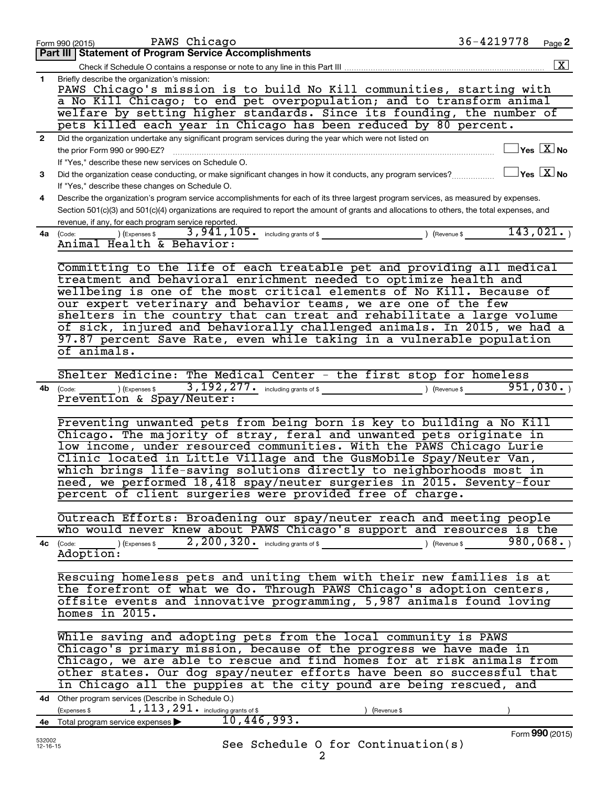|              | PAWS Chicago<br>Form 990 (2015)                                                                                                              | 36-4219778 | Page 2                                  |
|--------------|----------------------------------------------------------------------------------------------------------------------------------------------|------------|-----------------------------------------|
|              | Part III   Statement of Program Service Accomplishments                                                                                      |            |                                         |
|              |                                                                                                                                              |            | $\boxed{\textbf{X}}$                    |
| $\mathbf{1}$ | Briefly describe the organization's mission:                                                                                                 |            |                                         |
|              | PAWS Chicago's mission is to build No Kill communities, starting with                                                                        |            |                                         |
|              | a No Kill Chicago; to end pet overpopulation; and to transform animal                                                                        |            |                                         |
|              | welfare by setting higher standards. Since its founding, the number of<br>pets killed each year in Chicago has been reduced by 80 percent.   |            |                                         |
|              |                                                                                                                                              |            |                                         |
| $\mathbf{2}$ | Did the organization undertake any significant program services during the year which were not listed on                                     |            | $\Box$ Yes $[\overline{\mathrm{X}}]$ No |
|              | the prior Form 990 or 990-EZ?<br>If "Yes," describe these new services on Schedule O.                                                        |            |                                         |
| 3            | Did the organization cease conducting, or make significant changes in how it conducts, any program services?                                 |            | $\Box$ Yes $\Box X$ No                  |
|              | If "Yes," describe these changes on Schedule O.                                                                                              |            |                                         |
| 4            | Describe the organization's program service accomplishments for each of its three largest program services, as measured by expenses.         |            |                                         |
|              | Section 501(c)(3) and 501(c)(4) organizations are required to report the amount of grants and allocations to others, the total expenses, and |            |                                         |
|              | revenue, if any, for each program service reported.                                                                                          |            |                                         |
| 4a           | $3,941,105$ $\cdot$ including grants of \$<br>(Expenses \$<br>(Code:<br>(Revenue \$                                                          |            | 143,021.                                |
|              | $\frac{\text{(Code:}\_ \_ \_ \text{[Expenses$}}{\text{Animal Health & Behavior:}}$                                                           |            |                                         |
|              |                                                                                                                                              |            |                                         |
|              | Committing to the life of each treatable pet and providing all medical                                                                       |            |                                         |
|              | treatment and behavioral enrichment needed to optimize health and                                                                            |            |                                         |
|              | wellbeing is one of the most critical elements of No Kill. Because of                                                                        |            |                                         |
|              | our expert veterinary and behavior teams, we are one of the few                                                                              |            |                                         |
|              | shelters in the country that can treat and rehabilitate a large volume                                                                       |            |                                         |
|              | of sick, injured and behaviorally challenged animals. In 2015, we had a                                                                      |            |                                         |
|              | 97.87 percent Save Rate, even while taking in a vulnerable population                                                                        |            |                                         |
|              | of animals.                                                                                                                                  |            |                                         |
|              |                                                                                                                                              |            |                                         |
|              | Shelter Medicine: The Medical Center - the first stop for homeless                                                                           |            |                                         |
| 4b           | $3$ , $192$ , $277$ $\cdot$ including grants of \$<br>$\overline{\phantom{a}}$ ) (Expenses \$<br>(Code:<br>) (Revenue \$                     |            | 951,030.                                |
|              | Prevention & Spay/Neuter:                                                                                                                    |            |                                         |
|              | Preventing unwanted pets from being born is key to building a No Kill                                                                        |            |                                         |
|              | Chicago. The majority of stray, feral and unwanted pets originate in                                                                         |            |                                         |
|              | low income, under resourced communities. With the PAWS Chicago Lurie                                                                         |            |                                         |
|              | Clinic located in Little Village and the GusMobile Spay/Neuter Van,                                                                          |            |                                         |
|              | which brings life-saving solutions directly to neighborhoods most in                                                                         |            |                                         |
|              | need, we performed 18,418 spay/neuter surgeries in 2015. Seventy-four                                                                        |            |                                         |
|              | percent of client surgeries were provided free of charge.                                                                                    |            |                                         |
|              |                                                                                                                                              |            |                                         |
|              | Outreach Efforts: Broadening our spay/neuter reach and meeting people                                                                        |            |                                         |
|              | who would never knew about PAWS Chicago's support and resources is the                                                                       |            |                                         |
|              | $\text{O}(\text{Expenses } \text{\$} 2, 200, 320 \text{\$}$ including grants of \$ $\text{O}(\text{Expenue } \text{\$} 5)$<br>4c (Code:      |            |                                         |
|              | Adoption:                                                                                                                                    |            |                                         |
|              |                                                                                                                                              |            |                                         |
|              | Rescuing homeless pets and uniting them with their new families is at                                                                        |            |                                         |
|              | the forefront of what we do. Through PAWS Chicago's adoption centers,                                                                        |            |                                         |
|              | offsite events and innovative programming, 5,987 animals found loving                                                                        |            |                                         |
|              | homes in 2015.                                                                                                                               |            |                                         |
|              |                                                                                                                                              |            |                                         |
|              | While saving and adopting pets from the local community is PAWS                                                                              |            |                                         |
|              | Chicago's primary mission, because of the progress we have made in                                                                           |            |                                         |
|              | Chicago, we are able to rescue and find homes for at risk animals from                                                                       |            |                                         |
|              | other states. Our dog spay/neuter efforts have been so successful that                                                                       |            |                                         |
|              | in Chicago all the puppies at the city pound are being rescued, and                                                                          |            |                                         |
|              | 4d Other program services (Describe in Schedule O.)                                                                                          |            |                                         |
|              | $1$ , $113$ , $291$ $\cdot$ including grants of \$<br>(Expenses \$<br>(Revenue \$                                                            |            |                                         |
|              | 4e Total program service expenses $\triangleright$ 10, 446, 993.                                                                             |            | Form 990 (2015)                         |
| 532002       |                                                                                                                                              |            |                                         |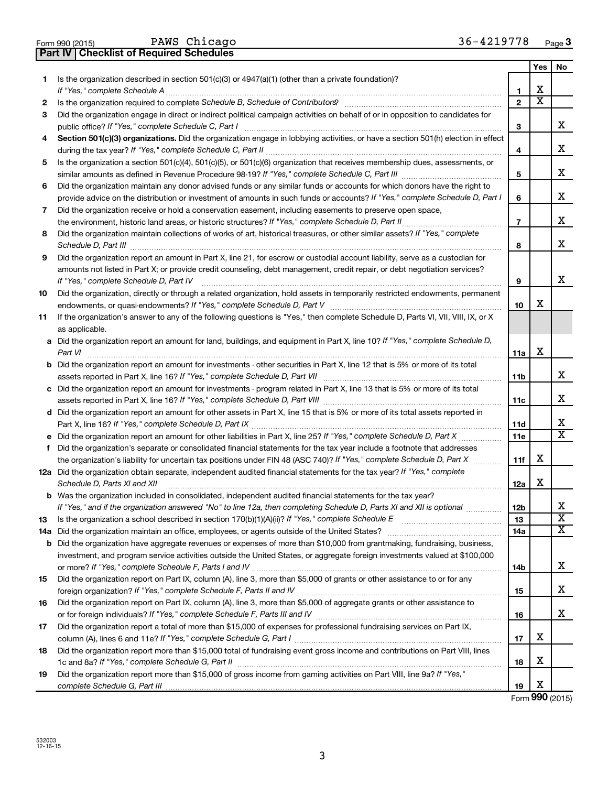| <b>FORD ASSAUTED</b> |  | rum curcago                                      |
|----------------------|--|--------------------------------------------------|
|                      |  | <b>Part IV   Checklist of Required Schedules</b> |

PAWS Chicago 36-4219778

|    |                                                                                                                                                                 |                | Yes | No                      |
|----|-----------------------------------------------------------------------------------------------------------------------------------------------------------------|----------------|-----|-------------------------|
| 1  | Is the organization described in section $501(c)(3)$ or $4947(a)(1)$ (other than a private foundation)?                                                         |                |     |                         |
|    | If "Yes," complete Schedule A                                                                                                                                   | 1              | х   |                         |
| 2  | Is the organization required to complete Schedule B, Schedule of Contributors? [11] The organization required to complete Schedule B, Schedule of Contributors? | $\mathbf{2}$   | х   |                         |
| 3  | Did the organization engage in direct or indirect political campaign activities on behalf of or in opposition to candidates for                                 |                |     |                         |
|    | public office? If "Yes," complete Schedule C, Part I                                                                                                            | З              |     | х                       |
| 4  | Section 501(c)(3) organizations. Did the organization engage in lobbying activities, or have a section 501(h) election in effect                                |                |     |                         |
|    |                                                                                                                                                                 | 4              |     | х                       |
| 5  | Is the organization a section 501(c)(4), 501(c)(5), or 501(c)(6) organization that receives membership dues, assessments, or                                    |                |     |                         |
|    |                                                                                                                                                                 | 5              |     | х                       |
| 6  | Did the organization maintain any donor advised funds or any similar funds or accounts for which donors have the right to                                       |                |     |                         |
|    | provide advice on the distribution or investment of amounts in such funds or accounts? If "Yes," complete Schedule D, Part I                                    | 6              |     | х                       |
| 7  | Did the organization receive or hold a conservation easement, including easements to preserve open space,                                                       |                |     |                         |
|    | .                                                                                                                                                               | $\overline{7}$ |     | х                       |
| 8  | Did the organization maintain collections of works of art, historical treasures, or other similar assets? If "Yes," complete                                    | 8              |     | х                       |
| 9  | Did the organization report an amount in Part X, line 21, for escrow or custodial account liability, serve as a custodian for                                   |                |     |                         |
|    | amounts not listed in Part X; or provide credit counseling, debt management, credit repair, or debt negotiation services?                                       |                |     |                         |
|    | If "Yes," complete Schedule D, Part IV                                                                                                                          | 9              |     | x                       |
| 10 | Did the organization, directly or through a related organization, hold assets in temporarily restricted endowments, permanent                                   |                |     |                         |
|    |                                                                                                                                                                 | 10             | х   |                         |
| 11 | If the organization's answer to any of the following questions is "Yes," then complete Schedule D, Parts VI, VII, VIII, IX, or X                                |                |     |                         |
|    | as applicable.                                                                                                                                                  |                |     |                         |
|    | a Did the organization report an amount for land, buildings, and equipment in Part X, line 10? If "Yes," complete Schedule D,<br>Part VI                        | 11a            | х   |                         |
|    | <b>b</b> Did the organization report an amount for investments - other securities in Part X, line 12 that is 5% or more of its total                            |                |     |                         |
|    |                                                                                                                                                                 | 11b            |     | х                       |
|    | c Did the organization report an amount for investments - program related in Part X, line 13 that is 5% or more of its total                                    |                |     |                         |
|    |                                                                                                                                                                 | 11c            |     | х                       |
|    | d Did the organization report an amount for other assets in Part X, line 15 that is 5% or more of its total assets reported in                                  |                |     |                         |
|    |                                                                                                                                                                 | 11d            |     | x                       |
|    |                                                                                                                                                                 | 11e            |     | X                       |
| f  | Did the organization's separate or consolidated financial statements for the tax year include a footnote that addresses                                         |                |     |                         |
|    | the organization's liability for uncertain tax positions under FIN 48 (ASC 740)? If "Yes," complete Schedule D, Part X                                          | 11f            | х   |                         |
|    | 12a Did the organization obtain separate, independent audited financial statements for the tax year? If "Yes," complete<br>Schedule D, Parts XI and XII         | 12a            | x   |                         |
|    | <b>b</b> Was the organization included in consolidated, independent audited financial statements for the tax year?                                              |                |     |                         |
|    | If "Yes," and if the organization answered "No" to line 12a, then completing Schedule D, Parts XI and XII is optional www.                                      | 12b            |     | 77                      |
| 13 |                                                                                                                                                                 | 13             |     | $\overline{\mathbf{X}}$ |
|    |                                                                                                                                                                 | 14a            |     | х                       |
|    | <b>b</b> Did the organization have aggregate revenues or expenses of more than \$10,000 from grantmaking, fundraising, business,                                |                |     |                         |
|    | investment, and program service activities outside the United States, or aggregate foreign investments valued at \$100,000                                      |                |     |                         |
|    |                                                                                                                                                                 | 14b            |     | х                       |
| 15 | Did the organization report on Part IX, column (A), line 3, more than \$5,000 of grants or other assistance to or for any                                       |                |     |                         |
|    |                                                                                                                                                                 | 15             |     | х                       |
| 16 | Did the organization report on Part IX, column (A), line 3, more than \$5,000 of aggregate grants or other assistance to                                        | 16             |     | х                       |
| 17 | Did the organization report a total of more than \$15,000 of expenses for professional fundraising services on Part IX,                                         |                |     |                         |
|    |                                                                                                                                                                 | 17             | х   |                         |
| 18 | Did the organization report more than \$15,000 total of fundraising event gross income and contributions on Part VIII, lines                                    |                |     |                         |
|    |                                                                                                                                                                 | 18             | х   |                         |
| 19 | Did the organization report more than \$15,000 of gross income from gaming activities on Part VIII, line 9a? If "Yes,"                                          |                |     |                         |
|    |                                                                                                                                                                 | 19             | х   |                         |

Form **990** (2015)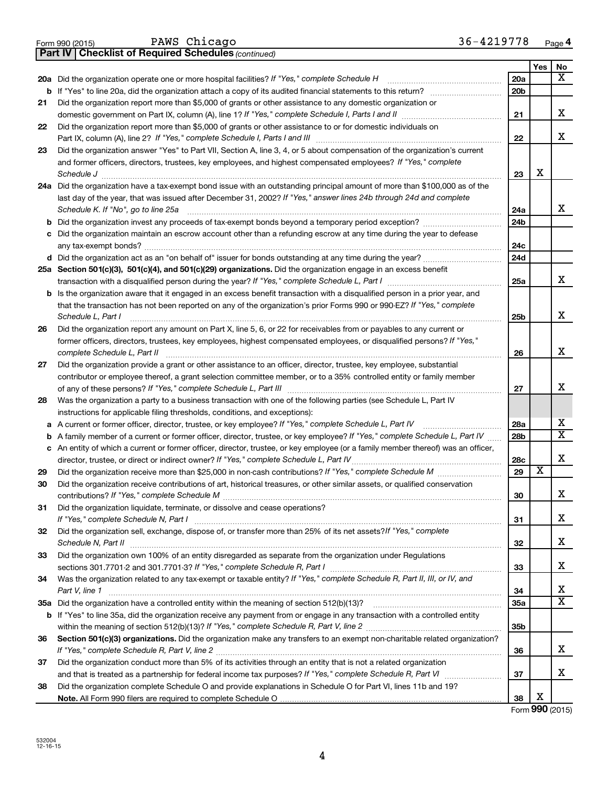|    | 36-4219778<br>PAWS Chicago<br>Form 990 (2015)                                                                                                                                                    |                 |     | Page 4                  |
|----|--------------------------------------------------------------------------------------------------------------------------------------------------------------------------------------------------|-----------------|-----|-------------------------|
|    | <b>Part IV   Checklist of Required Schedules (continued)</b>                                                                                                                                     |                 |     |                         |
|    |                                                                                                                                                                                                  |                 | Yes | No                      |
|    |                                                                                                                                                                                                  | 20a             |     | x                       |
| b  |                                                                                                                                                                                                  | 20 <sub>b</sub> |     |                         |
| 21 | Did the organization report more than \$5,000 of grants or other assistance to any domestic organization or                                                                                      |                 |     |                         |
|    |                                                                                                                                                                                                  | 21              |     | x                       |
| 22 | Did the organization report more than \$5,000 of grants or other assistance to or for domestic individuals on                                                                                    |                 |     |                         |
|    | Part IX, column (A), line 2? If "Yes," complete Schedule I, Parts I and III [11]] [11]] [11] [11] [11] [11] [1                                                                                   | 22              |     | x                       |
| 23 | Did the organization answer "Yes" to Part VII, Section A, line 3, 4, or 5 about compensation of the organization's current                                                                       |                 |     |                         |
|    | and former officers, directors, trustees, key employees, and highest compensated employees? If "Yes," complete                                                                                   |                 |     |                         |
|    | Schedule J <b>Execute Schedule J Execute Schedule J Execute Schedule J Execute Schedule J Execute Schedule J</b>                                                                                 | 23              | х   |                         |
|    | 24a Did the organization have a tax-exempt bond issue with an outstanding principal amount of more than \$100,000 as of the                                                                      |                 |     |                         |
|    | last day of the year, that was issued after December 31, 2002? If "Yes," answer lines 24b through 24d and complete                                                                               |                 |     |                         |
|    | Schedule K. If "No", go to line 25a                                                                                                                                                              | 24a             |     | x                       |
| b  |                                                                                                                                                                                                  | 24 <sub>b</sub> |     |                         |
|    | c Did the organization maintain an escrow account other than a refunding escrow at any time during the year to defease                                                                           |                 |     |                         |
|    |                                                                                                                                                                                                  | 24c             |     |                         |
|    |                                                                                                                                                                                                  | 24d             |     |                         |
|    | 25a Section 501(c)(3), 501(c)(4), and 501(c)(29) organizations. Did the organization engage in an excess benefit                                                                                 |                 |     | x                       |
|    |                                                                                                                                                                                                  | 25a             |     |                         |
|    | <b>b</b> Is the organization aware that it engaged in an excess benefit transaction with a disqualified person in a prior year, and                                                              |                 |     |                         |
|    | that the transaction has not been reported on any of the organization's prior Forms 990 or 990-EZ? If "Yes," complete                                                                            |                 |     | x                       |
|    | Schedule L, Part I                                                                                                                                                                               | 25b             |     |                         |
| 26 | Did the organization report any amount on Part X, line 5, 6, or 22 for receivables from or payables to any current or                                                                            |                 |     |                         |
|    | former officers, directors, trustees, key employees, highest compensated employees, or disqualified persons? If "Yes,"                                                                           |                 |     | x                       |
|    | complete Schedule L, Part II                                                                                                                                                                     | 26              |     |                         |
| 27 | Did the organization provide a grant or other assistance to an officer, director, trustee, key employee, substantial                                                                             |                 |     |                         |
|    | contributor or employee thereof, a grant selection committee member, or to a 35% controlled entity or family member                                                                              | 27              |     | х                       |
| 28 |                                                                                                                                                                                                  |                 |     |                         |
|    | Was the organization a party to a business transaction with one of the following parties (see Schedule L, Part IV<br>instructions for applicable filing thresholds, conditions, and exceptions): |                 |     |                         |
| а  | A current or former officer, director, trustee, or key employee? If "Yes," complete Schedule L, Part IV                                                                                          | 28a             |     | х                       |
| b  | A family member of a current or former officer, director, trustee, or key employee? If "Yes," complete Schedule L, Part IV                                                                       | 28 <sub>b</sub> |     | $\overline{\mathtt{x}}$ |
|    | c An entity of which a current or former officer, director, trustee, or key employee (or a family member thereof) was an officer,                                                                |                 |     |                         |
|    |                                                                                                                                                                                                  | 28c             |     | X                       |
| 29 |                                                                                                                                                                                                  | 29              | X   |                         |
| 30 | Did the organization receive contributions of art, historical treasures, or other similar assets, or qualified conservation                                                                      |                 |     |                         |
|    |                                                                                                                                                                                                  | 30              |     | х                       |
| 31 | Did the organization liquidate, terminate, or dissolve and cease operations?                                                                                                                     |                 |     |                         |
|    |                                                                                                                                                                                                  | 31              |     | х                       |
| 32 | Did the organization sell, exchange, dispose of, or transfer more than 25% of its net assets? If "Yes," complete                                                                                 |                 |     |                         |
|    |                                                                                                                                                                                                  | 32              |     | х                       |
| 33 | Did the organization own 100% of an entity disregarded as separate from the organization under Regulations                                                                                       |                 |     |                         |
|    |                                                                                                                                                                                                  | 33              |     | х                       |
| 34 | Was the organization related to any tax-exempt or taxable entity? If "Yes," complete Schedule R, Part II, III, or IV, and                                                                        |                 |     |                         |
|    | Part V, line 1                                                                                                                                                                                   | 34              |     | х                       |
|    |                                                                                                                                                                                                  | 35a             |     | $\overline{\texttt{x}}$ |
|    | b If "Yes" to line 35a, did the organization receive any payment from or engage in any transaction with a controlled entity                                                                      |                 |     |                         |
|    |                                                                                                                                                                                                  | 35 <sub>b</sub> |     |                         |
| 36 | Section 501(c)(3) organizations. Did the organization make any transfers to an exempt non-charitable related organization?                                                                       |                 |     |                         |
|    |                                                                                                                                                                                                  | 36              |     | x                       |
| 37 | Did the organization conduct more than 5% of its activities through an entity that is not a related organization                                                                                 |                 |     |                         |
|    |                                                                                                                                                                                                  | 37              |     | x                       |
| 38 | Did the organization complete Schedule O and provide explanations in Schedule O for Part VI, lines 11b and 19?                                                                                   |                 |     |                         |
|    |                                                                                                                                                                                                  | 38              | х   |                         |
|    |                                                                                                                                                                                                  |                 |     | Form 990 (2015)         |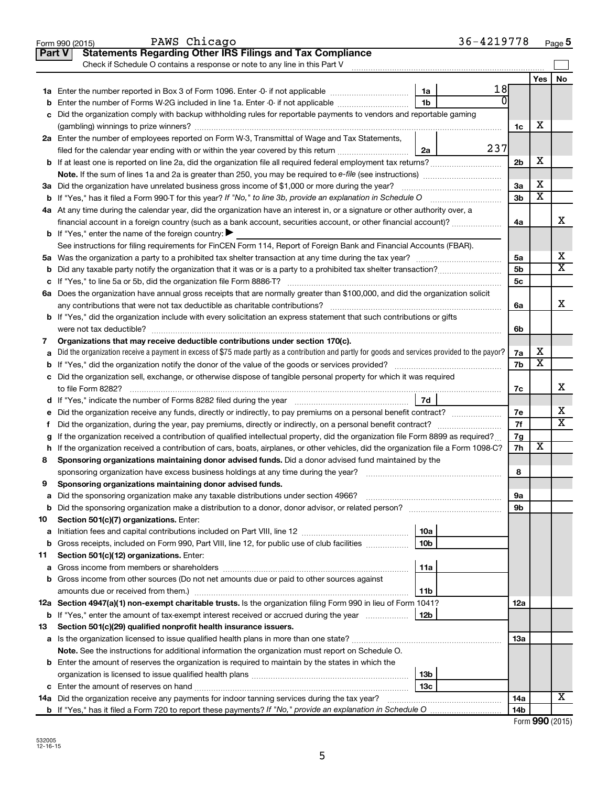|    | PAWS Chicago<br>Form 990 (2015)                                                                                                                 |                 | 36-4219778 |                |                         | Page 5                     |
|----|-------------------------------------------------------------------------------------------------------------------------------------------------|-----------------|------------|----------------|-------------------------|----------------------------|
|    | <b>Statements Regarding Other IRS Filings and Tax Compliance</b><br><b>Part V</b>                                                               |                 |            |                |                         |                            |
|    | Check if Schedule O contains a response or note to any line in this Part V                                                                      |                 |            |                |                         |                            |
|    |                                                                                                                                                 |                 |            |                | Yes                     | No                         |
|    |                                                                                                                                                 | 1a              | 18         |                |                         |                            |
| b  | Enter the number of Forms W-2G included in line 1a. Enter -0- if not applicable                                                                 | 1 <sub>b</sub>  |            |                |                         |                            |
|    | c Did the organization comply with backup withholding rules for reportable payments to vendors and reportable gaming                            |                 |            |                |                         |                            |
|    |                                                                                                                                                 |                 |            | 1c             | х                       |                            |
|    | 2a Enter the number of employees reported on Form W-3, Transmittal of Wage and Tax Statements,                                                  |                 |            |                |                         |                            |
|    | filed for the calendar year ending with or within the year covered by this return                                                               | 2a              | 237        |                |                         |                            |
|    |                                                                                                                                                 |                 |            | 2 <sub>b</sub> | X                       |                            |
|    |                                                                                                                                                 |                 |            |                |                         |                            |
|    | 3a Did the organization have unrelated business gross income of \$1,000 or more during the year?                                                |                 |            | 3a             | х                       |                            |
|    |                                                                                                                                                 |                 |            | 3b             | $\overline{\texttt{x}}$ |                            |
|    | 4a At any time during the calendar year, did the organization have an interest in, or a signature or other authority over, a                    |                 |            |                |                         |                            |
|    | financial account in a foreign country (such as a bank account, securities account, or other financial account)?                                |                 |            | 4a             |                         | X                          |
|    | <b>b</b> If "Yes," enter the name of the foreign country: $\blacktriangleright$                                                                 |                 |            |                |                         |                            |
|    | See instructions for filing requirements for FinCEN Form 114, Report of Foreign Bank and Financial Accounts (FBAR).                             |                 |            |                |                         |                            |
|    |                                                                                                                                                 |                 |            | 5a             |                         | х<br>$\overline{\text{X}}$ |
|    |                                                                                                                                                 |                 |            | 5 <sub>b</sub> |                         |                            |
|    |                                                                                                                                                 |                 |            | 5c             |                         |                            |
|    | 6a Does the organization have annual gross receipts that are normally greater than \$100,000, and did the organization solicit                  |                 |            |                |                         | X                          |
|    |                                                                                                                                                 |                 |            | 6a             |                         |                            |
|    | <b>b</b> If "Yes," did the organization include with every solicitation an express statement that such contributions or gifts                   |                 |            |                |                         |                            |
|    |                                                                                                                                                 |                 |            | 6b             |                         |                            |
| 7  | Organizations that may receive deductible contributions under section 170(c).                                                                   |                 |            |                | х                       |                            |
| a  | Did the organization receive a payment in excess of \$75 made partly as a contribution and partly for goods and services provided to the payor? |                 |            | 7a<br>7b       | $\overline{\textbf{x}}$ |                            |
|    | c Did the organization sell, exchange, or otherwise dispose of tangible personal property for which it was required                             |                 |            |                |                         |                            |
|    |                                                                                                                                                 |                 |            | 7c             |                         | X                          |
|    |                                                                                                                                                 |                 |            |                |                         |                            |
| е  | Did the organization receive any funds, directly or indirectly, to pay premiums on a personal benefit contract?                                 |                 |            | 7e             |                         | х                          |
| f. | Did the organization, during the year, pay premiums, directly or indirectly, on a personal benefit contract?                                    |                 |            | 7f             |                         | $\overline{\text{X}}$      |
|    | If the organization received a contribution of qualified intellectual property, did the organization file Form 8899 as required?                |                 |            | 7g             |                         |                            |
|    | h If the organization received a contribution of cars, boats, airplanes, or other vehicles, did the organization file a Form 1098-C?            |                 |            | 7h             | X                       |                            |
| 8  | Sponsoring organizations maintaining donor advised funds. Did a donor advised fund maintained by the                                            |                 |            |                |                         |                            |
|    |                                                                                                                                                 |                 |            | 8              |                         |                            |
|    | Sponsoring organizations maintaining donor advised funds.                                                                                       |                 |            |                |                         |                            |
| а  | Did the sponsoring organization make any taxable distributions under section 4966?                                                              |                 |            | 9а             |                         |                            |
| b  |                                                                                                                                                 |                 |            | 9b             |                         |                            |
| 10 | Section 501(c)(7) organizations. Enter:                                                                                                         |                 |            |                |                         |                            |
| a  |                                                                                                                                                 | 10a             |            |                |                         |                            |
| b  | Gross receipts, included on Form 990, Part VIII, line 12, for public use of club facilities                                                     | 10 <sub>b</sub> |            |                |                         |                            |
| 11 | Section 501(c)(12) organizations. Enter:                                                                                                        |                 |            |                |                         |                            |
| а  |                                                                                                                                                 | 11a             |            |                |                         |                            |
|    | b Gross income from other sources (Do not net amounts due or paid to other sources against                                                      |                 |            |                |                         |                            |
|    | amounts due or received from them.)                                                                                                             | 11b             |            |                |                         |                            |
|    | 12a Section 4947(a)(1) non-exempt charitable trusts. Is the organization filing Form 990 in lieu of Form 1041?                                  |                 |            | 12a            |                         |                            |
|    | <b>b</b> If "Yes," enter the amount of tax-exempt interest received or accrued during the year                                                  | 12b             |            |                |                         |                            |
| 13 | Section 501(c)(29) qualified nonprofit health insurance issuers.                                                                                |                 |            |                |                         |                            |
|    | a Is the organization licensed to issue qualified health plans in more than one state?                                                          |                 |            | 13a            |                         |                            |
|    | Note. See the instructions for additional information the organization must report on Schedule O.                                               |                 |            |                |                         |                            |
|    | <b>b</b> Enter the amount of reserves the organization is required to maintain by the states in which the                                       |                 |            |                |                         |                            |
|    |                                                                                                                                                 | 13b             |            |                |                         |                            |
|    |                                                                                                                                                 | 13 <sub>c</sub> |            |                |                         |                            |
|    | 14a Did the organization receive any payments for indoor tanning services during the tax year?                                                  |                 |            | 14a            |                         | x                          |
|    |                                                                                                                                                 |                 |            | 14b            |                         |                            |

| Form 990 (2015) |  |
|-----------------|--|
|-----------------|--|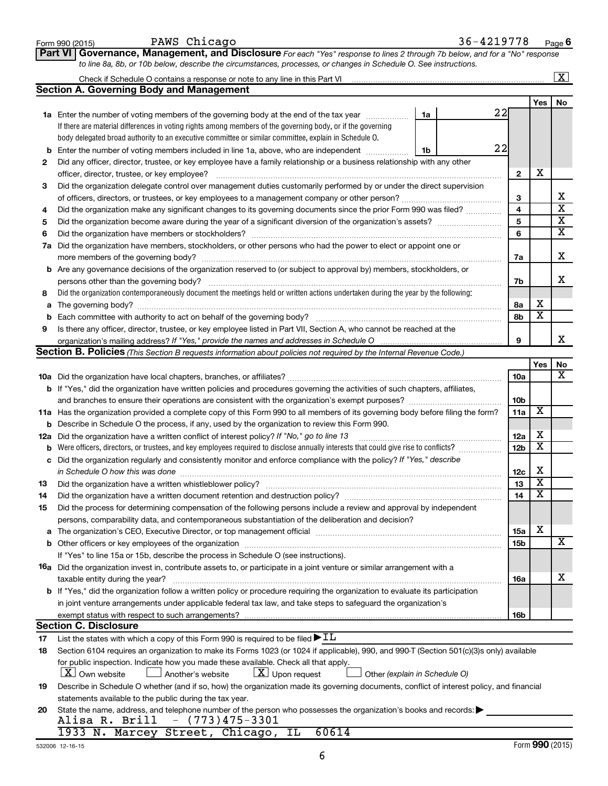|        | 36-4219778<br>PAWS Chicago<br>Form 990 (2015)                                                                                                                                                                                                                                                                                      |                 |                         | Page 6                                             |  |  |  |  |  |  |  |  |  |
|--------|------------------------------------------------------------------------------------------------------------------------------------------------------------------------------------------------------------------------------------------------------------------------------------------------------------------------------------|-----------------|-------------------------|----------------------------------------------------|--|--|--|--|--|--|--|--|--|
|        | Governance, Management, and Disclosure For each "Yes" response to lines 2 through 7b below, and for a "No" response<br>∣ Part VI ∣                                                                                                                                                                                                 |                 |                         |                                                    |  |  |  |  |  |  |  |  |  |
|        | to line 8a, 8b, or 10b below, describe the circumstances, processes, or changes in Schedule O. See instructions.                                                                                                                                                                                                                   |                 |                         |                                                    |  |  |  |  |  |  |  |  |  |
|        |                                                                                                                                                                                                                                                                                                                                    |                 |                         | $\overline{\mathbf{x}}$                            |  |  |  |  |  |  |  |  |  |
|        | <b>Section A. Governing Body and Management</b>                                                                                                                                                                                                                                                                                    |                 |                         |                                                    |  |  |  |  |  |  |  |  |  |
|        |                                                                                                                                                                                                                                                                                                                                    | 22              | Yes                     | No.                                                |  |  |  |  |  |  |  |  |  |
|        | 1a Enter the number of voting members of the governing body at the end of the tax year<br>1a<br>If there are material differences in voting rights among members of the governing body, or if the governing                                                                                                                        |                 |                         |                                                    |  |  |  |  |  |  |  |  |  |
|        | body delegated broad authority to an executive committee or similar committee, explain in Schedule O.                                                                                                                                                                                                                              |                 |                         |                                                    |  |  |  |  |  |  |  |  |  |
| b      | 22<br>Enter the number of voting members included in line 1a, above, who are independent<br>1b                                                                                                                                                                                                                                     |                 |                         |                                                    |  |  |  |  |  |  |  |  |  |
| 2      | Did any officer, director, trustee, or key employee have a family relationship or a business relationship with any other                                                                                                                                                                                                           |                 |                         |                                                    |  |  |  |  |  |  |  |  |  |
|        | officer, director, trustee, or key employee?                                                                                                                                                                                                                                                                                       |                 |                         |                                                    |  |  |  |  |  |  |  |  |  |
| 3      | Did the organization delegate control over management duties customarily performed by or under the direct supervision                                                                                                                                                                                                              |                 |                         |                                                    |  |  |  |  |  |  |  |  |  |
|        |                                                                                                                                                                                                                                                                                                                                    |                 |                         |                                                    |  |  |  |  |  |  |  |  |  |
| 4      | Did the organization make any significant changes to its governing documents since the prior Form 990 was filed?                                                                                                                                                                                                                   | 4               |                         | $\overline{\textbf{x}}$                            |  |  |  |  |  |  |  |  |  |
| 5      |                                                                                                                                                                                                                                                                                                                                    | 5               |                         | $\overline{\textbf{x}}$<br>$\overline{\mathbf{x}}$ |  |  |  |  |  |  |  |  |  |
| 6      |                                                                                                                                                                                                                                                                                                                                    | 6               |                         |                                                    |  |  |  |  |  |  |  |  |  |
| 7a     | Did the organization have members, stockholders, or other persons who had the power to elect or appoint one or                                                                                                                                                                                                                     |                 |                         | x                                                  |  |  |  |  |  |  |  |  |  |
|        | <b>b</b> Are any governance decisions of the organization reserved to (or subject to approval by) members, stockholders, or                                                                                                                                                                                                        | 7a              |                         |                                                    |  |  |  |  |  |  |  |  |  |
|        | persons other than the governing body?                                                                                                                                                                                                                                                                                             | 7b              |                         | х                                                  |  |  |  |  |  |  |  |  |  |
| 8      | Did the organization contemporaneously document the meetings held or written actions undertaken during the year by the following:                                                                                                                                                                                                  |                 |                         |                                                    |  |  |  |  |  |  |  |  |  |
| a      |                                                                                                                                                                                                                                                                                                                                    | 8a              | X                       |                                                    |  |  |  |  |  |  |  |  |  |
| b      |                                                                                                                                                                                                                                                                                                                                    | 8b              | $\overline{\mathbf{x}}$ |                                                    |  |  |  |  |  |  |  |  |  |
| 9      | Is there any officer, director, trustee, or key employee listed in Part VII, Section A, who cannot be reached at the                                                                                                                                                                                                               |                 |                         |                                                    |  |  |  |  |  |  |  |  |  |
|        |                                                                                                                                                                                                                                                                                                                                    | 9               |                         | x                                                  |  |  |  |  |  |  |  |  |  |
|        | Section B. Policies (This Section B requests information about policies not required by the Internal Revenue Code.)                                                                                                                                                                                                                |                 |                         |                                                    |  |  |  |  |  |  |  |  |  |
|        |                                                                                                                                                                                                                                                                                                                                    |                 | Yes                     | No<br>x                                            |  |  |  |  |  |  |  |  |  |
|        |                                                                                                                                                                                                                                                                                                                                    | <b>10a</b>      |                         |                                                    |  |  |  |  |  |  |  |  |  |
|        | <b>b</b> If "Yes," did the organization have written policies and procedures governing the activities of such chapters, affiliates,                                                                                                                                                                                                | 10b             |                         |                                                    |  |  |  |  |  |  |  |  |  |
|        | 11a Has the organization provided a complete copy of this Form 990 to all members of its governing body before filing the form?                                                                                                                                                                                                    | 11a             | X                       |                                                    |  |  |  |  |  |  |  |  |  |
|        | <b>b</b> Describe in Schedule O the process, if any, used by the organization to review this Form 990.                                                                                                                                                                                                                             |                 |                         |                                                    |  |  |  |  |  |  |  |  |  |
| 12a    | Did the organization have a written conflict of interest policy? If "No," go to line 13                                                                                                                                                                                                                                            | 12a             | х                       |                                                    |  |  |  |  |  |  |  |  |  |
|        | <b>b</b> Were officers, directors, or trustees, and key employees required to disclose annually interests that could give rise to conflicts?                                                                                                                                                                                       | 12b             | X                       |                                                    |  |  |  |  |  |  |  |  |  |
| c      | Did the organization regularly and consistently monitor and enforce compliance with the policy? If "Yes," describe                                                                                                                                                                                                                 |                 |                         |                                                    |  |  |  |  |  |  |  |  |  |
|        |                                                                                                                                                                                                                                                                                                                                    | 12c             | х                       |                                                    |  |  |  |  |  |  |  |  |  |
| 13     | Did the organization have a written whistleblower policy?                                                                                                                                                                                                                                                                          | 13              | X.                      |                                                    |  |  |  |  |  |  |  |  |  |
| 14     | Did the organization have a written document retention and destruction policy? [11] manufaction manufaction in                                                                                                                                                                                                                     | 14              | х                       |                                                    |  |  |  |  |  |  |  |  |  |
| 15     | Did the process for determining compensation of the following persons include a review and approval by independent                                                                                                                                                                                                                 |                 |                         |                                                    |  |  |  |  |  |  |  |  |  |
|        | persons, comparability data, and contemporaneous substantiation of the deliberation and decision?<br>The organization's CEO, Executive Director, or top management official manufactured content of the organization's CEO, Executive Director, or top management official manufactured and the state of the state of the state of | 15a             | х                       |                                                    |  |  |  |  |  |  |  |  |  |
| a<br>b |                                                                                                                                                                                                                                                                                                                                    | 15b             |                         | х                                                  |  |  |  |  |  |  |  |  |  |
|        | If "Yes" to line 15a or 15b, describe the process in Schedule O (see instructions).                                                                                                                                                                                                                                                |                 |                         |                                                    |  |  |  |  |  |  |  |  |  |
|        | <b>16a</b> Did the organization invest in, contribute assets to, or participate in a joint venture or similar arrangement with a                                                                                                                                                                                                   |                 |                         |                                                    |  |  |  |  |  |  |  |  |  |
|        | taxable entity during the year?                                                                                                                                                                                                                                                                                                    | 16a             |                         | х                                                  |  |  |  |  |  |  |  |  |  |
|        | <b>b</b> If "Yes," did the organization follow a written policy or procedure requiring the organization to evaluate its participation                                                                                                                                                                                              |                 |                         |                                                    |  |  |  |  |  |  |  |  |  |
|        | in joint venture arrangements under applicable federal tax law, and take steps to safequard the organization's                                                                                                                                                                                                                     |                 |                         |                                                    |  |  |  |  |  |  |  |  |  |
|        |                                                                                                                                                                                                                                                                                                                                    | 16 <sub>b</sub> |                         |                                                    |  |  |  |  |  |  |  |  |  |
|        | <b>Section C. Disclosure</b>                                                                                                                                                                                                                                                                                                       |                 |                         |                                                    |  |  |  |  |  |  |  |  |  |
| 17     | List the states with which a copy of this Form 990 is required to be filed $\blacktriangleright$ IL                                                                                                                                                                                                                                |                 |                         |                                                    |  |  |  |  |  |  |  |  |  |
| 18     | Section 6104 requires an organization to make its Forms 1023 (or 1024 if applicable), 990, and 990-T (Section 501(c)(3)s only) available<br>for public inspection. Indicate how you made these available. Check all that apply.                                                                                                    |                 |                         |                                                    |  |  |  |  |  |  |  |  |  |
|        | <b>X</b> Own website<br>$ \underline{X} $ Upon request<br>Another's website<br>Other (explain in Schedule O)                                                                                                                                                                                                                       |                 |                         |                                                    |  |  |  |  |  |  |  |  |  |
| 19     | Describe in Schedule O whether (and if so, how) the organization made its governing documents, conflict of interest policy, and financial                                                                                                                                                                                          |                 |                         |                                                    |  |  |  |  |  |  |  |  |  |
|        | statements available to the public during the tax year.                                                                                                                                                                                                                                                                            |                 |                         |                                                    |  |  |  |  |  |  |  |  |  |
| 20     | State the name, address, and telephone number of the person who possesses the organization's books and records:                                                                                                                                                                                                                    |                 |                         |                                                    |  |  |  |  |  |  |  |  |  |
|        | $-$ (773)475-3301<br>Alisa R. Brill                                                                                                                                                                                                                                                                                                |                 |                         |                                                    |  |  |  |  |  |  |  |  |  |
|        | 1933 N. Marcey Street, Chicago, IL<br>60614                                                                                                                                                                                                                                                                                        |                 |                         |                                                    |  |  |  |  |  |  |  |  |  |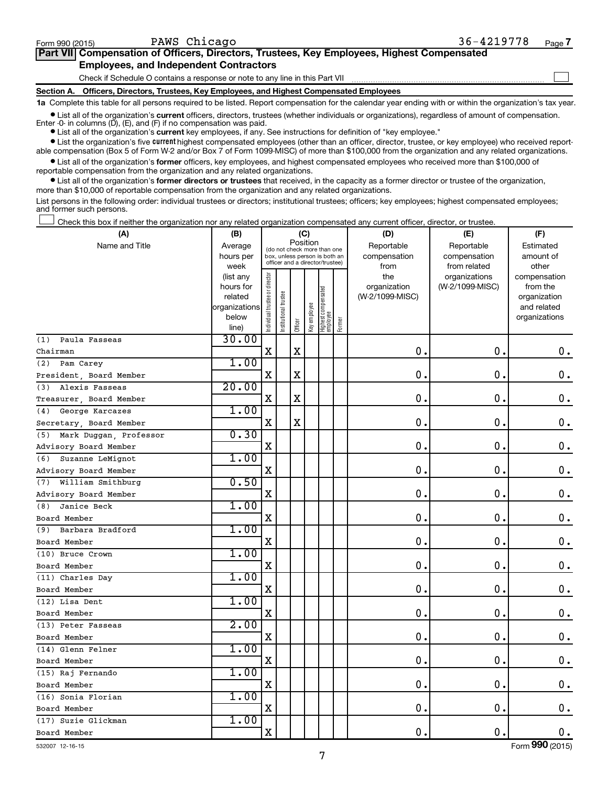$\Box$ 

| Part VII Compensation of Officers, Directors, Trustees, Key Employees, Highest Compensated |
|--------------------------------------------------------------------------------------------|
| <b>Employees, and Independent Contractors</b>                                              |
|                                                                                            |

Check if Schedule O contains a response or note to any line in this Part VII

**Section A. Officers, Directors, Trustees, Key Employees, and Highest Compensated Employees**

**1a**  Complete this table for all persons required to be listed. Report compensation for the calendar year ending with or within the organization's tax year.

**•** List all of the organization's current officers, directors, trustees (whether individuals or organizations), regardless of amount of compensation. Enter -0- in columns  $(D)$ ,  $(E)$ , and  $(F)$  if no compensation was paid.

**•** List all of the organization's **current** key employees, if any. See instructions for definition of "key employee."

**•** List the organization's five current highest compensated employees (other than an officer, director, trustee, or key employee) who received reportable compensation (Box 5 of Form W-2 and/or Box 7 of Form 1099-MISC) of more than \$100,000 from the organization and any related organizations.

**•** List all of the organization's former officers, key employees, and highest compensated employees who received more than \$100,000 of reportable compensation from the organization and any related organizations.

**•** List all of the organization's former directors or trustees that received, in the capacity as a former director or trustee of the organization, more than \$10,000 of reportable compensation from the organization and any related organizations.

List persons in the following order: individual trustees or directors; institutional trustees; officers; key employees; highest compensated employees; and former such persons.

Check this box if neither the organization nor any related organization compensated any current officer, director, or trustee. †

| (A)                           | (B)                    |                                         |                                                                  | (C)         |              |                                 |        | (D)                 | (E)                              | (F)                      |  |  |  |
|-------------------------------|------------------------|-----------------------------------------|------------------------------------------------------------------|-------------|--------------|---------------------------------|--------|---------------------|----------------------------------|--------------------------|--|--|--|
| Name and Title                | Average                | Position<br>(do not check more than one |                                                                  |             |              |                                 |        | Reportable          | Reportable                       | Estimated                |  |  |  |
|                               | hours per              |                                         | box, unless person is both an<br>officer and a director/trustee) |             |              |                                 |        | compensation        | compensation                     | amount of                |  |  |  |
|                               | week                   |                                         |                                                                  |             |              |                                 |        | from                | from related                     | other                    |  |  |  |
|                               | (list any<br>hours for |                                         |                                                                  |             |              |                                 |        | the<br>organization | organizations<br>(W-2/1099-MISC) | compensation<br>from the |  |  |  |
|                               | related                |                                         |                                                                  |             |              |                                 |        | (W-2/1099-MISC)     |                                  | organization             |  |  |  |
|                               | organizations          |                                         |                                                                  |             |              |                                 |        |                     |                                  | and related              |  |  |  |
|                               | below                  | ndividual trustee or director           | Institutional trustee                                            |             | Key employee | Highest compensated<br>employee |        |                     |                                  | organizations            |  |  |  |
|                               | line)                  |                                         |                                                                  | Officer     |              |                                 | Former |                     |                                  |                          |  |  |  |
| Paula Fasseas<br>(1)          | 30.00                  |                                         |                                                                  |             |              |                                 |        |                     |                                  |                          |  |  |  |
| Chairman                      |                        | X                                       |                                                                  | $\mathbf X$ |              |                                 |        | 0.                  | $\mathbf 0$ .                    | $\mathbf 0$ .            |  |  |  |
| Pam Carey<br>(2)              | 1.00                   |                                         |                                                                  |             |              |                                 |        |                     |                                  |                          |  |  |  |
| President, Board Member       |                        | $\mathbf X$                             |                                                                  | X           |              |                                 |        | $\mathbf 0$ .       | 0.                               | $\mathbf 0$ .            |  |  |  |
| Alexis Fasseas<br>(3)         | 20.00                  |                                         |                                                                  |             |              |                                 |        |                     |                                  |                          |  |  |  |
| Treasurer, Board Member       |                        | X                                       |                                                                  | $\mathbf X$ |              |                                 |        | $\mathbf 0$ .       | $\mathbf 0$                      | $\boldsymbol{0}$ .       |  |  |  |
| (4)<br>George Karcazes        | 1.00                   |                                         |                                                                  |             |              |                                 |        |                     |                                  |                          |  |  |  |
| Secretary, Board Member       |                        | X                                       |                                                                  | $\mathbf X$ |              |                                 |        | 0.                  | $\mathbf 0$ .                    | $\mathbf 0$ .            |  |  |  |
| Mark Duggan, Professor<br>(5) | 0.30                   |                                         |                                                                  |             |              |                                 |        |                     |                                  |                          |  |  |  |
| Advisory Board Member         |                        | X                                       |                                                                  |             |              |                                 |        | 0.                  | $\mathbf 0$ .                    | $\mathbf 0$ .            |  |  |  |
| Suzanne LeMignot<br>(6)       | 1.00                   |                                         |                                                                  |             |              |                                 |        |                     |                                  |                          |  |  |  |
| Advisory Board Member         |                        | $\mathbf X$                             |                                                                  |             |              |                                 |        | 0.                  | $\mathbf 0$ .                    | $\mathbf 0$ .            |  |  |  |
| William Smithburg<br>(7)      | 0.50                   |                                         |                                                                  |             |              |                                 |        |                     |                                  |                          |  |  |  |
| Advisory Board Member         |                        | $\mathbf X$                             |                                                                  |             |              |                                 |        | 0.                  | $\mathbf 0$ .                    | $\mathbf 0$ .            |  |  |  |
| Janice Beck<br>(8)            | 1.00                   |                                         |                                                                  |             |              |                                 |        |                     |                                  |                          |  |  |  |
| Board Member                  |                        | $\rm X$                                 |                                                                  |             |              |                                 |        | 0.                  | $\mathbf 0$ .                    | $\mathbf 0$ .            |  |  |  |
| Barbara Bradford<br>(9)       | 1.00                   |                                         |                                                                  |             |              |                                 |        |                     |                                  |                          |  |  |  |
| Board Member                  |                        | $\mathbf X$                             |                                                                  |             |              |                                 |        | 0.                  | $\mathbf 0$ .                    | $\mathbf 0$ .            |  |  |  |
| (10) Bruce Crown              | 1.00                   |                                         |                                                                  |             |              |                                 |        |                     |                                  |                          |  |  |  |
| Board Member                  |                        | $\mathbf X$                             |                                                                  |             |              |                                 |        | 0.                  | $\mathbf 0$ .                    | $\mathbf 0$ .            |  |  |  |
| (11) Charles Day              | 1.00                   |                                         |                                                                  |             |              |                                 |        |                     |                                  |                          |  |  |  |
| Board Member                  |                        | $\mathbf X$                             |                                                                  |             |              |                                 |        | 0.                  | $\mathbf 0$ .                    | $\mathbf 0$ .            |  |  |  |
| (12) Lisa Dent                | 1.00                   |                                         |                                                                  |             |              |                                 |        |                     |                                  |                          |  |  |  |
| Board Member                  |                        | X                                       |                                                                  |             |              |                                 |        | 0.                  | $\mathbf 0$ .                    | $\mathbf 0$ .            |  |  |  |
| (13) Peter Fasseas            | 2.00                   |                                         |                                                                  |             |              |                                 |        |                     |                                  |                          |  |  |  |
| Board Member                  |                        | $\mathbf X$                             |                                                                  |             |              |                                 |        | 0.                  | $\mathbf 0$ .                    | $\mathbf 0$ .            |  |  |  |
| (14) Glenn Felner             | 1.00                   |                                         |                                                                  |             |              |                                 |        |                     |                                  |                          |  |  |  |
| Board Member                  |                        | X                                       |                                                                  |             |              |                                 |        | 0.                  | $\mathbf 0$ .                    | $\mathbf 0$ .            |  |  |  |
| (15) Raj Fernando             | 1.00                   |                                         |                                                                  |             |              |                                 |        |                     |                                  |                          |  |  |  |
| Board Member                  |                        | X                                       |                                                                  |             |              |                                 |        | 0.                  | $\mathbf 0$ .                    | $\mathbf 0$ .            |  |  |  |
| (16) Sonia Florian            | 1.00                   |                                         |                                                                  |             |              |                                 |        |                     |                                  |                          |  |  |  |
| Board Member                  |                        | $\mathbf X$                             |                                                                  |             |              |                                 |        | 0.                  | $\mathbf 0$ .                    | 0.                       |  |  |  |
| (17) Suzie Glickman           | 1.00                   |                                         |                                                                  |             |              |                                 |        |                     |                                  |                          |  |  |  |
| Board Member                  |                        | $\rm X$                                 |                                                                  |             |              |                                 |        | 0.                  | $\mathbf 0$ .                    | $\mathbf 0$ .            |  |  |  |

532007 12-16-15

Form (2015) **990**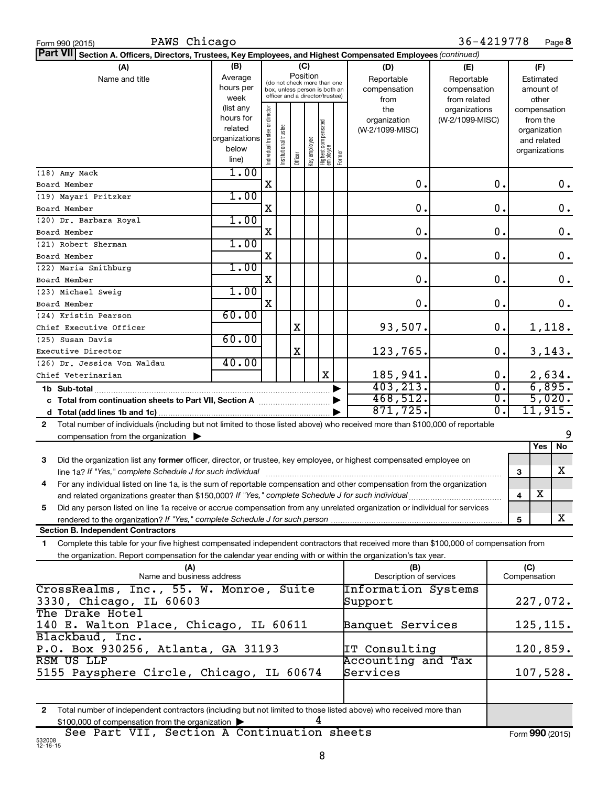| PAWS Chicago<br>Form 990 (2015)                                                                                                                                                                                                                                   |                                                                      |                                                                                                                    |                       |         |              |                                  |        |                                           | 36-4219778                                        |                  |     |                                                                          | Page 8   |
|-------------------------------------------------------------------------------------------------------------------------------------------------------------------------------------------------------------------------------------------------------------------|----------------------------------------------------------------------|--------------------------------------------------------------------------------------------------------------------|-----------------------|---------|--------------|----------------------------------|--------|-------------------------------------------|---------------------------------------------------|------------------|-----|--------------------------------------------------------------------------|----------|
| <b>Part VII</b><br>Section A. Officers, Directors, Trustees, Key Employees, and Highest Compensated Employees (continued)                                                                                                                                         |                                                                      |                                                                                                                    |                       |         |              |                                  |        |                                           |                                                   |                  |     |                                                                          |          |
| (A)<br>Name and title                                                                                                                                                                                                                                             | (B)<br>Average<br>hours per<br>week                                  | (C)<br>Position<br>(do not check more than one<br>box, unless person is both an<br>officer and a director/trustee) |                       |         |              |                                  |        | (D)<br>Reportable<br>compensation<br>from | (E)<br>Reportable<br>compensation<br>from related |                  |     | (F)<br>Estimated<br>amount of<br>other                                   |          |
|                                                                                                                                                                                                                                                                   | (list any<br>hours for<br>related<br>organizations<br>below<br>line) | Individual trustee or director                                                                                     | Institutional trustee | Officer | Key employee | Highest compensated<br> employee | Former | the<br>organization<br>(W-2/1099-MISC)    | organizations<br>(W-2/1099-MISC)                  |                  |     | compensation<br>from the<br>organization<br>and related<br>organizations |          |
| (18) Amy Mack                                                                                                                                                                                                                                                     | 1.00                                                                 |                                                                                                                    |                       |         |              |                                  |        |                                           |                                                   | 0.               |     |                                                                          |          |
| Board Member                                                                                                                                                                                                                                                      |                                                                      | X                                                                                                                  |                       |         |              |                                  |        | 0.                                        |                                                   |                  |     |                                                                          | 0.       |
| (19) Mayari Pritzker                                                                                                                                                                                                                                              | 1.00                                                                 | X                                                                                                                  |                       |         |              |                                  |        | 0.                                        |                                                   | 0.               |     |                                                                          |          |
| Board Member                                                                                                                                                                                                                                                      | 1.00                                                                 |                                                                                                                    |                       |         |              |                                  |        |                                           |                                                   |                  |     |                                                                          | 0.       |
| (20) Dr. Barbara Royal<br>Board Member                                                                                                                                                                                                                            |                                                                      | X                                                                                                                  |                       |         |              |                                  |        | 0.                                        |                                                   | 0.               |     |                                                                          | 0.       |
| (21) Robert Sherman                                                                                                                                                                                                                                               | 1.00                                                                 |                                                                                                                    |                       |         |              |                                  |        |                                           |                                                   |                  |     |                                                                          |          |
| Board Member                                                                                                                                                                                                                                                      |                                                                      | X                                                                                                                  |                       |         |              |                                  |        | 0.                                        |                                                   | 0.               |     |                                                                          | 0.       |
| (22) Maria Smithburg                                                                                                                                                                                                                                              | 1.00                                                                 |                                                                                                                    |                       |         |              |                                  |        |                                           |                                                   |                  |     |                                                                          |          |
| Board Member                                                                                                                                                                                                                                                      |                                                                      | X                                                                                                                  |                       |         |              |                                  |        | 0.                                        |                                                   | 0.               |     |                                                                          | 0.       |
| (23) Michael Sweig                                                                                                                                                                                                                                                | 1.00                                                                 |                                                                                                                    |                       |         |              |                                  |        |                                           |                                                   |                  |     |                                                                          |          |
| Board Member                                                                                                                                                                                                                                                      |                                                                      | $\mathbf X$                                                                                                        |                       |         |              |                                  |        | 0.                                        |                                                   | 0.               |     |                                                                          | 0.       |
| (24) Kristin Pearson                                                                                                                                                                                                                                              | 60.00                                                                |                                                                                                                    |                       |         |              |                                  |        |                                           |                                                   |                  |     |                                                                          |          |
| Chief Executive Officer                                                                                                                                                                                                                                           |                                                                      |                                                                                                                    |                       | Χ       |              |                                  |        | 93,507.                                   |                                                   | 0.               |     |                                                                          | 1,118.   |
| (25) Susan Davis                                                                                                                                                                                                                                                  | 60.00                                                                |                                                                                                                    |                       |         |              |                                  |        |                                           |                                                   |                  |     |                                                                          |          |
| Executive Director                                                                                                                                                                                                                                                |                                                                      |                                                                                                                    |                       | Χ       |              |                                  |        | 123,765.                                  |                                                   | 0.               |     |                                                                          | 3,143.   |
| (26) Dr. Jessica Von Waldau                                                                                                                                                                                                                                       | 40.00                                                                |                                                                                                                    |                       |         |              |                                  |        |                                           |                                                   |                  |     |                                                                          |          |
| Chief Veterinarian                                                                                                                                                                                                                                                |                                                                      |                                                                                                                    |                       |         |              | X                                |        | 185,941.                                  |                                                   | 0.               |     |                                                                          | 2,634.   |
|                                                                                                                                                                                                                                                                   |                                                                      |                                                                                                                    |                       |         |              |                                  |        | 403, 213.                                 |                                                   | $\overline{0}$ . |     | 6,895.                                                                   |          |
|                                                                                                                                                                                                                                                                   |                                                                      |                                                                                                                    |                       |         |              |                                  |        | 468,512.                                  |                                                   | $\overline{0}$ . |     | 5,020.                                                                   |          |
|                                                                                                                                                                                                                                                                   |                                                                      |                                                                                                                    |                       |         |              |                                  |        | 871, 725.                                 |                                                   | $\overline{0}$ . |     |                                                                          | 11,915.  |
| Total number of individuals (including but not limited to those listed above) who received more than \$100,000 of reportable<br>$\mathbf{2}$                                                                                                                      |                                                                      |                                                                                                                    |                       |         |              |                                  |        |                                           |                                                   |                  |     |                                                                          | 9        |
| compensation from the organization $\blacktriangleright$                                                                                                                                                                                                          |                                                                      |                                                                                                                    |                       |         |              |                                  |        |                                           |                                                   |                  |     | Yes                                                                      | No       |
| 3                                                                                                                                                                                                                                                                 |                                                                      |                                                                                                                    |                       |         |              |                                  |        |                                           |                                                   |                  |     |                                                                          |          |
| Did the organization list any former officer, director, or trustee, key employee, or highest compensated employee on<br>line 1a? If "Yes," complete Schedule J for such individual manufactured content to the successive complete schedule J for such individual |                                                                      |                                                                                                                    |                       |         |              |                                  |        |                                           |                                                   |                  | 3   |                                                                          | X        |
| For any individual listed on line 1a, is the sum of reportable compensation and other compensation from the organization<br>4                                                                                                                                     |                                                                      |                                                                                                                    |                       |         |              |                                  |        |                                           |                                                   |                  |     |                                                                          |          |
| and related organizations greater than \$150,000? If "Yes," complete Schedule J for such individual                                                                                                                                                               |                                                                      |                                                                                                                    |                       |         |              |                                  |        |                                           |                                                   |                  | 4   | х                                                                        |          |
| Did any person listed on line 1a receive or accrue compensation from any unrelated organization or individual for services<br>5                                                                                                                                   |                                                                      |                                                                                                                    |                       |         |              |                                  |        |                                           |                                                   |                  |     |                                                                          |          |
| rendered to the organization? If "Yes," complete Schedule J for such person                                                                                                                                                                                       |                                                                      |                                                                                                                    |                       |         |              |                                  |        |                                           |                                                   |                  | 5   |                                                                          | X        |
| <b>Section B. Independent Contractors</b>                                                                                                                                                                                                                         |                                                                      |                                                                                                                    |                       |         |              |                                  |        |                                           |                                                   |                  |     |                                                                          |          |
| Complete this table for your five highest compensated independent contractors that received more than \$100,000 of compensation from<br>1                                                                                                                         |                                                                      |                                                                                                                    |                       |         |              |                                  |        |                                           |                                                   |                  |     |                                                                          |          |
| the organization. Report compensation for the calendar year ending with or within the organization's tax year.                                                                                                                                                    |                                                                      |                                                                                                                    |                       |         |              |                                  |        |                                           |                                                   |                  |     |                                                                          |          |
| (A)                                                                                                                                                                                                                                                               |                                                                      |                                                                                                                    |                       |         |              |                                  |        | (B)                                       |                                                   |                  | (C) |                                                                          |          |
| Name and business address                                                                                                                                                                                                                                         |                                                                      |                                                                                                                    |                       |         |              |                                  |        | Description of services                   |                                                   |                  |     | Compensation                                                             |          |
| CrossRealms, Inc., 55. W. Monroe, Suite<br>3330, Chicago, IL 60603                                                                                                                                                                                                |                                                                      |                                                                                                                    |                       |         |              |                                  |        | Information Systems<br>Support            |                                                   |                  |     |                                                                          | 227,072. |
| The Drake Hotel                                                                                                                                                                                                                                                   |                                                                      |                                                                                                                    |                       |         |              |                                  |        |                                           |                                                   |                  |     |                                                                          |          |
| 140 E. Walton Place, Chicago, IL 60611                                                                                                                                                                                                                            |                                                                      |                                                                                                                    |                       |         |              |                                  |        | Banquet Services                          |                                                   |                  |     | 125, 115.                                                                |          |
| Blackbaud, Inc.                                                                                                                                                                                                                                                   |                                                                      |                                                                                                                    |                       |         |              |                                  |        |                                           |                                                   |                  |     |                                                                          |          |
| P.O. Box 930256, Atlanta, GA 31193                                                                                                                                                                                                                                |                                                                      |                                                                                                                    |                       |         |              |                                  |        | IT Consulting                             |                                                   |                  |     | 120,859.                                                                 |          |
| RSM US LLP<br>5155 Paysphere Circle, Chicago, IL 60674                                                                                                                                                                                                            |                                                                      |                                                                                                                    |                       |         |              |                                  |        | Accounting and Tax<br>Services            |                                                   |                  |     | 107,528.                                                                 |          |
|                                                                                                                                                                                                                                                                   |                                                                      |                                                                                                                    |                       |         |              |                                  |        |                                           |                                                   |                  |     |                                                                          |          |
|                                                                                                                                                                                                                                                                   |                                                                      |                                                                                                                    |                       |         |              |                                  |        |                                           |                                                   |                  |     |                                                                          |          |
| Total number of independent contractors (including but not limited to those listed above) who received more than<br>$\mathbf{2}$                                                                                                                                  |                                                                      |                                                                                                                    |                       |         |              |                                  |        |                                           |                                                   |                  |     |                                                                          |          |

\$100,000 of compensation from the organization  $\blacktriangleright$  4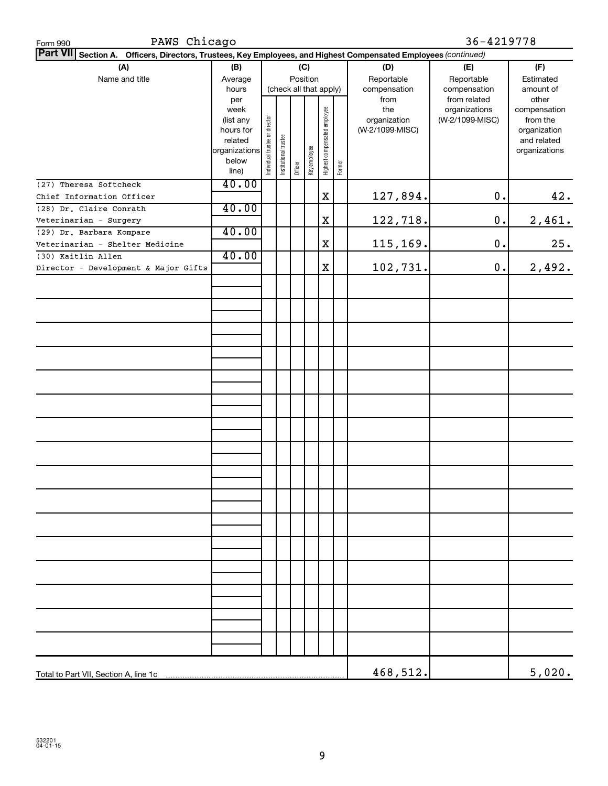| PAWS Chicago<br>Form 990                                                                                        |                        |                                |                       |          |                        |                              |              |                 | 36-4219778      |               |
|-----------------------------------------------------------------------------------------------------------------|------------------------|--------------------------------|-----------------------|----------|------------------------|------------------------------|--------------|-----------------|-----------------|---------------|
| Part VII Section A. Officers, Directors, Trustees, Key Employees, and Highest Compensated Employees (continued) |                        |                                |                       |          |                        |                              |              |                 |                 |               |
| (A)                                                                                                             | (B)                    |                                |                       |          | (C)                    |                              |              | (D)             | (E)             | (F)           |
| Name and title                                                                                                  | Average                |                                |                       | Position |                        |                              |              | Reportable      | Reportable      | Estimated     |
|                                                                                                                 | hours                  |                                |                       |          | (check all that apply) |                              | compensation | compensation    | amount of       |               |
|                                                                                                                 | per                    |                                |                       |          |                        |                              |              | from            | from related    | other         |
|                                                                                                                 | week                   |                                |                       |          |                        |                              |              | the             | organizations   | compensation  |
|                                                                                                                 | (list any              |                                |                       |          |                        |                              |              | organization    | (W-2/1099-MISC) | from the      |
|                                                                                                                 | hours for              |                                |                       |          |                        |                              |              | (W-2/1099-MISC) |                 | organization  |
|                                                                                                                 | related                |                                |                       |          |                        |                              |              |                 |                 | and related   |
|                                                                                                                 | organizations<br>below |                                |                       |          |                        |                              |              |                 |                 | organizations |
|                                                                                                                 | line)                  | Individual trustee or director | Institutional trustee | Officer  | Key employee           | Highest compensated employee | Former       |                 |                 |               |
| (27) Theresa Softcheck                                                                                          | 40.00                  |                                |                       |          |                        |                              |              |                 |                 |               |
| Chief Information Officer                                                                                       |                        |                                |                       |          |                        | $\mathbf X$                  |              | 127,894.        | 0.              | 42.           |
| (28) Dr. Claire Conrath                                                                                         | 40.00                  |                                |                       |          |                        |                              |              |                 |                 |               |
| Veterinarian - Surgery                                                                                          |                        |                                |                       |          |                        | $\mathbf X$                  |              | 122,718.        | $0$ .           | 2,461.        |
| (29) Dr. Barbara Kompare                                                                                        | 40.00                  |                                |                       |          |                        |                              |              |                 |                 |               |
| Veterinarian - Shelter Medicine                                                                                 |                        |                                |                       |          |                        | $\mathbf X$                  |              | 115, 169.       | 0.              | 25.           |
| (30) Kaitlin Allen                                                                                              | 40.00                  |                                |                       |          |                        |                              |              |                 |                 |               |
| Director - Development & Major Gifts                                                                            |                        |                                |                       |          |                        | X                            |              | 102,731.        | 0.              | 2,492.        |
|                                                                                                                 |                        |                                |                       |          |                        |                              |              |                 |                 |               |
|                                                                                                                 |                        |                                |                       |          |                        |                              |              |                 |                 |               |
|                                                                                                                 |                        |                                |                       |          |                        |                              |              |                 |                 |               |
|                                                                                                                 |                        |                                |                       |          |                        |                              |              |                 |                 |               |
|                                                                                                                 |                        |                                |                       |          |                        |                              |              |                 |                 |               |
|                                                                                                                 |                        |                                |                       |          |                        |                              |              |                 |                 |               |
|                                                                                                                 |                        |                                |                       |          |                        |                              |              |                 |                 |               |
|                                                                                                                 |                        |                                |                       |          |                        |                              |              |                 |                 |               |
|                                                                                                                 |                        |                                |                       |          |                        |                              |              |                 |                 |               |
|                                                                                                                 |                        |                                |                       |          |                        |                              |              |                 |                 |               |
|                                                                                                                 |                        |                                |                       |          |                        |                              |              |                 |                 |               |
|                                                                                                                 |                        |                                |                       |          |                        |                              |              |                 |                 |               |
|                                                                                                                 |                        |                                |                       |          |                        |                              |              |                 |                 |               |
|                                                                                                                 |                        |                                |                       |          |                        |                              |              |                 |                 |               |
|                                                                                                                 |                        |                                |                       |          |                        |                              |              |                 |                 |               |
|                                                                                                                 |                        |                                |                       |          |                        |                              |              |                 |                 |               |
|                                                                                                                 |                        |                                |                       |          |                        |                              |              |                 |                 |               |
|                                                                                                                 |                        |                                |                       |          |                        |                              |              |                 |                 |               |
|                                                                                                                 |                        |                                |                       |          |                        |                              |              |                 |                 |               |
|                                                                                                                 |                        |                                |                       |          |                        |                              |              |                 |                 |               |
|                                                                                                                 |                        |                                |                       |          |                        |                              |              |                 |                 |               |
|                                                                                                                 |                        |                                |                       |          |                        |                              |              |                 |                 |               |
|                                                                                                                 |                        |                                |                       |          |                        |                              |              |                 |                 |               |
|                                                                                                                 |                        |                                |                       |          |                        |                              |              |                 |                 |               |
|                                                                                                                 |                        |                                |                       |          |                        |                              |              |                 |                 |               |
|                                                                                                                 |                        |                                |                       |          |                        |                              |              |                 |                 |               |
|                                                                                                                 |                        |                                |                       |          |                        |                              |              |                 |                 |               |
|                                                                                                                 |                        |                                |                       |          |                        |                              |              |                 |                 |               |
|                                                                                                                 |                        |                                |                       |          |                        |                              |              |                 |                 |               |
|                                                                                                                 |                        |                                |                       |          |                        |                              |              |                 |                 |               |
|                                                                                                                 |                        |                                |                       |          |                        |                              |              | 468,512.        |                 | 5,020.        |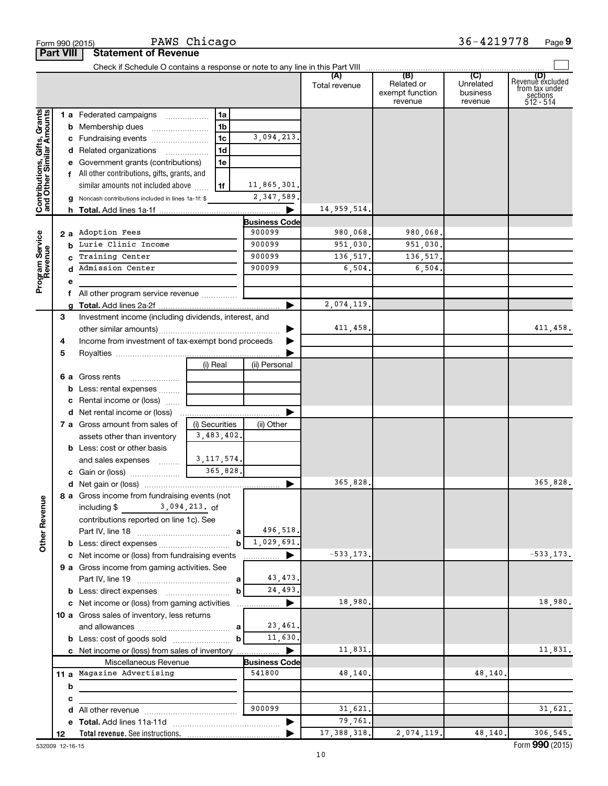|                                                           |                  | Form 990 (2015)                                                   | PAWS Chicago                 |                      |                      |                                                 | 36-4219778                              | Page 9                                                             |
|-----------------------------------------------------------|------------------|-------------------------------------------------------------------|------------------------------|----------------------|----------------------|-------------------------------------------------|-----------------------------------------|--------------------------------------------------------------------|
|                                                           | <b>Part VIII</b> | <b>Statement of Revenue</b>                                       |                              |                      |                      |                                                 |                                         |                                                                    |
|                                                           |                  |                                                                   |                              |                      |                      |                                                 |                                         |                                                                    |
|                                                           |                  |                                                                   |                              |                      | (A)<br>Total revenue | (B)<br>Related or<br>exempt function<br>revenue | (C)<br>Unrelated<br>business<br>revenue | (D)<br>Revenue excluded<br>from tax under<br>sections<br>512 - 514 |
|                                                           |                  | 1 a Federated campaigns                                           | 1a                           |                      |                      |                                                 |                                         |                                                                    |
| Contributions, Gifts, Grants<br>and Other Similar Amounts |                  | <b>b</b> Membership dues                                          | 1b                           |                      |                      |                                                 |                                         |                                                                    |
|                                                           |                  | c Fundraising events                                              | 1 <sub>c</sub>               | 3,094,213.           |                      |                                                 |                                         |                                                                    |
|                                                           |                  | d Related organizations                                           | 1 <sub>d</sub>               |                      |                      |                                                 |                                         |                                                                    |
|                                                           |                  | e Government grants (contributions)                               | 1e                           |                      |                      |                                                 |                                         |                                                                    |
|                                                           |                  | f All other contributions, gifts, grants, and                     |                              |                      |                      |                                                 |                                         |                                                                    |
|                                                           |                  | similar amounts not included above                                | 1f                           | 11,865,301.          |                      |                                                 |                                         |                                                                    |
|                                                           |                  | g Noncash contributions included in lines 1a-1f: \$               |                              | 2, 347, 589.         |                      |                                                 |                                         |                                                                    |
|                                                           |                  |                                                                   |                              | ▶                    | 14,959,514.          |                                                 |                                         |                                                                    |
|                                                           |                  |                                                                   |                              | <b>Business Code</b> |                      |                                                 |                                         |                                                                    |
|                                                           |                  | 2 a Adoption Fees                                                 |                              | 900099               | 980,068.             | 980,068.                                        |                                         |                                                                    |
|                                                           |                  | <b>b</b> Lurie Clinic Income                                      |                              | 900099               | 951,030.             | 951,030.                                        |                                         |                                                                    |
|                                                           |                  | Training Center                                                   |                              | 900099               | 136,517.             | 136,517.                                        |                                         |                                                                    |
| Program Service<br>Revenue                                | d                | Admission Center                                                  |                              | 900099               | 6,504.               | 6,504.                                          |                                         |                                                                    |
|                                                           | е                |                                                                   |                              |                      |                      |                                                 |                                         |                                                                    |
|                                                           | f                | All other program service revenue                                 |                              |                      |                      |                                                 |                                         |                                                                    |
|                                                           |                  |                                                                   |                              | ▶                    | 2,074,119.           |                                                 |                                         |                                                                    |
|                                                           | З                | Investment income (including dividends, interest, and             |                              |                      |                      |                                                 |                                         |                                                                    |
|                                                           |                  |                                                                   |                              | ▶                    | 411,458.             |                                                 |                                         | 411,458.                                                           |
|                                                           | 4                | Income from investment of tax-exempt bond proceeds                |                              | ▶                    |                      |                                                 |                                         |                                                                    |
|                                                           | 5                |                                                                   |                              |                      |                      |                                                 |                                         |                                                                    |
|                                                           |                  |                                                                   | (i) Real                     | (ii) Personal        |                      |                                                 |                                         |                                                                    |
|                                                           |                  | 6 a Gross rents                                                   |                              |                      |                      |                                                 |                                         |                                                                    |
|                                                           |                  | <b>b</b> Less: rental expenses                                    |                              |                      |                      |                                                 |                                         |                                                                    |
|                                                           |                  | c Rental income or (loss)                                         |                              |                      |                      |                                                 |                                         |                                                                    |
|                                                           |                  | <b>d</b> Net rental income or (loss)                              |                              |                      |                      |                                                 |                                         |                                                                    |
|                                                           |                  | 7 a Gross amount from sales of                                    | (i) Securities<br>3,483,402. | (ii) Other           |                      |                                                 |                                         |                                                                    |
|                                                           |                  | assets other than inventory<br><b>b</b> Less: cost or other basis |                              |                      |                      |                                                 |                                         |                                                                    |
|                                                           |                  | and sales expenses                                                | 3, 117, 574.                 |                      |                      |                                                 |                                         |                                                                    |
|                                                           |                  | c Gain or (loss)                                                  | 365,828.                     |                      |                      |                                                 |                                         |                                                                    |
|                                                           |                  |                                                                   |                              |                      | 365,828.             |                                                 |                                         | 365,828.                                                           |
|                                                           |                  | 8 a Gross income from fundraising events (not                     |                              |                      |                      |                                                 |                                         |                                                                    |
|                                                           |                  | including \$ 3,094,213. of                                        |                              |                      |                      |                                                 |                                         |                                                                    |
| <b>Other Revenue</b>                                      |                  | contributions reported on line 1c). See                           |                              |                      |                      |                                                 |                                         |                                                                    |
|                                                           |                  |                                                                   |                              | 496,518.             |                      |                                                 |                                         |                                                                    |
|                                                           |                  |                                                                   | b                            | 1,029,691.           |                      |                                                 |                                         |                                                                    |
|                                                           |                  | c Net income or (loss) from fundraising events                    |                              | ▶                    | $-533, 173.$         |                                                 |                                         | $-533, 173.$                                                       |
|                                                           |                  | 9 a Gross income from gaming activities. See                      |                              |                      |                      |                                                 |                                         |                                                                    |
|                                                           |                  |                                                                   |                              | 43,473.              |                      |                                                 |                                         |                                                                    |
|                                                           |                  |                                                                   | b                            | 24,493.              |                      |                                                 |                                         |                                                                    |
|                                                           |                  | c Net income or (loss) from gaming activities                     |                              | ▶                    | 18,980.              |                                                 |                                         | 18,980.                                                            |
|                                                           |                  | 10 a Gross sales of inventory, less returns                       |                              |                      |                      |                                                 |                                         |                                                                    |
|                                                           |                  |                                                                   | a                            | 23,461.              |                      |                                                 |                                         |                                                                    |
|                                                           |                  |                                                                   | $\mathbf b$                  | 11,630.              |                      |                                                 |                                         |                                                                    |
|                                                           |                  | c Net income or (loss) from sales of inventory                    |                              | ▶                    | 11,831.              |                                                 |                                         | 11,831.                                                            |
|                                                           |                  | Miscellaneous Revenue                                             |                              | <b>Business Code</b> |                      |                                                 |                                         |                                                                    |
|                                                           |                  | 11 a Magazine Advertising                                         |                              | 541800               | 48,140.              |                                                 | 48,140.                                 |                                                                    |
|                                                           | b                |                                                                   |                              |                      |                      |                                                 |                                         |                                                                    |
|                                                           | c                |                                                                   |                              |                      |                      |                                                 |                                         |                                                                    |
|                                                           | d                |                                                                   |                              | 900099               | 31,621.              |                                                 |                                         | 31,621.                                                            |
|                                                           | е                |                                                                   |                              | ▶                    | 79,761.              |                                                 |                                         |                                                                    |
|                                                           | 12               |                                                                   |                              |                      | 17,388,318.          | 2,074,119.                                      | 48,140.                                 | 306,545.                                                           |

532009 12-16-15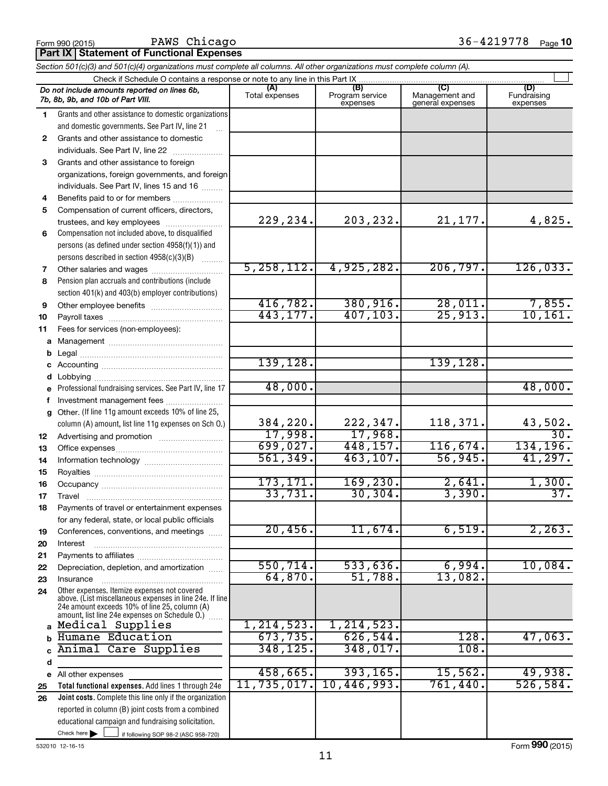## PAWS Chicago

|              | <b>Part IX Statement of Functional Expenses</b>                                                                                                           |                       |                                    |                                                      |                                |  |  |  |  |  |
|--------------|-----------------------------------------------------------------------------------------------------------------------------------------------------------|-----------------------|------------------------------------|------------------------------------------------------|--------------------------------|--|--|--|--|--|
|              | Section 501(c)(3) and 501(c)(4) organizations must complete all columns. All other organizations must complete column (A).                                |                       |                                    |                                                      |                                |  |  |  |  |  |
|              | Check if Schedule O contains a response or note to any line in this Part IX                                                                               |                       |                                    |                                                      |                                |  |  |  |  |  |
|              | Do not include amounts reported on lines 6b,<br>7b, 8b, 9b, and 10b of Part VIII.                                                                         | (A)<br>Total expenses | (B)<br>Program service<br>expenses | $\overline{C}$<br>Management and<br>general expenses | (D)<br>Fundraising<br>expenses |  |  |  |  |  |
| 1.           | Grants and other assistance to domestic organizations                                                                                                     |                       |                                    |                                                      |                                |  |  |  |  |  |
|              | and domestic governments. See Part IV, line 21                                                                                                            |                       |                                    |                                                      |                                |  |  |  |  |  |
| $\mathbf{2}$ | Grants and other assistance to domestic                                                                                                                   |                       |                                    |                                                      |                                |  |  |  |  |  |
|              | individuals. See Part IV, line 22                                                                                                                         |                       |                                    |                                                      |                                |  |  |  |  |  |
| 3            | Grants and other assistance to foreign                                                                                                                    |                       |                                    |                                                      |                                |  |  |  |  |  |
|              | organizations, foreign governments, and foreign                                                                                                           |                       |                                    |                                                      |                                |  |  |  |  |  |
|              | individuals. See Part IV, lines 15 and 16                                                                                                                 |                       |                                    |                                                      |                                |  |  |  |  |  |
| 4            | Benefits paid to or for members                                                                                                                           |                       |                                    |                                                      |                                |  |  |  |  |  |
| 5            | Compensation of current officers, directors,                                                                                                              |                       |                                    |                                                      |                                |  |  |  |  |  |
|              | trustees, and key employees                                                                                                                               | 229,234.              | 203,232.                           | 21,177.                                              | 4,825.                         |  |  |  |  |  |
| 6            | Compensation not included above, to disqualified                                                                                                          |                       |                                    |                                                      |                                |  |  |  |  |  |
|              | persons (as defined under section 4958(f)(1)) and                                                                                                         |                       |                                    |                                                      |                                |  |  |  |  |  |
|              | persons described in section 4958(c)(3)(B)                                                                                                                |                       |                                    |                                                      |                                |  |  |  |  |  |
| 7            | Other salaries and wages                                                                                                                                  | 5, 258, 112.          | 4,925,282.                         | 206, 797.                                            | 126,033.                       |  |  |  |  |  |
| 8            | Pension plan accruals and contributions (include                                                                                                          |                       |                                    |                                                      |                                |  |  |  |  |  |
|              | section 401(k) and 403(b) employer contributions)                                                                                                         |                       |                                    |                                                      |                                |  |  |  |  |  |
| 9            | Other employee benefits                                                                                                                                   | 416, 782.             | 380, 916.                          | 28,011.                                              | $\frac{7,855}{10,161}$         |  |  |  |  |  |
| 10           |                                                                                                                                                           | 443, 177.             | 407, 103.                          | 25,913.                                              |                                |  |  |  |  |  |
| 11           | Fees for services (non-employees):                                                                                                                        |                       |                                    |                                                      |                                |  |  |  |  |  |
| а            |                                                                                                                                                           |                       |                                    |                                                      |                                |  |  |  |  |  |
|              |                                                                                                                                                           |                       |                                    |                                                      |                                |  |  |  |  |  |
| c            |                                                                                                                                                           | 139, 128.             |                                    | 139, 128.                                            |                                |  |  |  |  |  |
|              |                                                                                                                                                           | 48,000.               |                                    |                                                      | 48,000.                        |  |  |  |  |  |
| е            | Professional fundraising services. See Part IV, line 17                                                                                                   |                       |                                    |                                                      |                                |  |  |  |  |  |
|              | Investment management fees                                                                                                                                |                       |                                    |                                                      |                                |  |  |  |  |  |
| g            | Other. (If line 11g amount exceeds 10% of line 25,                                                                                                        | 384,220.              | 222,347.                           | 118,371.                                             |                                |  |  |  |  |  |
|              | column (A) amount, list line 11g expenses on Sch O.)                                                                                                      | 17,998.               | 17,968.                            |                                                      | 43,502.<br>30.                 |  |  |  |  |  |
| 12           |                                                                                                                                                           | 699,027.              | 448,157.                           | 116,674.                                             | 134,196.                       |  |  |  |  |  |
| 13           |                                                                                                                                                           | 561,349.              | 463, 107.                          | 56,945.                                              | 41,297.                        |  |  |  |  |  |
| 14           |                                                                                                                                                           |                       |                                    |                                                      |                                |  |  |  |  |  |
| 15           |                                                                                                                                                           | 173,171.              | 169, 230.                          |                                                      | 1,300.                         |  |  |  |  |  |
| 16<br>17     |                                                                                                                                                           | 33,731.               | 30, 304.                           | $\frac{2,641}{3,390}$ .                              | 37.                            |  |  |  |  |  |
| 18           | Travel<br>Payments of travel or entertainment expenses                                                                                                    |                       |                                    |                                                      |                                |  |  |  |  |  |
|              | for any federal, state, or local public officials                                                                                                         |                       |                                    |                                                      |                                |  |  |  |  |  |
| 19           | Conferences, conventions, and meetings                                                                                                                    | 20,456.               | 11,674.                            | 6,519.                                               | 2, 263.                        |  |  |  |  |  |
| 20           | Interest                                                                                                                                                  |                       |                                    |                                                      |                                |  |  |  |  |  |
| 21           |                                                                                                                                                           |                       |                                    |                                                      |                                |  |  |  |  |  |
| 22           | Depreciation, depletion, and amortization                                                                                                                 | 550, 714.             | 533,636.                           | 6,994.                                               | 10,084.                        |  |  |  |  |  |
| 23           | Insurance                                                                                                                                                 | 64,870.               | 51,788.                            | 13,082.                                              |                                |  |  |  |  |  |
| 24           | Other expenses. Itemize expenses not covered<br>above. (List miscellaneous expenses in line 24e. If line<br>24e amount exceeds 10% of line 25, column (A) |                       |                                    |                                                      |                                |  |  |  |  |  |
| a            | amount, list line 24e expenses on Schedule O.)<br>Medical Supplies                                                                                        | 1, 214, 523.          | 1, 214, 523.                       |                                                      |                                |  |  |  |  |  |
|              | Humane Education                                                                                                                                          | 673,735.              | 626,544.                           | 128.                                                 | 47,063.                        |  |  |  |  |  |
|              | Animal Care Supplies                                                                                                                                      | 348,125.              | 348,017.                           | 108.                                                 |                                |  |  |  |  |  |
| d            |                                                                                                                                                           |                       |                                    |                                                      |                                |  |  |  |  |  |
| е            | All other expenses                                                                                                                                        | 458,665.              | 393, 165.                          | 15,562.                                              | 49,938.                        |  |  |  |  |  |
| 25           | Total functional expenses. Add lines 1 through 24e                                                                                                        | 11,735,017.           | 10,446,993.                        | 761,440.                                             | 526, 584.                      |  |  |  |  |  |
| 26           | Joint costs. Complete this line only if the organization                                                                                                  |                       |                                    |                                                      |                                |  |  |  |  |  |
|              | reported in column (B) joint costs from a combined                                                                                                        |                       |                                    |                                                      |                                |  |  |  |  |  |

Check here |

Check here  $\begin{array}{c} \begin{array}{|c} \hline \end{array} \end{array}$  if following SOP 98-2 (ASC 958-720)

educational campaign and fundraising solicitation.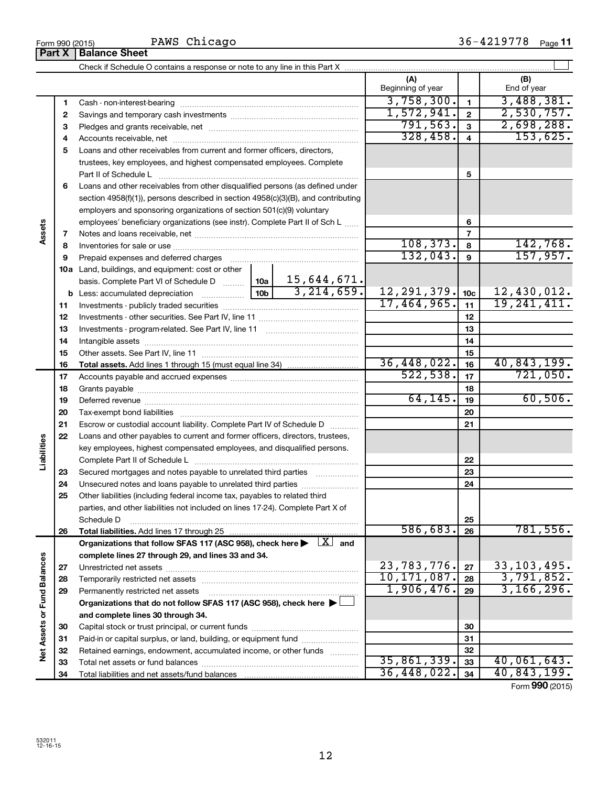**21 22**

**23 24 25**

**Liabilities**

**26**

**27 28 29**

**Net Assets or Fund Balances**

Net Assets or Fund Balances

|        |    | PAWS Chicago<br>Form 990 (2015)<br><b>Part X   Balance Sheet</b>                                                                                                                                                               |             |                         |                   |                 | 36-4219778 Page 11 |
|--------|----|--------------------------------------------------------------------------------------------------------------------------------------------------------------------------------------------------------------------------------|-------------|-------------------------|-------------------|-----------------|--------------------|
|        |    |                                                                                                                                                                                                                                |             |                         |                   |                 |                    |
|        |    |                                                                                                                                                                                                                                |             |                         | (A)               |                 | (B)                |
|        |    |                                                                                                                                                                                                                                |             |                         | Beginning of year |                 | End of year        |
|        | 1  |                                                                                                                                                                                                                                | 3,758,300.  | $\blacksquare$          | 3,488,381.        |                 |                    |
|        | 2  |                                                                                                                                                                                                                                | 1,572,941.  | $\overline{2}$          | 2,530,757.        |                 |                    |
|        | 3  |                                                                                                                                                                                                                                | 791,563.    | $\mathbf{3}$            | 2,698,288.        |                 |                    |
|        | 4  |                                                                                                                                                                                                                                | 328,458.    | $\overline{\mathbf{4}}$ | 153,625.          |                 |                    |
|        | 5  | Loans and other receivables from current and former officers, directors,                                                                                                                                                       |             |                         |                   |                 |                    |
|        |    | trustees, key employees, and highest compensated employees. Complete                                                                                                                                                           |             |                         |                   |                 |                    |
|        |    | Part II of Schedule L                                                                                                                                                                                                          |             | 5                       |                   |                 |                    |
|        | 6  | Loans and other receivables from other disqualified persons (as defined under                                                                                                                                                  |             |                         |                   |                 |                    |
|        |    | section 4958(f)(1)), persons described in section 4958(c)(3)(B), and contributing                                                                                                                                              |             |                         |                   |                 |                    |
|        |    | employers and sponsoring organizations of section 501(c)(9) voluntary                                                                                                                                                          |             |                         |                   |                 |                    |
|        |    | employees' beneficiary organizations (see instr). Complete Part II of Sch L                                                                                                                                                    |             | 6                       |                   |                 |                    |
| Assets | 7  |                                                                                                                                                                                                                                |             |                         | $\overline{7}$    |                 |                    |
|        | 8  |                                                                                                                                                                                                                                |             | 108, 373.               | 8                 | 142,768.        |                    |
|        | 9  | Prepaid expenses and deferred charges [11] [11] prepaid expenses and deferred charges [11] [11] minimum and the Prepaid expenses and deferred charges [11] minimum and the Prepaid experiment of Prepaid experiment and the Pr |             |                         | 132,043.          | 9               | 157,957.           |
|        |    | <b>10a</b> Land, buildings, and equipment: cost or other                                                                                                                                                                       |             |                         |                   |                 |                    |
|        |    | basis. Complete Part VI of Schedule D    10a   15,644,671.                                                                                                                                                                     |             |                         |                   |                 |                    |
|        |    |                                                                                                                                                                                                                                |             | 3, 214, 659.            | 12, 291, 379.     | 10 <sub>c</sub> | 12,430,012.        |
|        | 11 |                                                                                                                                                                                                                                |             |                         | 17,464,965.       | 11              | 19, 241, 411.      |
|        | 12 |                                                                                                                                                                                                                                |             |                         |                   | 12              |                    |
|        | 13 |                                                                                                                                                                                                                                |             |                         |                   | 13              |                    |
|        | 14 |                                                                                                                                                                                                                                |             |                         |                   | 14              |                    |
|        | 15 |                                                                                                                                                                                                                                |             |                         |                   | 15              |                    |
|        | 16 |                                                                                                                                                                                                                                | 36,448,022. | 16                      | 40,843,199.       |                 |                    |
|        | 17 |                                                                                                                                                                                                                                |             |                         | 522, 538.         | 17              | 721,050.           |
|        | 18 |                                                                                                                                                                                                                                |             |                         |                   | 18              |                    |
|        | 19 |                                                                                                                                                                                                                                |             |                         | 64, 145.          | 19              | 60,506.            |
|        | 20 | Tax-exempt bond liabilities                                                                                                                                                                                                    |             | 20                      |                   |                 |                    |

**Total liabilities.**  Add lines 17 through 25 Organizations that follow SFAS 117 (ASC 958), check here  $\blacktriangleright$   $\boxed{X}$  and

Unrestricted net assets ~~~~~~~~~~~~~~~~~~~~~~~~~~~ Temporarily restricted net assets ~~~~~~~~~~~~~~~~~~~~~~ Permanently restricted net assets ~~~~~~~~~~~~~~~~~~~~~

Escrow or custodial account liability. Complete Part IV of Schedule D ........... Loans and other payables to current and former officers, directors, trustees, key employees, highest compensated employees, and disqualified persons. Complete Part II of Schedule L ~~~~~~~~~~~~~~~~~~~~~~~ Secured mortgages and notes payable to unrelated third parties  $\ldots$ ................ Unsecured notes and loans payable to unrelated third parties ~~~~~~~~ Other liabilities (including federal income tax, payables to related third parties, and other liabilities not included on lines 17-24). Complete Part X of Schedule D ~~~~~~~~~~~~~~~~~~~~~~~~~~~~~~~~

**Organizations that do not follow SFAS 117 (ASC 958), check here** | †

Capital stock or trust principal, or current funds ~~~~~~~~~~~~~~~ Paid-in or capital surplus, or land, building, or equipment fund ....................... Retained earnings, endowment, accumulated income, or other funds ............ Total net assets or fund balances ~~~~~~~~~~~~~~~~~~~~~~

**complete lines 27 through 29, and lines 33 and 34.**

Total liabilities and net assets/fund balances ...

**and complete lines 30 through 34.**

**21**

**22 23 24**

**25 26**

586,683. 781,556.

**27 28 29**

23,783,776. 27 33,103,495. 10,171,087. **28** 3,791,852. 1,906,476. 3,166,296.

35,861,339. 40,061,643. 36,448,022. 40,843,199.

Form (2015) **990**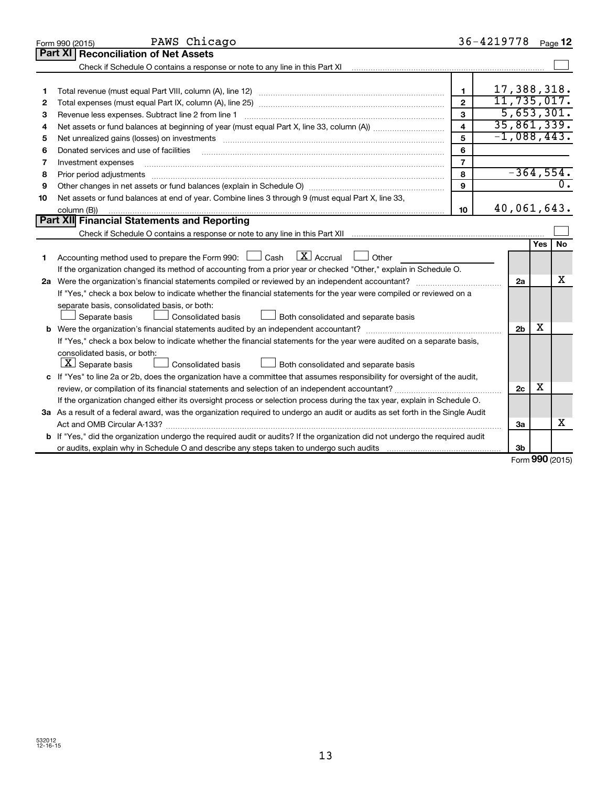|    | PAWS Chicago<br>Form 990 (2015)                                                                                                 |                         | 36-4219778    |                |     | Page 12     |
|----|---------------------------------------------------------------------------------------------------------------------------------|-------------------------|---------------|----------------|-----|-------------|
|    | Part XI   Reconciliation of Net Assets                                                                                          |                         |               |                |     |             |
|    | Check if Schedule O contains a response or note to any line in this Part XI                                                     |                         |               |                |     |             |
|    |                                                                                                                                 |                         |               |                |     |             |
| 1  |                                                                                                                                 | 1                       | 17,388,318.   |                |     |             |
| 2  |                                                                                                                                 | $\overline{2}$          | 11,735,017.   |                |     |             |
| 3  | Revenue less expenses. Subtract line 2 from line 1                                                                              | 3                       |               |                |     | 5,653,301.  |
| 4  |                                                                                                                                 | $\overline{\mathbf{A}}$ | 35,861,339.   |                |     |             |
| 5  |                                                                                                                                 | 5                       | $-1,088,443.$ |                |     |             |
| 6  | Donated services and use of facilities                                                                                          | 6                       |               |                |     |             |
| 7  | Investment expenses                                                                                                             | $\overline{\mathbf{r}}$ |               |                |     |             |
| 8  | Prior period adjustments                                                                                                        | 8                       |               |                |     | $-364,554.$ |
| 9  |                                                                                                                                 | 9                       |               |                |     | 0.          |
| 10 | Net assets or fund balances at end of year. Combine lines 3 through 9 (must equal Part X, line 33,                              |                         |               |                |     |             |
|    | column (B))                                                                                                                     | 10                      | 40,061,643.   |                |     |             |
|    | Part XII Financial Statements and Reporting                                                                                     |                         |               |                |     |             |
|    |                                                                                                                                 |                         |               |                |     |             |
|    |                                                                                                                                 |                         |               |                | Yes | <b>No</b>   |
| 1  | $\overline{\mathbf{X}}$ Accrual<br>Accounting method used to prepare the Form 990: $\Box$ Cash<br>$\Box$ Other                  |                         |               |                |     |             |
|    | If the organization changed its method of accounting from a prior year or checked "Other," explain in Schedule O.               |                         |               |                |     |             |
|    |                                                                                                                                 |                         |               | 2a             |     | x           |
|    | If "Yes," check a box below to indicate whether the financial statements for the year were compiled or reviewed on a            |                         |               |                |     |             |
|    | separate basis, consolidated basis, or both:                                                                                    |                         |               |                |     |             |
|    | Separate basis<br>Consolidated basis<br>Both consolidated and separate basis                                                    |                         |               |                |     |             |
|    |                                                                                                                                 |                         |               | 2 <sub>b</sub> | х   |             |
|    | If "Yes," check a box below to indicate whether the financial statements for the year were audited on a separate basis,         |                         |               |                |     |             |
|    | consolidated basis, or both:                                                                                                    |                         |               |                |     |             |
|    | $\lfloor \underline{X} \rfloor$ Separate basis<br>Consolidated basis<br>Both consolidated and separate basis                    |                         |               |                |     |             |
|    | c If "Yes" to line 2a or 2b, does the organization have a committee that assumes responsibility for oversight of the audit,     |                         |               |                |     |             |
|    | review, or compilation of its financial statements and selection of an independent accountant?                                  |                         |               | 2 <sub>c</sub> | х   |             |
|    | If the organization changed either its oversight process or selection process during the tax year, explain in Schedule O.       |                         |               |                |     |             |
|    | 3a As a result of a federal award, was the organization required to undergo an audit or audits as set forth in the Single Audit |                         |               |                |     |             |
|    |                                                                                                                                 |                         |               | За             |     | X           |
|    | b If "Yes," did the organization undergo the required audit or audits? If the organization did not undergo the required audit   |                         |               |                |     |             |
|    | or audits, explain why in Schedule O and describe any steps taken to undergo such audits matures and the matur                  |                         |               | 3b             |     |             |

Form (2015) **990**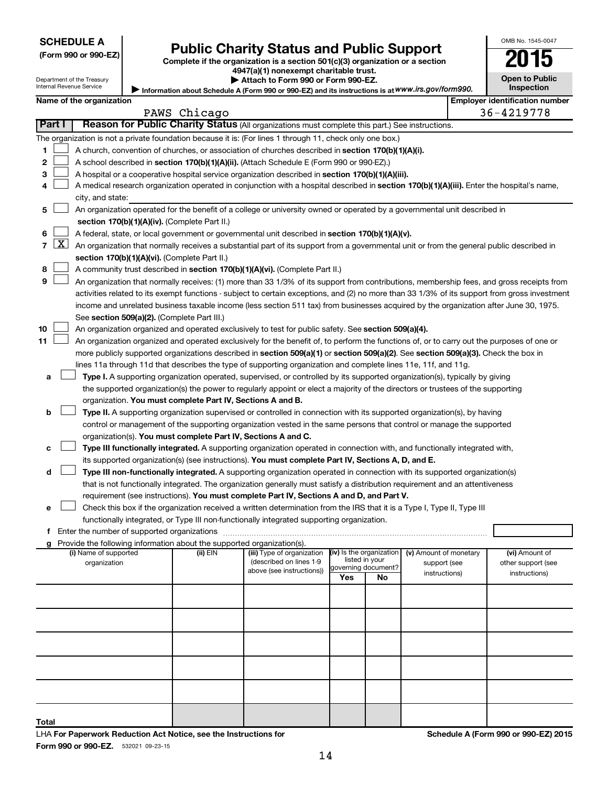| <b>SCHEDULE A</b> |  |
|-------------------|--|
|-------------------|--|

|  |  |  | (Form 990 or 990-EZ) |
|--|--|--|----------------------|
|--|--|--|----------------------|

# Form 990 or 990-EZ) Public Charity Status and Public Support<br>
Complete if the organization is a section 501(c)(3) organization or a section<br> **2015**

**4947(a)(1) nonexempt charitable trust.**

| <b>Open to Public</b><br><b>Inspection</b> |
|--------------------------------------------|

OMB No. 1545-0047

Department of the Treasury Internal Revenue Service

| Attach to Form 990 or Form 990-EZ.                                                                |  |
|---------------------------------------------------------------------------------------------------|--|
| Information about Schedule A (Form 990 or 990-EZ) and its instructions is at WWW.irs.gov/form990. |  |

|        | $5.1$ as set sono ano $1$ , $\frac{1}{1}$ s ses s. ses $\equiv$<br>Name of the organization<br><b>Employer identification number</b> |                                                                                                    |                                                                                                                                               |              |                            |                |                          |                        |  |                    |
|--------|--------------------------------------------------------------------------------------------------------------------------------------|----------------------------------------------------------------------------------------------------|-----------------------------------------------------------------------------------------------------------------------------------------------|--------------|----------------------------|----------------|--------------------------|------------------------|--|--------------------|
|        |                                                                                                                                      |                                                                                                    |                                                                                                                                               | PAWS Chicago |                            |                |                          |                        |  | 36-4219778         |
| Part I |                                                                                                                                      |                                                                                                    | Reason for Public Charity Status (All organizations must complete this part.) See instructions.                                               |              |                            |                |                          |                        |  |                    |
|        |                                                                                                                                      |                                                                                                    | The organization is not a private foundation because it is: (For lines 1 through 11, check only one box.)                                     |              |                            |                |                          |                        |  |                    |
| 1      |                                                                                                                                      | A church, convention of churches, or association of churches described in section 170(b)(1)(A)(i). |                                                                                                                                               |              |                            |                |                          |                        |  |                    |
| 2      |                                                                                                                                      |                                                                                                    | A school described in section 170(b)(1)(A)(ii). (Attach Schedule E (Form 990 or 990-EZ).)                                                     |              |                            |                |                          |                        |  |                    |
| з      |                                                                                                                                      |                                                                                                    | A hospital or a cooperative hospital service organization described in section 170(b)(1)(A)(iii).                                             |              |                            |                |                          |                        |  |                    |
| 4      |                                                                                                                                      |                                                                                                    | A medical research organization operated in conjunction with a hospital described in section 170(b)(1)(A)(iii). Enter the hospital's name,    |              |                            |                |                          |                        |  |                    |
|        | city, and state:                                                                                                                     |                                                                                                    |                                                                                                                                               |              |                            |                |                          |                        |  |                    |
| 5      |                                                                                                                                      |                                                                                                    | An organization operated for the benefit of a college or university owned or operated by a governmental unit described in                     |              |                            |                |                          |                        |  |                    |
|        |                                                                                                                                      |                                                                                                    | section 170(b)(1)(A)(iv). (Complete Part II.)                                                                                                 |              |                            |                |                          |                        |  |                    |
| 6      |                                                                                                                                      |                                                                                                    | A federal, state, or local government or governmental unit described in section 170(b)(1)(A)(v).                                              |              |                            |                |                          |                        |  |                    |
| 7      |                                                                                                                                      | <u>x</u>                                                                                           | An organization that normally receives a substantial part of its support from a governmental unit or from the general public described in     |              |                            |                |                          |                        |  |                    |
|        |                                                                                                                                      |                                                                                                    | section 170(b)(1)(A)(vi). (Complete Part II.)                                                                                                 |              |                            |                |                          |                        |  |                    |
| 8      |                                                                                                                                      |                                                                                                    | A community trust described in section 170(b)(1)(A)(vi). (Complete Part II.)                                                                  |              |                            |                |                          |                        |  |                    |
| 9      |                                                                                                                                      |                                                                                                    | An organization that normally receives: (1) more than 33 1/3% of its support from contributions, membership fees, and gross receipts from     |              |                            |                |                          |                        |  |                    |
|        |                                                                                                                                      |                                                                                                    | activities related to its exempt functions - subject to certain exceptions, and (2) no more than 33 1/3% of its support from gross investment |              |                            |                |                          |                        |  |                    |
|        |                                                                                                                                      |                                                                                                    | income and unrelated business taxable income (less section 511 tax) from businesses acquired by the organization after June 30, 1975.         |              |                            |                |                          |                        |  |                    |
|        |                                                                                                                                      |                                                                                                    | See section 509(a)(2). (Complete Part III.)                                                                                                   |              |                            |                |                          |                        |  |                    |
| 10     |                                                                                                                                      |                                                                                                    | An organization organized and operated exclusively to test for public safety. See section 509(a)(4).                                          |              |                            |                |                          |                        |  |                    |
| 11     |                                                                                                                                      |                                                                                                    | An organization organized and operated exclusively for the benefit of, to perform the functions of, or to carry out the purposes of one or    |              |                            |                |                          |                        |  |                    |
|        |                                                                                                                                      |                                                                                                    | more publicly supported organizations described in section 509(a)(1) or section 509(a)(2). See section 509(a)(3). Check the box in            |              |                            |                |                          |                        |  |                    |
|        |                                                                                                                                      |                                                                                                    | lines 11a through 11d that describes the type of supporting organization and complete lines 11e, 11f, and 11g.                                |              |                            |                |                          |                        |  |                    |
| а      |                                                                                                                                      |                                                                                                    | Type I. A supporting organization operated, supervised, or controlled by its supported organization(s), typically by giving                   |              |                            |                |                          |                        |  |                    |
|        |                                                                                                                                      |                                                                                                    | the supported organization(s) the power to regularly appoint or elect a majority of the directors or trustees of the supporting               |              |                            |                |                          |                        |  |                    |
|        |                                                                                                                                      |                                                                                                    | organization. You must complete Part IV, Sections A and B.                                                                                    |              |                            |                |                          |                        |  |                    |
| b      |                                                                                                                                      |                                                                                                    | Type II. A supporting organization supervised or controlled in connection with its supported organization(s), by having                       |              |                            |                |                          |                        |  |                    |
|        |                                                                                                                                      |                                                                                                    | control or management of the supporting organization vested in the same persons that control or manage the supported                          |              |                            |                |                          |                        |  |                    |
|        |                                                                                                                                      |                                                                                                    | organization(s). You must complete Part IV, Sections A and C.                                                                                 |              |                            |                |                          |                        |  |                    |
|        |                                                                                                                                      |                                                                                                    | Type III functionally integrated. A supporting organization operated in connection with, and functionally integrated with,                    |              |                            |                |                          |                        |  |                    |
| с      |                                                                                                                                      |                                                                                                    |                                                                                                                                               |              |                            |                |                          |                        |  |                    |
|        |                                                                                                                                      |                                                                                                    | its supported organization(s) (see instructions). You must complete Part IV, Sections A, D, and E.                                            |              |                            |                |                          |                        |  |                    |
| d      |                                                                                                                                      |                                                                                                    | Type III non-functionally integrated. A supporting organization operated in connection with its supported organization(s)                     |              |                            |                |                          |                        |  |                    |
|        |                                                                                                                                      |                                                                                                    | that is not functionally integrated. The organization generally must satisfy a distribution requirement and an attentiveness                  |              |                            |                |                          |                        |  |                    |
|        |                                                                                                                                      |                                                                                                    | requirement (see instructions). You must complete Part IV, Sections A and D, and Part V.                                                      |              |                            |                |                          |                        |  |                    |
| е      |                                                                                                                                      |                                                                                                    | Check this box if the organization received a written determination from the IRS that it is a Type I, Type II, Type III                       |              |                            |                |                          |                        |  |                    |
|        |                                                                                                                                      |                                                                                                    | functionally integrated, or Type III non-functionally integrated supporting organization.                                                     |              |                            |                |                          |                        |  |                    |
|        |                                                                                                                                      |                                                                                                    | f Enter the number of supported organizations                                                                                                 |              |                            |                |                          |                        |  |                    |
|        |                                                                                                                                      |                                                                                                    | g Provide the following information about the supported organization(s).<br>(i) Name of supported                                             | (ii) EIN     | (iii) Type of organization |                | (iv) Is the organization | (v) Amount of monetary |  | (vi) Amount of     |
|        |                                                                                                                                      |                                                                                                    | organization                                                                                                                                  |              | (described on lines 1-9    | listed in your |                          | support (see           |  | other support (see |
|        |                                                                                                                                      |                                                                                                    |                                                                                                                                               |              | above (see instructions))  | Yes            | governing document?      | instructions)          |  | instructions)      |
|        |                                                                                                                                      |                                                                                                    |                                                                                                                                               |              |                            |                | No                       |                        |  |                    |
|        |                                                                                                                                      |                                                                                                    |                                                                                                                                               |              |                            |                |                          |                        |  |                    |
|        |                                                                                                                                      |                                                                                                    |                                                                                                                                               |              |                            |                |                          |                        |  |                    |
|        |                                                                                                                                      |                                                                                                    |                                                                                                                                               |              |                            |                |                          |                        |  |                    |
|        |                                                                                                                                      |                                                                                                    |                                                                                                                                               |              |                            |                |                          |                        |  |                    |
|        |                                                                                                                                      |                                                                                                    |                                                                                                                                               |              |                            |                |                          |                        |  |                    |

**Total**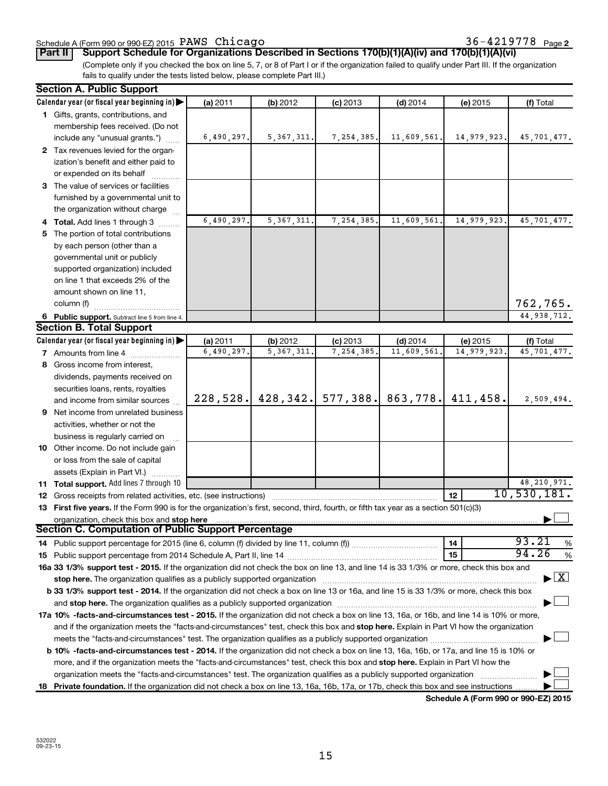#### Schedule A (Form 990 or 990-EZ) 2015 Page PAWS Chicago 36-4219778

36-4219778 Page 2

**Part II Support Schedule for Organizations Described in Sections 170(b)(1)(A)(iv) and 170(b)(1)(A)(vi)**

(Complete only if you checked the box on line 5, 7, or 8 of Part I or if the organization failed to qualify under Part III. If the organization fails to qualify under the tests listed below, please complete Part III.)

| Calendar year (or fiscal year beginning in)<br>(a) 2011<br>(f) Total<br>(b) 2012<br>$(c)$ 2013<br>$(d)$ 2014<br>(e) 2015<br>1 Gifts, grants, contributions, and<br>membership fees received. (Do not<br>5, 367, 311.<br>7,254,385.<br>11,609,561.<br>14,979,923.<br>include any "unusual grants.")<br>6,490,297.<br>45,701,477.<br>2 Tax revenues levied for the organ-<br>ization's benefit and either paid to<br>or expended on its behalf<br>3 The value of services or facilities<br>furnished by a governmental unit to<br>the organization without charge<br>5, 367, 311<br>7,254,385.<br>6,490,297.<br>11,609,561.<br>14,979,923<br>45,701,477.<br>4 Total. Add lines 1 through 3<br>5 The portion of total contributions<br>by each person (other than a<br>governmental unit or publicly<br>supported organization) included<br>on line 1 that exceeds 2% of the<br>amount shown on line 11,<br>762,765.<br>column (f)<br>44,938,712.<br>6 Public support. Subtract line 5 from line 4.<br><b>Section B. Total Support</b><br>Calendar year (or fiscal year beginning in)<br>(a) 2011<br>(b) 2012<br>(c) 2013<br>$(d)$ 2014<br>(f) Total<br>(e) 2015<br>6,490,297.<br>7,254,385.<br>11,609,561<br>14,979,923<br>5, 367, 311<br>45,701,477.<br><b>7</b> Amounts from line 4<br>8 Gross income from interest,<br>dividends, payments received on<br>securities loans, rents, royalties<br>577,388.<br>863,778.<br>428, 342.<br>411,458.<br>228,528.<br>2,509,494.<br>and income from similar sources<br>9 Net income from unrelated business<br>activities, whether or not the<br>business is regularly carried on<br>10 Other income. Do not include gain<br>or loss from the sale of capital<br>assets (Explain in Part VI.)<br>48, 210, 971.<br>11 Total support. Add lines 7 through 10<br>10,530,181.<br>12<br><b>12</b> Gross receipts from related activities, etc. (see instructions)<br>13 First five years. If the Form 990 is for the organization's first, second, third, fourth, or fifth tax year as a section 501(c)(3)<br>organization, check this box and stop here<br><b>Section C. Computation of Public Support Percentage</b><br>93.21<br>14<br>%<br>94.26<br>15<br>$\%$<br>16a 33 1/3% support test - 2015. If the organization did not check the box on line 13, and line 14 is 33 1/3% or more, check this box and<br>$\blacktriangleright$ $\mathbf{X}$<br>stop here. The organization qualifies as a publicly supported organization manufactured content and the organization of the state of the state of the state of the state of the state of the state of the state of the state o<br>b 33 1/3% support test - 2014. If the organization did not check a box on line 13 or 16a, and line 15 is 33 1/3% or more, check this box<br>17a 10% -facts-and-circumstances test - 2015. If the organization did not check a box on line 13, 16a, or 16b, and line 14 is 10% or more,<br>and if the organization meets the "facts-and-circumstances" test, check this box and stop here. Explain in Part VI how the organization<br>b 10% -facts-and-circumstances test - 2014. If the organization did not check a box on line 13, 16a, 16b, or 17a, and line 15 is 10% or<br>more, and if the organization meets the "facts-and-circumstances" test, check this box and <b>stop here.</b> Explain in Part VI how the<br>organization meets the "facts-and-circumstances" test. The organization qualifies as a publicly supported organization | <b>Section A. Public Support</b> |  |  |  |
|--------------------------------------------------------------------------------------------------------------------------------------------------------------------------------------------------------------------------------------------------------------------------------------------------------------------------------------------------------------------------------------------------------------------------------------------------------------------------------------------------------------------------------------------------------------------------------------------------------------------------------------------------------------------------------------------------------------------------------------------------------------------------------------------------------------------------------------------------------------------------------------------------------------------------------------------------------------------------------------------------------------------------------------------------------------------------------------------------------------------------------------------------------------------------------------------------------------------------------------------------------------------------------------------------------------------------------------------------------------------------------------------------------------------------------------------------------------------------------------------------------------------------------------------------------------------------------------------------------------------------------------------------------------------------------------------------------------------------------------------------------------------------------------------------------------------------------------------------------------------------------------------------------------------------------------------------------------------------------------------------------------------------------------------------------------------------------------------------------------------------------------------------------------------------------------------------------------------------------------------------------------------------------------------------------------------------------------------------------------------------------------------------------------------------------------------------------------------------------------------------------------------------------------------------------------------------------------------------------------------------------------------------------------------------------------------------------------------------------------------------------------------------------------------------------------------------------------------------------------------------------------------------------------------------------------------------------------------------------------------------------------------------------------------------------------------------------------------------------------------------------------------------------------------------------------------------------------------------------------------------------------------------------------------------------------------------------------------------------------------------------------------------------------------------------------------------------------------------------|----------------------------------|--|--|--|
|                                                                                                                                                                                                                                                                                                                                                                                                                                                                                                                                                                                                                                                                                                                                                                                                                                                                                                                                                                                                                                                                                                                                                                                                                                                                                                                                                                                                                                                                                                                                                                                                                                                                                                                                                                                                                                                                                                                                                                                                                                                                                                                                                                                                                                                                                                                                                                                                                                                                                                                                                                                                                                                                                                                                                                                                                                                                                                                                                                                                                                                                                                                                                                                                                                                                                                                                                                                                                                                                                |                                  |  |  |  |
|                                                                                                                                                                                                                                                                                                                                                                                                                                                                                                                                                                                                                                                                                                                                                                                                                                                                                                                                                                                                                                                                                                                                                                                                                                                                                                                                                                                                                                                                                                                                                                                                                                                                                                                                                                                                                                                                                                                                                                                                                                                                                                                                                                                                                                                                                                                                                                                                                                                                                                                                                                                                                                                                                                                                                                                                                                                                                                                                                                                                                                                                                                                                                                                                                                                                                                                                                                                                                                                                                |                                  |  |  |  |
|                                                                                                                                                                                                                                                                                                                                                                                                                                                                                                                                                                                                                                                                                                                                                                                                                                                                                                                                                                                                                                                                                                                                                                                                                                                                                                                                                                                                                                                                                                                                                                                                                                                                                                                                                                                                                                                                                                                                                                                                                                                                                                                                                                                                                                                                                                                                                                                                                                                                                                                                                                                                                                                                                                                                                                                                                                                                                                                                                                                                                                                                                                                                                                                                                                                                                                                                                                                                                                                                                |                                  |  |  |  |
|                                                                                                                                                                                                                                                                                                                                                                                                                                                                                                                                                                                                                                                                                                                                                                                                                                                                                                                                                                                                                                                                                                                                                                                                                                                                                                                                                                                                                                                                                                                                                                                                                                                                                                                                                                                                                                                                                                                                                                                                                                                                                                                                                                                                                                                                                                                                                                                                                                                                                                                                                                                                                                                                                                                                                                                                                                                                                                                                                                                                                                                                                                                                                                                                                                                                                                                                                                                                                                                                                |                                  |  |  |  |
|                                                                                                                                                                                                                                                                                                                                                                                                                                                                                                                                                                                                                                                                                                                                                                                                                                                                                                                                                                                                                                                                                                                                                                                                                                                                                                                                                                                                                                                                                                                                                                                                                                                                                                                                                                                                                                                                                                                                                                                                                                                                                                                                                                                                                                                                                                                                                                                                                                                                                                                                                                                                                                                                                                                                                                                                                                                                                                                                                                                                                                                                                                                                                                                                                                                                                                                                                                                                                                                                                |                                  |  |  |  |
|                                                                                                                                                                                                                                                                                                                                                                                                                                                                                                                                                                                                                                                                                                                                                                                                                                                                                                                                                                                                                                                                                                                                                                                                                                                                                                                                                                                                                                                                                                                                                                                                                                                                                                                                                                                                                                                                                                                                                                                                                                                                                                                                                                                                                                                                                                                                                                                                                                                                                                                                                                                                                                                                                                                                                                                                                                                                                                                                                                                                                                                                                                                                                                                                                                                                                                                                                                                                                                                                                |                                  |  |  |  |
|                                                                                                                                                                                                                                                                                                                                                                                                                                                                                                                                                                                                                                                                                                                                                                                                                                                                                                                                                                                                                                                                                                                                                                                                                                                                                                                                                                                                                                                                                                                                                                                                                                                                                                                                                                                                                                                                                                                                                                                                                                                                                                                                                                                                                                                                                                                                                                                                                                                                                                                                                                                                                                                                                                                                                                                                                                                                                                                                                                                                                                                                                                                                                                                                                                                                                                                                                                                                                                                                                |                                  |  |  |  |
|                                                                                                                                                                                                                                                                                                                                                                                                                                                                                                                                                                                                                                                                                                                                                                                                                                                                                                                                                                                                                                                                                                                                                                                                                                                                                                                                                                                                                                                                                                                                                                                                                                                                                                                                                                                                                                                                                                                                                                                                                                                                                                                                                                                                                                                                                                                                                                                                                                                                                                                                                                                                                                                                                                                                                                                                                                                                                                                                                                                                                                                                                                                                                                                                                                                                                                                                                                                                                                                                                |                                  |  |  |  |
|                                                                                                                                                                                                                                                                                                                                                                                                                                                                                                                                                                                                                                                                                                                                                                                                                                                                                                                                                                                                                                                                                                                                                                                                                                                                                                                                                                                                                                                                                                                                                                                                                                                                                                                                                                                                                                                                                                                                                                                                                                                                                                                                                                                                                                                                                                                                                                                                                                                                                                                                                                                                                                                                                                                                                                                                                                                                                                                                                                                                                                                                                                                                                                                                                                                                                                                                                                                                                                                                                |                                  |  |  |  |
|                                                                                                                                                                                                                                                                                                                                                                                                                                                                                                                                                                                                                                                                                                                                                                                                                                                                                                                                                                                                                                                                                                                                                                                                                                                                                                                                                                                                                                                                                                                                                                                                                                                                                                                                                                                                                                                                                                                                                                                                                                                                                                                                                                                                                                                                                                                                                                                                                                                                                                                                                                                                                                                                                                                                                                                                                                                                                                                                                                                                                                                                                                                                                                                                                                                                                                                                                                                                                                                                                |                                  |  |  |  |
|                                                                                                                                                                                                                                                                                                                                                                                                                                                                                                                                                                                                                                                                                                                                                                                                                                                                                                                                                                                                                                                                                                                                                                                                                                                                                                                                                                                                                                                                                                                                                                                                                                                                                                                                                                                                                                                                                                                                                                                                                                                                                                                                                                                                                                                                                                                                                                                                                                                                                                                                                                                                                                                                                                                                                                                                                                                                                                                                                                                                                                                                                                                                                                                                                                                                                                                                                                                                                                                                                |                                  |  |  |  |
|                                                                                                                                                                                                                                                                                                                                                                                                                                                                                                                                                                                                                                                                                                                                                                                                                                                                                                                                                                                                                                                                                                                                                                                                                                                                                                                                                                                                                                                                                                                                                                                                                                                                                                                                                                                                                                                                                                                                                                                                                                                                                                                                                                                                                                                                                                                                                                                                                                                                                                                                                                                                                                                                                                                                                                                                                                                                                                                                                                                                                                                                                                                                                                                                                                                                                                                                                                                                                                                                                |                                  |  |  |  |
|                                                                                                                                                                                                                                                                                                                                                                                                                                                                                                                                                                                                                                                                                                                                                                                                                                                                                                                                                                                                                                                                                                                                                                                                                                                                                                                                                                                                                                                                                                                                                                                                                                                                                                                                                                                                                                                                                                                                                                                                                                                                                                                                                                                                                                                                                                                                                                                                                                                                                                                                                                                                                                                                                                                                                                                                                                                                                                                                                                                                                                                                                                                                                                                                                                                                                                                                                                                                                                                                                |                                  |  |  |  |
|                                                                                                                                                                                                                                                                                                                                                                                                                                                                                                                                                                                                                                                                                                                                                                                                                                                                                                                                                                                                                                                                                                                                                                                                                                                                                                                                                                                                                                                                                                                                                                                                                                                                                                                                                                                                                                                                                                                                                                                                                                                                                                                                                                                                                                                                                                                                                                                                                                                                                                                                                                                                                                                                                                                                                                                                                                                                                                                                                                                                                                                                                                                                                                                                                                                                                                                                                                                                                                                                                |                                  |  |  |  |
|                                                                                                                                                                                                                                                                                                                                                                                                                                                                                                                                                                                                                                                                                                                                                                                                                                                                                                                                                                                                                                                                                                                                                                                                                                                                                                                                                                                                                                                                                                                                                                                                                                                                                                                                                                                                                                                                                                                                                                                                                                                                                                                                                                                                                                                                                                                                                                                                                                                                                                                                                                                                                                                                                                                                                                                                                                                                                                                                                                                                                                                                                                                                                                                                                                                                                                                                                                                                                                                                                |                                  |  |  |  |
|                                                                                                                                                                                                                                                                                                                                                                                                                                                                                                                                                                                                                                                                                                                                                                                                                                                                                                                                                                                                                                                                                                                                                                                                                                                                                                                                                                                                                                                                                                                                                                                                                                                                                                                                                                                                                                                                                                                                                                                                                                                                                                                                                                                                                                                                                                                                                                                                                                                                                                                                                                                                                                                                                                                                                                                                                                                                                                                                                                                                                                                                                                                                                                                                                                                                                                                                                                                                                                                                                |                                  |  |  |  |
|                                                                                                                                                                                                                                                                                                                                                                                                                                                                                                                                                                                                                                                                                                                                                                                                                                                                                                                                                                                                                                                                                                                                                                                                                                                                                                                                                                                                                                                                                                                                                                                                                                                                                                                                                                                                                                                                                                                                                                                                                                                                                                                                                                                                                                                                                                                                                                                                                                                                                                                                                                                                                                                                                                                                                                                                                                                                                                                                                                                                                                                                                                                                                                                                                                                                                                                                                                                                                                                                                |                                  |  |  |  |
|                                                                                                                                                                                                                                                                                                                                                                                                                                                                                                                                                                                                                                                                                                                                                                                                                                                                                                                                                                                                                                                                                                                                                                                                                                                                                                                                                                                                                                                                                                                                                                                                                                                                                                                                                                                                                                                                                                                                                                                                                                                                                                                                                                                                                                                                                                                                                                                                                                                                                                                                                                                                                                                                                                                                                                                                                                                                                                                                                                                                                                                                                                                                                                                                                                                                                                                                                                                                                                                                                |                                  |  |  |  |
|                                                                                                                                                                                                                                                                                                                                                                                                                                                                                                                                                                                                                                                                                                                                                                                                                                                                                                                                                                                                                                                                                                                                                                                                                                                                                                                                                                                                                                                                                                                                                                                                                                                                                                                                                                                                                                                                                                                                                                                                                                                                                                                                                                                                                                                                                                                                                                                                                                                                                                                                                                                                                                                                                                                                                                                                                                                                                                                                                                                                                                                                                                                                                                                                                                                                                                                                                                                                                                                                                |                                  |  |  |  |
|                                                                                                                                                                                                                                                                                                                                                                                                                                                                                                                                                                                                                                                                                                                                                                                                                                                                                                                                                                                                                                                                                                                                                                                                                                                                                                                                                                                                                                                                                                                                                                                                                                                                                                                                                                                                                                                                                                                                                                                                                                                                                                                                                                                                                                                                                                                                                                                                                                                                                                                                                                                                                                                                                                                                                                                                                                                                                                                                                                                                                                                                                                                                                                                                                                                                                                                                                                                                                                                                                |                                  |  |  |  |
|                                                                                                                                                                                                                                                                                                                                                                                                                                                                                                                                                                                                                                                                                                                                                                                                                                                                                                                                                                                                                                                                                                                                                                                                                                                                                                                                                                                                                                                                                                                                                                                                                                                                                                                                                                                                                                                                                                                                                                                                                                                                                                                                                                                                                                                                                                                                                                                                                                                                                                                                                                                                                                                                                                                                                                                                                                                                                                                                                                                                                                                                                                                                                                                                                                                                                                                                                                                                                                                                                |                                  |  |  |  |
|                                                                                                                                                                                                                                                                                                                                                                                                                                                                                                                                                                                                                                                                                                                                                                                                                                                                                                                                                                                                                                                                                                                                                                                                                                                                                                                                                                                                                                                                                                                                                                                                                                                                                                                                                                                                                                                                                                                                                                                                                                                                                                                                                                                                                                                                                                                                                                                                                                                                                                                                                                                                                                                                                                                                                                                                                                                                                                                                                                                                                                                                                                                                                                                                                                                                                                                                                                                                                                                                                |                                  |  |  |  |
|                                                                                                                                                                                                                                                                                                                                                                                                                                                                                                                                                                                                                                                                                                                                                                                                                                                                                                                                                                                                                                                                                                                                                                                                                                                                                                                                                                                                                                                                                                                                                                                                                                                                                                                                                                                                                                                                                                                                                                                                                                                                                                                                                                                                                                                                                                                                                                                                                                                                                                                                                                                                                                                                                                                                                                                                                                                                                                                                                                                                                                                                                                                                                                                                                                                                                                                                                                                                                                                                                |                                  |  |  |  |
|                                                                                                                                                                                                                                                                                                                                                                                                                                                                                                                                                                                                                                                                                                                                                                                                                                                                                                                                                                                                                                                                                                                                                                                                                                                                                                                                                                                                                                                                                                                                                                                                                                                                                                                                                                                                                                                                                                                                                                                                                                                                                                                                                                                                                                                                                                                                                                                                                                                                                                                                                                                                                                                                                                                                                                                                                                                                                                                                                                                                                                                                                                                                                                                                                                                                                                                                                                                                                                                                                |                                  |  |  |  |
|                                                                                                                                                                                                                                                                                                                                                                                                                                                                                                                                                                                                                                                                                                                                                                                                                                                                                                                                                                                                                                                                                                                                                                                                                                                                                                                                                                                                                                                                                                                                                                                                                                                                                                                                                                                                                                                                                                                                                                                                                                                                                                                                                                                                                                                                                                                                                                                                                                                                                                                                                                                                                                                                                                                                                                                                                                                                                                                                                                                                                                                                                                                                                                                                                                                                                                                                                                                                                                                                                |                                  |  |  |  |
|                                                                                                                                                                                                                                                                                                                                                                                                                                                                                                                                                                                                                                                                                                                                                                                                                                                                                                                                                                                                                                                                                                                                                                                                                                                                                                                                                                                                                                                                                                                                                                                                                                                                                                                                                                                                                                                                                                                                                                                                                                                                                                                                                                                                                                                                                                                                                                                                                                                                                                                                                                                                                                                                                                                                                                                                                                                                                                                                                                                                                                                                                                                                                                                                                                                                                                                                                                                                                                                                                |                                  |  |  |  |
|                                                                                                                                                                                                                                                                                                                                                                                                                                                                                                                                                                                                                                                                                                                                                                                                                                                                                                                                                                                                                                                                                                                                                                                                                                                                                                                                                                                                                                                                                                                                                                                                                                                                                                                                                                                                                                                                                                                                                                                                                                                                                                                                                                                                                                                                                                                                                                                                                                                                                                                                                                                                                                                                                                                                                                                                                                                                                                                                                                                                                                                                                                                                                                                                                                                                                                                                                                                                                                                                                |                                  |  |  |  |
|                                                                                                                                                                                                                                                                                                                                                                                                                                                                                                                                                                                                                                                                                                                                                                                                                                                                                                                                                                                                                                                                                                                                                                                                                                                                                                                                                                                                                                                                                                                                                                                                                                                                                                                                                                                                                                                                                                                                                                                                                                                                                                                                                                                                                                                                                                                                                                                                                                                                                                                                                                                                                                                                                                                                                                                                                                                                                                                                                                                                                                                                                                                                                                                                                                                                                                                                                                                                                                                                                |                                  |  |  |  |
|                                                                                                                                                                                                                                                                                                                                                                                                                                                                                                                                                                                                                                                                                                                                                                                                                                                                                                                                                                                                                                                                                                                                                                                                                                                                                                                                                                                                                                                                                                                                                                                                                                                                                                                                                                                                                                                                                                                                                                                                                                                                                                                                                                                                                                                                                                                                                                                                                                                                                                                                                                                                                                                                                                                                                                                                                                                                                                                                                                                                                                                                                                                                                                                                                                                                                                                                                                                                                                                                                |                                  |  |  |  |
|                                                                                                                                                                                                                                                                                                                                                                                                                                                                                                                                                                                                                                                                                                                                                                                                                                                                                                                                                                                                                                                                                                                                                                                                                                                                                                                                                                                                                                                                                                                                                                                                                                                                                                                                                                                                                                                                                                                                                                                                                                                                                                                                                                                                                                                                                                                                                                                                                                                                                                                                                                                                                                                                                                                                                                                                                                                                                                                                                                                                                                                                                                                                                                                                                                                                                                                                                                                                                                                                                |                                  |  |  |  |
|                                                                                                                                                                                                                                                                                                                                                                                                                                                                                                                                                                                                                                                                                                                                                                                                                                                                                                                                                                                                                                                                                                                                                                                                                                                                                                                                                                                                                                                                                                                                                                                                                                                                                                                                                                                                                                                                                                                                                                                                                                                                                                                                                                                                                                                                                                                                                                                                                                                                                                                                                                                                                                                                                                                                                                                                                                                                                                                                                                                                                                                                                                                                                                                                                                                                                                                                                                                                                                                                                |                                  |  |  |  |
|                                                                                                                                                                                                                                                                                                                                                                                                                                                                                                                                                                                                                                                                                                                                                                                                                                                                                                                                                                                                                                                                                                                                                                                                                                                                                                                                                                                                                                                                                                                                                                                                                                                                                                                                                                                                                                                                                                                                                                                                                                                                                                                                                                                                                                                                                                                                                                                                                                                                                                                                                                                                                                                                                                                                                                                                                                                                                                                                                                                                                                                                                                                                                                                                                                                                                                                                                                                                                                                                                |                                  |  |  |  |
|                                                                                                                                                                                                                                                                                                                                                                                                                                                                                                                                                                                                                                                                                                                                                                                                                                                                                                                                                                                                                                                                                                                                                                                                                                                                                                                                                                                                                                                                                                                                                                                                                                                                                                                                                                                                                                                                                                                                                                                                                                                                                                                                                                                                                                                                                                                                                                                                                                                                                                                                                                                                                                                                                                                                                                                                                                                                                                                                                                                                                                                                                                                                                                                                                                                                                                                                                                                                                                                                                |                                  |  |  |  |
|                                                                                                                                                                                                                                                                                                                                                                                                                                                                                                                                                                                                                                                                                                                                                                                                                                                                                                                                                                                                                                                                                                                                                                                                                                                                                                                                                                                                                                                                                                                                                                                                                                                                                                                                                                                                                                                                                                                                                                                                                                                                                                                                                                                                                                                                                                                                                                                                                                                                                                                                                                                                                                                                                                                                                                                                                                                                                                                                                                                                                                                                                                                                                                                                                                                                                                                                                                                                                                                                                |                                  |  |  |  |
|                                                                                                                                                                                                                                                                                                                                                                                                                                                                                                                                                                                                                                                                                                                                                                                                                                                                                                                                                                                                                                                                                                                                                                                                                                                                                                                                                                                                                                                                                                                                                                                                                                                                                                                                                                                                                                                                                                                                                                                                                                                                                                                                                                                                                                                                                                                                                                                                                                                                                                                                                                                                                                                                                                                                                                                                                                                                                                                                                                                                                                                                                                                                                                                                                                                                                                                                                                                                                                                                                |                                  |  |  |  |
|                                                                                                                                                                                                                                                                                                                                                                                                                                                                                                                                                                                                                                                                                                                                                                                                                                                                                                                                                                                                                                                                                                                                                                                                                                                                                                                                                                                                                                                                                                                                                                                                                                                                                                                                                                                                                                                                                                                                                                                                                                                                                                                                                                                                                                                                                                                                                                                                                                                                                                                                                                                                                                                                                                                                                                                                                                                                                                                                                                                                                                                                                                                                                                                                                                                                                                                                                                                                                                                                                |                                  |  |  |  |
|                                                                                                                                                                                                                                                                                                                                                                                                                                                                                                                                                                                                                                                                                                                                                                                                                                                                                                                                                                                                                                                                                                                                                                                                                                                                                                                                                                                                                                                                                                                                                                                                                                                                                                                                                                                                                                                                                                                                                                                                                                                                                                                                                                                                                                                                                                                                                                                                                                                                                                                                                                                                                                                                                                                                                                                                                                                                                                                                                                                                                                                                                                                                                                                                                                                                                                                                                                                                                                                                                |                                  |  |  |  |
|                                                                                                                                                                                                                                                                                                                                                                                                                                                                                                                                                                                                                                                                                                                                                                                                                                                                                                                                                                                                                                                                                                                                                                                                                                                                                                                                                                                                                                                                                                                                                                                                                                                                                                                                                                                                                                                                                                                                                                                                                                                                                                                                                                                                                                                                                                                                                                                                                                                                                                                                                                                                                                                                                                                                                                                                                                                                                                                                                                                                                                                                                                                                                                                                                                                                                                                                                                                                                                                                                |                                  |  |  |  |
|                                                                                                                                                                                                                                                                                                                                                                                                                                                                                                                                                                                                                                                                                                                                                                                                                                                                                                                                                                                                                                                                                                                                                                                                                                                                                                                                                                                                                                                                                                                                                                                                                                                                                                                                                                                                                                                                                                                                                                                                                                                                                                                                                                                                                                                                                                                                                                                                                                                                                                                                                                                                                                                                                                                                                                                                                                                                                                                                                                                                                                                                                                                                                                                                                                                                                                                                                                                                                                                                                |                                  |  |  |  |
|                                                                                                                                                                                                                                                                                                                                                                                                                                                                                                                                                                                                                                                                                                                                                                                                                                                                                                                                                                                                                                                                                                                                                                                                                                                                                                                                                                                                                                                                                                                                                                                                                                                                                                                                                                                                                                                                                                                                                                                                                                                                                                                                                                                                                                                                                                                                                                                                                                                                                                                                                                                                                                                                                                                                                                                                                                                                                                                                                                                                                                                                                                                                                                                                                                                                                                                                                                                                                                                                                |                                  |  |  |  |
|                                                                                                                                                                                                                                                                                                                                                                                                                                                                                                                                                                                                                                                                                                                                                                                                                                                                                                                                                                                                                                                                                                                                                                                                                                                                                                                                                                                                                                                                                                                                                                                                                                                                                                                                                                                                                                                                                                                                                                                                                                                                                                                                                                                                                                                                                                                                                                                                                                                                                                                                                                                                                                                                                                                                                                                                                                                                                                                                                                                                                                                                                                                                                                                                                                                                                                                                                                                                                                                                                |                                  |  |  |  |
|                                                                                                                                                                                                                                                                                                                                                                                                                                                                                                                                                                                                                                                                                                                                                                                                                                                                                                                                                                                                                                                                                                                                                                                                                                                                                                                                                                                                                                                                                                                                                                                                                                                                                                                                                                                                                                                                                                                                                                                                                                                                                                                                                                                                                                                                                                                                                                                                                                                                                                                                                                                                                                                                                                                                                                                                                                                                                                                                                                                                                                                                                                                                                                                                                                                                                                                                                                                                                                                                                |                                  |  |  |  |
|                                                                                                                                                                                                                                                                                                                                                                                                                                                                                                                                                                                                                                                                                                                                                                                                                                                                                                                                                                                                                                                                                                                                                                                                                                                                                                                                                                                                                                                                                                                                                                                                                                                                                                                                                                                                                                                                                                                                                                                                                                                                                                                                                                                                                                                                                                                                                                                                                                                                                                                                                                                                                                                                                                                                                                                                                                                                                                                                                                                                                                                                                                                                                                                                                                                                                                                                                                                                                                                                                |                                  |  |  |  |
|                                                                                                                                                                                                                                                                                                                                                                                                                                                                                                                                                                                                                                                                                                                                                                                                                                                                                                                                                                                                                                                                                                                                                                                                                                                                                                                                                                                                                                                                                                                                                                                                                                                                                                                                                                                                                                                                                                                                                                                                                                                                                                                                                                                                                                                                                                                                                                                                                                                                                                                                                                                                                                                                                                                                                                                                                                                                                                                                                                                                                                                                                                                                                                                                                                                                                                                                                                                                                                                                                |                                  |  |  |  |
|                                                                                                                                                                                                                                                                                                                                                                                                                                                                                                                                                                                                                                                                                                                                                                                                                                                                                                                                                                                                                                                                                                                                                                                                                                                                                                                                                                                                                                                                                                                                                                                                                                                                                                                                                                                                                                                                                                                                                                                                                                                                                                                                                                                                                                                                                                                                                                                                                                                                                                                                                                                                                                                                                                                                                                                                                                                                                                                                                                                                                                                                                                                                                                                                                                                                                                                                                                                                                                                                                |                                  |  |  |  |
|                                                                                                                                                                                                                                                                                                                                                                                                                                                                                                                                                                                                                                                                                                                                                                                                                                                                                                                                                                                                                                                                                                                                                                                                                                                                                                                                                                                                                                                                                                                                                                                                                                                                                                                                                                                                                                                                                                                                                                                                                                                                                                                                                                                                                                                                                                                                                                                                                                                                                                                                                                                                                                                                                                                                                                                                                                                                                                                                                                                                                                                                                                                                                                                                                                                                                                                                                                                                                                                                                |                                  |  |  |  |
|                                                                                                                                                                                                                                                                                                                                                                                                                                                                                                                                                                                                                                                                                                                                                                                                                                                                                                                                                                                                                                                                                                                                                                                                                                                                                                                                                                                                                                                                                                                                                                                                                                                                                                                                                                                                                                                                                                                                                                                                                                                                                                                                                                                                                                                                                                                                                                                                                                                                                                                                                                                                                                                                                                                                                                                                                                                                                                                                                                                                                                                                                                                                                                                                                                                                                                                                                                                                                                                                                |                                  |  |  |  |
|                                                                                                                                                                                                                                                                                                                                                                                                                                                                                                                                                                                                                                                                                                                                                                                                                                                                                                                                                                                                                                                                                                                                                                                                                                                                                                                                                                                                                                                                                                                                                                                                                                                                                                                                                                                                                                                                                                                                                                                                                                                                                                                                                                                                                                                                                                                                                                                                                                                                                                                                                                                                                                                                                                                                                                                                                                                                                                                                                                                                                                                                                                                                                                                                                                                                                                                                                                                                                                                                                |                                  |  |  |  |
|                                                                                                                                                                                                                                                                                                                                                                                                                                                                                                                                                                                                                                                                                                                                                                                                                                                                                                                                                                                                                                                                                                                                                                                                                                                                                                                                                                                                                                                                                                                                                                                                                                                                                                                                                                                                                                                                                                                                                                                                                                                                                                                                                                                                                                                                                                                                                                                                                                                                                                                                                                                                                                                                                                                                                                                                                                                                                                                                                                                                                                                                                                                                                                                                                                                                                                                                                                                                                                                                                |                                  |  |  |  |
|                                                                                                                                                                                                                                                                                                                                                                                                                                                                                                                                                                                                                                                                                                                                                                                                                                                                                                                                                                                                                                                                                                                                                                                                                                                                                                                                                                                                                                                                                                                                                                                                                                                                                                                                                                                                                                                                                                                                                                                                                                                                                                                                                                                                                                                                                                                                                                                                                                                                                                                                                                                                                                                                                                                                                                                                                                                                                                                                                                                                                                                                                                                                                                                                                                                                                                                                                                                                                                                                                |                                  |  |  |  |
| 18 Private foundation. If the organization did not check a box on line 13, 16a, 16b, 17a, or 17b, check this box and see instructions                                                                                                                                                                                                                                                                                                                                                                                                                                                                                                                                                                                                                                                                                                                                                                                                                                                                                                                                                                                                                                                                                                                                                                                                                                                                                                                                                                                                                                                                                                                                                                                                                                                                                                                                                                                                                                                                                                                                                                                                                                                                                                                                                                                                                                                                                                                                                                                                                                                                                                                                                                                                                                                                                                                                                                                                                                                                                                                                                                                                                                                                                                                                                                                                                                                                                                                                          |                                  |  |  |  |

**Schedule A (Form 990 or 990-EZ) 2015**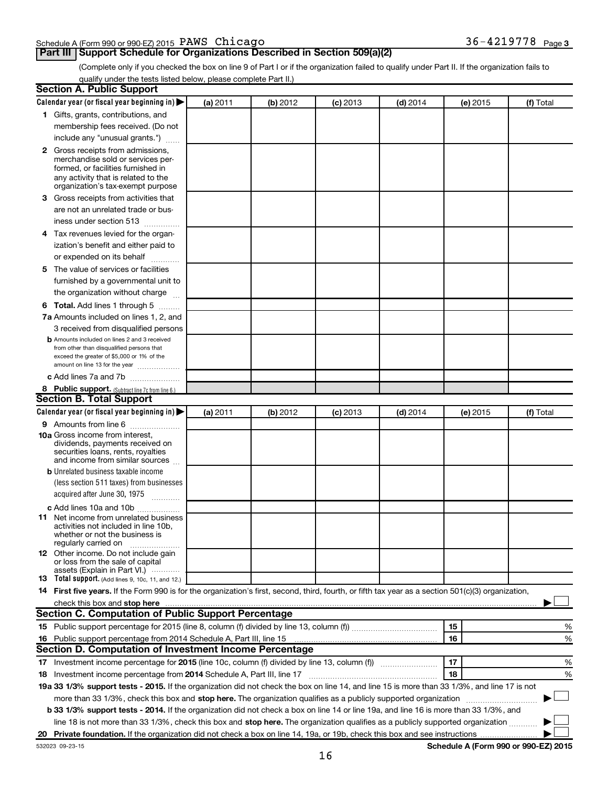#### Schedule A (Form 990 or 990-EZ) 2015 Page PAWS Chicago 36-4219778

## **Part III** Support Schedule for Organizations Described in Section 509(a)(2)

(Complete only if you checked the box on line 9 of Part I or if the organization failed to qualify under Part II. If the organization fails to qualify under the tests listed below, please complete Part II.)

| <b>Section A. Public Support</b>                                                                                                                                                                                               |          |          |            |            |          |                                      |
|--------------------------------------------------------------------------------------------------------------------------------------------------------------------------------------------------------------------------------|----------|----------|------------|------------|----------|--------------------------------------|
| Calendar year (or fiscal year beginning in)                                                                                                                                                                                    | (a) 2011 | (b) 2012 | $(c)$ 2013 | $(d)$ 2014 | (e) 2015 | (f) Total                            |
| 1 Gifts, grants, contributions, and                                                                                                                                                                                            |          |          |            |            |          |                                      |
| membership fees received. (Do not                                                                                                                                                                                              |          |          |            |            |          |                                      |
| include any "unusual grants.")                                                                                                                                                                                                 |          |          |            |            |          |                                      |
| 2 Gross receipts from admissions,<br>merchandise sold or services per-<br>formed, or facilities furnished in<br>any activity that is related to the<br>organization's tax-exempt purpose                                       |          |          |            |            |          |                                      |
| 3 Gross receipts from activities that                                                                                                                                                                                          |          |          |            |            |          |                                      |
| are not an unrelated trade or bus-<br>iness under section 513                                                                                                                                                                  |          |          |            |            |          |                                      |
| 4 Tax revenues levied for the organ-                                                                                                                                                                                           |          |          |            |            |          |                                      |
| ization's benefit and either paid to<br>or expended on its behalf                                                                                                                                                              |          |          |            |            |          |                                      |
| 5 The value of services or facilities                                                                                                                                                                                          |          |          |            |            |          |                                      |
| furnished by a governmental unit to<br>the organization without charge                                                                                                                                                         |          |          |            |            |          |                                      |
| <b>6 Total.</b> Add lines 1 through 5                                                                                                                                                                                          |          |          |            |            |          |                                      |
| 7a Amounts included on lines 1, 2, and                                                                                                                                                                                         |          |          |            |            |          |                                      |
| 3 received from disqualified persons                                                                                                                                                                                           |          |          |            |            |          |                                      |
| <b>b</b> Amounts included on lines 2 and 3 received<br>from other than disqualified persons that<br>exceed the greater of \$5,000 or 1% of the<br>amount on line 13 for the year                                               |          |          |            |            |          |                                      |
| c Add lines 7a and 7b                                                                                                                                                                                                          |          |          |            |            |          |                                      |
| 8 Public support. (Subtract line 7c from line 6.)                                                                                                                                                                              |          |          |            |            |          |                                      |
| <b>Section B. Total Support</b>                                                                                                                                                                                                |          |          |            |            |          |                                      |
| Calendar year (or fiscal year beginning in)                                                                                                                                                                                    | (a) 2011 | (b) 2012 | $(c)$ 2013 | $(d)$ 2014 | (e) 2015 | (f) Total                            |
| <b>9</b> Amounts from line 6                                                                                                                                                                                                   |          |          |            |            |          |                                      |
| <b>10a</b> Gross income from interest,<br>dividends, payments received on<br>securities loans, rents, royalties<br>and income from similar sources                                                                             |          |          |            |            |          |                                      |
| <b>b</b> Unrelated business taxable income                                                                                                                                                                                     |          |          |            |            |          |                                      |
| (less section 511 taxes) from businesses<br>acquired after June 30, 1975<br>$\mathcal{L}$ . The contract of $\mathcal{L}$                                                                                                      |          |          |            |            |          |                                      |
| c Add lines 10a and 10b                                                                                                                                                                                                        |          |          |            |            |          |                                      |
| <b>11</b> Net income from unrelated business<br>activities not included in line 10b.<br>whether or not the business is<br>regularly carried on                                                                                 |          |          |            |            |          |                                      |
| 12 Other income. Do not include gain<br>or loss from the sale of capital<br>assets (Explain in Part VI.)                                                                                                                       |          |          |            |            |          |                                      |
| <b>13</b> Total support. (Add lines 9, 10c, 11, and 12.)                                                                                                                                                                       |          |          |            |            |          |                                      |
| 14 First five years. If the Form 990 is for the organization's first, second, third, fourth, or fifth tax year as a section 501(c)(3) organization,                                                                            |          |          |            |            |          |                                      |
| check this box and stop here Mathematical Communication and stop here Mathematical Communication and stop here Mathematical Communication and Stop here Mathematical Communication and Stop here Mathematical Communication an |          |          |            |            |          |                                      |
| <b>Section C. Computation of Public Support Percentage</b>                                                                                                                                                                     |          |          |            |            |          |                                      |
|                                                                                                                                                                                                                                |          |          |            |            | 15       | %                                    |
| 16 Public support percentage from 2014 Schedule A, Part III, line 15                                                                                                                                                           |          |          |            |            | 16       | %                                    |
| Section D. Computation of Investment Income Percentage                                                                                                                                                                         |          |          |            |            |          |                                      |
|                                                                                                                                                                                                                                |          |          |            |            | 17       | %                                    |
| 18 Investment income percentage from 2014 Schedule A, Part III, line 17                                                                                                                                                        |          |          |            |            | 18       | %                                    |
| 19a 33 1/3% support tests - 2015. If the organization did not check the box on line 14, and line 15 is more than 33 1/3%, and line 17 is not                                                                                   |          |          |            |            |          |                                      |
| more than 33 1/3%, check this box and stop here. The organization qualifies as a publicly supported organization                                                                                                               |          |          |            |            |          |                                      |
| <b>b 33 1/3% support tests - 2014.</b> If the organization did not check a box on line 14 or line 19a, and line 16 is more than 33 1/3%, and                                                                                   |          |          |            |            |          |                                      |
| line 18 is not more than 33 1/3%, check this box and stop here. The organization qualifies as a publicly supported organization                                                                                                |          |          |            |            |          |                                      |
|                                                                                                                                                                                                                                |          |          |            |            |          |                                      |
| 532023 09-23-15                                                                                                                                                                                                                |          |          |            |            |          | Schedule A (Form 990 or 990-EZ) 2015 |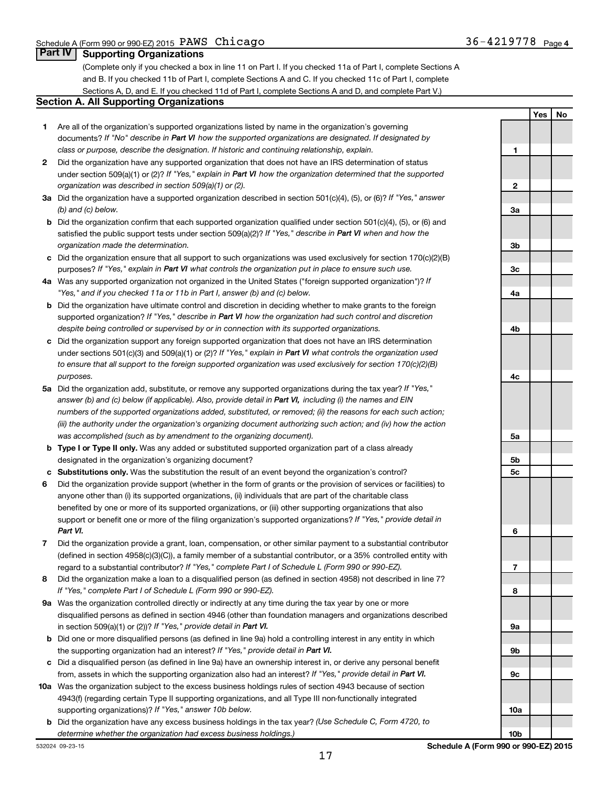**Yes No**

### **Part IV Supporting Organizations**

(Complete only if you checked a box in line 11 on Part I. If you checked 11a of Part I, complete Sections A and B. If you checked 11b of Part I, complete Sections A and C. If you checked 11c of Part I, complete Sections A, D, and E. If you checked 11d of Part I, complete Sections A and D, and complete Part V.)

#### **Section A. All Supporting Organizations**

- **1** Are all of the organization's supported organizations listed by name in the organization's governing documents? If "No" describe in Part VI how the supported organizations are designated. If designated by *class or purpose, describe the designation. If historic and continuing relationship, explain.*
- **2** Did the organization have any supported organization that does not have an IRS determination of status under section 509(a)(1) or (2)? If "Yes," explain in Part VI how the organization determined that the supported *organization was described in section 509(a)(1) or (2).*
- **3a** Did the organization have a supported organization described in section 501(c)(4), (5), or (6)? If "Yes," answer *(b) and (c) below.*
- **b** Did the organization confirm that each supported organization qualified under section 501(c)(4), (5), or (6) and satisfied the public support tests under section 509(a)(2)? If "Yes," describe in Part VI when and how the *organization made the determination.*
- **c** Did the organization ensure that all support to such organizations was used exclusively for section 170(c)(2)(B) purposes? If "Yes," explain in Part VI what controls the organization put in place to ensure such use.
- **4 a** *If* Was any supported organization not organized in the United States ("foreign supported organization")? *"Yes," and if you checked 11a or 11b in Part I, answer (b) and (c) below.*
- **b** Did the organization have ultimate control and discretion in deciding whether to make grants to the foreign supported organization? If "Yes," describe in Part VI how the organization had such control and discretion *despite being controlled or supervised by or in connection with its supported organizations.*
- **c** Did the organization support any foreign supported organization that does not have an IRS determination under sections 501(c)(3) and 509(a)(1) or (2)? If "Yes," explain in Part VI what controls the organization used *to ensure that all support to the foreign supported organization was used exclusively for section 170(c)(2)(B) purposes.*
- **5a** Did the organization add, substitute, or remove any supported organizations during the tax year? If "Yes," answer (b) and (c) below (if applicable). Also, provide detail in Part VI, including (i) the names and EIN *numbers of the supported organizations added, substituted, or removed; (ii) the reasons for each such action; (iii) the authority under the organization's organizing document authorizing such action; and (iv) how the action was accomplished (such as by amendment to the organizing document).*
- **b Type I or Type II only.** Was any added or substituted supported organization part of a class already designated in the organization's organizing document?
- **c Substitutions only.**  Was the substitution the result of an event beyond the organization's control?
- **6** Did the organization provide support (whether in the form of grants or the provision of services or facilities) to support or benefit one or more of the filing organization's supported organizations? If "Yes," provide detail in anyone other than (i) its supported organizations, (ii) individuals that are part of the charitable class benefited by one or more of its supported organizations, or (iii) other supporting organizations that also *Part VI.*
- **7** Did the organization provide a grant, loan, compensation, or other similar payment to a substantial contributor regard to a substantial contributor? If "Yes," complete Part I of Schedule L (Form 990 or 990-EZ). (defined in section 4958(c)(3)(C)), a family member of a substantial contributor, or a 35% controlled entity with
- **8** Did the organization make a loan to a disqualified person (as defined in section 4958) not described in line 7? *If "Yes," complete Part I of Schedule L (Form 990 or 990-EZ).*
- **9 a** Was the organization controlled directly or indirectly at any time during the tax year by one or more in section 509(a)(1) or (2))? If "Yes," provide detail in Part VI. disqualified persons as defined in section 4946 (other than foundation managers and organizations described
- **b** Did one or more disqualified persons (as defined in line 9a) hold a controlling interest in any entity in which the supporting organization had an interest? If "Yes," provide detail in Part VI.
- **c** Did a disqualified person (as defined in line 9a) have an ownership interest in, or derive any personal benefit from, assets in which the supporting organization also had an interest? If "Yes," provide detail in Part VI.
- **10 a** Was the organization subject to the excess business holdings rules of section 4943 because of section supporting organizations)? If "Yes," answer 10b below. 4943(f) (regarding certain Type II supporting organizations, and all Type III non-functionally integrated
- **b** Did the organization have any excess business holdings in the tax year? (Use Schedule C, Form 4720, to *determine whether the organization had excess business holdings.)*

**1 2 3a 3b 3c 4a 4b 4c 5a 5b 5c 6 7 8 9a 9b 9c 10a**

532024 09-23-15

**10b**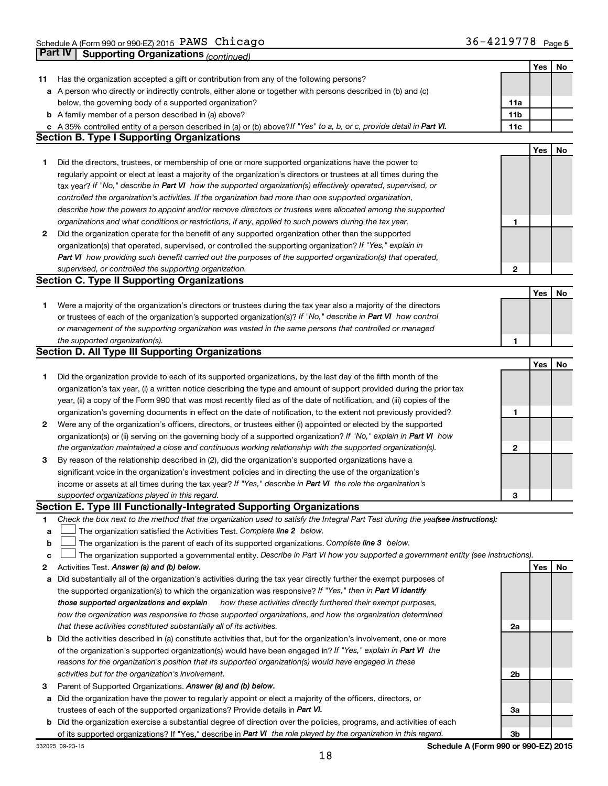|    |                                                                                                                                                                                                                      |                 | Yes | No |
|----|----------------------------------------------------------------------------------------------------------------------------------------------------------------------------------------------------------------------|-----------------|-----|----|
| 11 | Has the organization accepted a gift or contribution from any of the following persons?                                                                                                                              |                 |     |    |
|    | a A person who directly or indirectly controls, either alone or together with persons described in (b) and (c)                                                                                                       |                 |     |    |
|    | below, the governing body of a supported organization?                                                                                                                                                               | 11a             |     |    |
|    | <b>b</b> A family member of a person described in (a) above?                                                                                                                                                         | 11 <sub>b</sub> |     |    |
|    | c A 35% controlled entity of a person described in (a) or (b) above? If "Yes" to a, b, or c, provide detail in Part VI.                                                                                              | 11c             |     |    |
|    | <b>Section B. Type I Supporting Organizations</b>                                                                                                                                                                    |                 |     |    |
|    |                                                                                                                                                                                                                      |                 | Yes | No |
| 1  | Did the directors, trustees, or membership of one or more supported organizations have the power to                                                                                                                  |                 |     |    |
|    | regularly appoint or elect at least a majority of the organization's directors or trustees at all times during the                                                                                                   |                 |     |    |
|    | tax year? If "No," describe in Part VI how the supported organization(s) effectively operated, supervised, or                                                                                                        |                 |     |    |
|    | controlled the organization's activities. If the organization had more than one supported organization,                                                                                                              |                 |     |    |
|    | describe how the powers to appoint and/or remove directors or trustees were allocated among the supported                                                                                                            |                 |     |    |
|    | organizations and what conditions or restrictions, if any, applied to such powers during the tax year.                                                                                                               | 1               |     |    |
| 2  | Did the organization operate for the benefit of any supported organization other than the supported                                                                                                                  |                 |     |    |
|    | organization(s) that operated, supervised, or controlled the supporting organization? If "Yes," explain in                                                                                                           |                 |     |    |
|    | Part VI how providing such benefit carried out the purposes of the supported organization(s) that operated,                                                                                                          |                 |     |    |
|    | supervised, or controlled the supporting organization.                                                                                                                                                               | $\mathbf{2}$    |     |    |
|    | <b>Section C. Type II Supporting Organizations</b>                                                                                                                                                                   |                 |     |    |
|    |                                                                                                                                                                                                                      |                 | Yes | No |
| 1  | Were a majority of the organization's directors or trustees during the tax year also a majority of the directors                                                                                                     |                 |     |    |
|    | or trustees of each of the organization's supported organization(s)? If "No," describe in Part VI how control                                                                                                        |                 |     |    |
|    | or management of the supporting organization was vested in the same persons that controlled or managed                                                                                                               |                 |     |    |
|    | the supported organization(s).                                                                                                                                                                                       | 1               |     |    |
|    | <b>Section D. All Type III Supporting Organizations</b>                                                                                                                                                              |                 |     |    |
|    |                                                                                                                                                                                                                      |                 | Yes | No |
| 1  | Did the organization provide to each of its supported organizations, by the last day of the fifth month of the                                                                                                       |                 |     |    |
|    | organization's tax year, (i) a written notice describing the type and amount of support provided during the prior tax                                                                                                |                 |     |    |
|    | year, (ii) a copy of the Form 990 that was most recently filed as of the date of notification, and (iii) copies of the                                                                                               |                 |     |    |
|    | organization's governing documents in effect on the date of notification, to the extent not previously provided?                                                                                                     | 1               |     |    |
| 2  | Were any of the organization's officers, directors, or trustees either (i) appointed or elected by the supported                                                                                                     |                 |     |    |
|    | organization(s) or (ii) serving on the governing body of a supported organization? If "No," explain in Part VI how                                                                                                   |                 |     |    |
|    | the organization maintained a close and continuous working relationship with the supported organization(s).<br>By reason of the relationship described in (2), did the organization's supported organizations have a | 2               |     |    |
| 3  |                                                                                                                                                                                                                      |                 |     |    |
|    | significant voice in the organization's investment policies and in directing the use of the organization's                                                                                                           |                 |     |    |
|    | income or assets at all times during the tax year? If "Yes," describe in Part VI the role the organization's                                                                                                         | З               |     |    |
|    | supported organizations played in this regard.<br>Section E. Type III Functionally-Integrated Supporting Organizations                                                                                               |                 |     |    |
| 1. | Check the box next to the method that the organization used to satisfy the Integral Part Test during the yealsee instructions):                                                                                      |                 |     |    |
| a  | The organization satisfied the Activities Test. Complete line 2 below.                                                                                                                                               |                 |     |    |
| b  | The organization is the parent of each of its supported organizations. Complete line 3 below.                                                                                                                        |                 |     |    |
| c  | The organization supported a governmental entity. Describe in Part VI how you supported a government entity (see instructions).                                                                                      |                 |     |    |
| 2  | Activities Test. Answer (a) and (b) below.                                                                                                                                                                           |                 | Yes | No |
| a  | Did substantially all of the organization's activities during the tax year directly further the exempt purposes of                                                                                                   |                 |     |    |
|    | the supported organization(s) to which the organization was responsive? If "Yes," then in Part VI identify                                                                                                           |                 |     |    |
|    | how these activities directly furthered their exempt purposes,<br>those supported organizations and explain                                                                                                          |                 |     |    |
|    | how the organization was responsive to those supported organizations, and how the organization determined                                                                                                            |                 |     |    |
|    | that these activities constituted substantially all of its activities.                                                                                                                                               | 2a              |     |    |
|    | <b>b</b> Did the activities described in (a) constitute activities that, but for the organization's involvement, one or more                                                                                         |                 |     |    |
|    | of the organization's supported organization(s) would have been engaged in? If "Yes," explain in Part VI the                                                                                                         |                 |     |    |
|    | reasons for the organization's position that its supported organization(s) would have engaged in these                                                                                                               |                 |     |    |
|    | activities but for the organization's involvement.                                                                                                                                                                   | 2b              |     |    |
| з  | Parent of Supported Organizations. Answer (a) and (b) below.                                                                                                                                                         |                 |     |    |
|    | a Did the organization have the power to regularly appoint or elect a majority of the officers, directors, or                                                                                                        |                 |     |    |
|    | trustees of each of the supported organizations? Provide details in Part VI.                                                                                                                                         | За              |     |    |
|    | b Did the organization exercise a substantial degree of direction over the policies, programs, and activities of each                                                                                                |                 |     |    |
|    | of its supported organizations? If "Yes," describe in Part VI the role played by the organization in this regard.                                                                                                    | Зb              |     |    |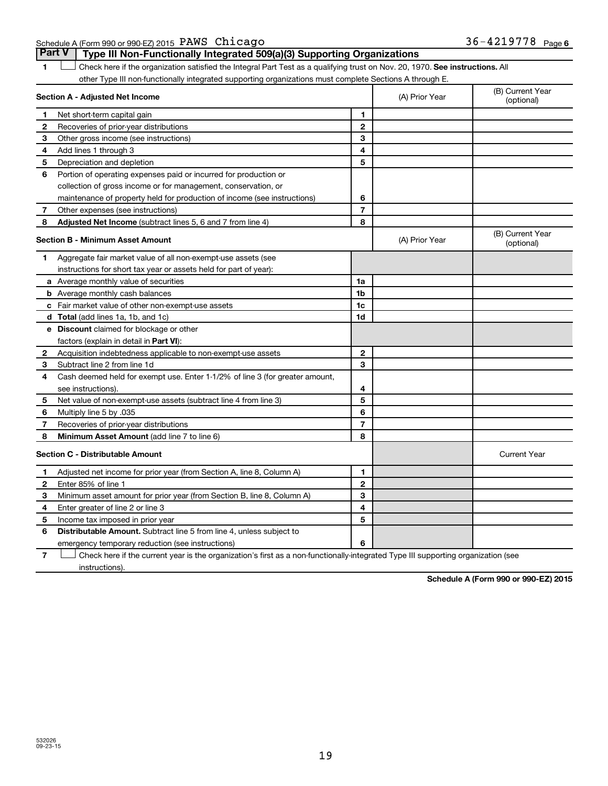Schedule A (Form 990 or 990-EZ) 2015 Page PAWS Chicago 36-4219778

1  $\Box$  Check here if the organization satisfied the Integral Part Test as a qualifying trust on Nov. 20, 1970. See instructions. All other Type III non-functionally integrated supporting organizations must complete Sections A through E. **Part V Type III Non-Functionally Integrated 509(a)(3) Supporting Organizations**   $\Box$ 

|   | Section A - Adjusted Net Income                                              |                | (A) Prior Year | (B) Current Year<br>(optional) |
|---|------------------------------------------------------------------------------|----------------|----------------|--------------------------------|
| 1 | Net short-term capital gain                                                  | 1              |                |                                |
| 2 | Recoveries of prior-year distributions                                       | $\mathbf{2}$   |                |                                |
| 3 | Other gross income (see instructions)                                        | 3              |                |                                |
| 4 | Add lines 1 through 3                                                        | 4              |                |                                |
| 5 | Depreciation and depletion                                                   | 5              |                |                                |
| 6 | Portion of operating expenses paid or incurred for production or             |                |                |                                |
|   | collection of gross income or for management, conservation, or               |                |                |                                |
|   | maintenance of property held for production of income (see instructions)     | 6              |                |                                |
| 7 | Other expenses (see instructions)                                            | $\overline{7}$ |                |                                |
| 8 | Adjusted Net Income (subtract lines 5, 6 and 7 from line 4)                  | 8              |                |                                |
|   | <b>Section B - Minimum Asset Amount</b>                                      |                | (A) Prior Year | (B) Current Year<br>(optional) |
| 1 | Aggregate fair market value of all non-exempt-use assets (see                |                |                |                                |
|   | instructions for short tax year or assets held for part of year):            |                |                |                                |
|   | a Average monthly value of securities                                        | 1a             |                |                                |
|   | <b>b</b> Average monthly cash balances                                       | 1b             |                |                                |
|   | c Fair market value of other non-exempt-use assets                           | 1c             |                |                                |
|   | <b>d</b> Total (add lines 1a, 1b, and 1c)                                    | 1d             |                |                                |
|   | e Discount claimed for blockage or other                                     |                |                |                                |
|   | factors (explain in detail in Part VI):                                      |                |                |                                |
| 2 | Acquisition indebtedness applicable to non-exempt-use assets                 | $\mathbf{2}$   |                |                                |
| 3 | Subtract line 2 from line 1d                                                 | 3              |                |                                |
| 4 | Cash deemed held for exempt use. Enter 1-1/2% of line 3 (for greater amount, |                |                |                                |
|   | see instructions).                                                           | 4              |                |                                |
| 5 | Net value of non-exempt-use assets (subtract line 4 from line 3)             | 5              |                |                                |
| 6 | Multiply line 5 by .035                                                      | 6              |                |                                |
| 7 | Recoveries of prior-year distributions                                       | $\overline{7}$ |                |                                |
| 8 | <b>Minimum Asset Amount (add line 7 to line 6)</b>                           | 8              |                |                                |
|   | <b>Section C - Distributable Amount</b>                                      |                |                | <b>Current Year</b>            |
| 1 | Adjusted net income for prior year (from Section A, line 8, Column A)        | 1              |                |                                |
| 2 | Enter 85% of line 1                                                          | $\mathbf{2}$   |                |                                |
| 3 | Minimum asset amount for prior year (from Section B, line 8, Column A)       | 3              |                |                                |
| 4 | Enter greater of line 2 or line 3                                            | 4              |                |                                |
| 5 | Income tax imposed in prior year                                             | 5              |                |                                |
| 6 | Distributable Amount. Subtract line 5 from line 4, unless subject to         |                |                |                                |
|   | emergency temporary reduction (see instructions)                             | 6              |                |                                |
|   |                                                                              |                |                |                                |

**7** Check here if the current year is the organization's first as a non-functionally-integrated Type III supporting organization (see † instructions).

**Schedule A (Form 990 or 990-EZ) 2015**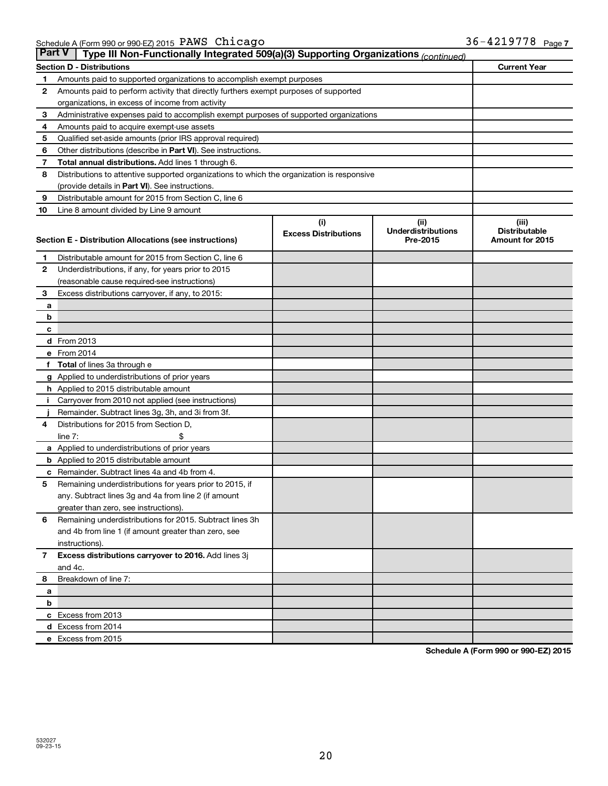| <b>Part V</b> | Type III Non-Functionally Integrated 509(a)(3) Supporting Organizations (continued)                                                                     |     |      |                     |
|---------------|---------------------------------------------------------------------------------------------------------------------------------------------------------|-----|------|---------------------|
|               | <b>Section D - Distributions</b>                                                                                                                        |     |      | <b>Current Year</b> |
| 1             | Amounts paid to supported organizations to accomplish exempt purposes                                                                                   |     |      |                     |
| 2             | Amounts paid to perform activity that directly furthers exempt purposes of supported                                                                    |     |      |                     |
|               | organizations, in excess of income from activity                                                                                                        |     |      |                     |
| 3             | Administrative expenses paid to accomplish exempt purposes of supported organizations                                                                   |     |      |                     |
| 4             | Amounts paid to acquire exempt-use assets                                                                                                               |     |      |                     |
| 5             | Qualified set-aside amounts (prior IRS approval required)                                                                                               |     |      |                     |
| 6             | Other distributions (describe in Part VI). See instructions.                                                                                            |     |      |                     |
| 7             | Total annual distributions. Add lines 1 through 6.                                                                                                      |     |      |                     |
| 8             | Distributions to attentive supported organizations to which the organization is responsive                                                              |     |      |                     |
|               | (provide details in Part VI). See instructions.                                                                                                         |     |      |                     |
| 9             | Distributable amount for 2015 from Section C, line 6                                                                                                    |     |      |                     |
| 10            | Line 8 amount divided by Line 9 amount                                                                                                                  |     |      |                     |
|               |                                                                                                                                                         | (i) | (ii) | (iii)               |
|               | <b>Underdistributions</b><br><b>Distributable</b><br><b>Excess Distributions</b><br>Section E - Distribution Allocations (see instructions)<br>Pre-2015 |     |      | Amount for 2015     |
|               |                                                                                                                                                         |     |      |                     |
| 1             | Distributable amount for 2015 from Section C, line 6                                                                                                    |     |      |                     |
| $\mathbf{2}$  | Underdistributions, if any, for years prior to 2015                                                                                                     |     |      |                     |
|               | (reasonable cause required-see instructions)                                                                                                            |     |      |                     |
| 3             | Excess distributions carryover, if any, to 2015:                                                                                                        |     |      |                     |
| a             |                                                                                                                                                         |     |      |                     |
| b             |                                                                                                                                                         |     |      |                     |
| c             |                                                                                                                                                         |     |      |                     |
|               | d From 2013                                                                                                                                             |     |      |                     |
|               | e From 2014                                                                                                                                             |     |      |                     |
|               | <b>Total</b> of lines 3a through e                                                                                                                      |     |      |                     |
|               | <b>g</b> Applied to underdistributions of prior years                                                                                                   |     |      |                     |
|               | <b>h</b> Applied to 2015 distributable amount                                                                                                           |     |      |                     |
|               | Carryover from 2010 not applied (see instructions)                                                                                                      |     |      |                     |
| 4             | Remainder. Subtract lines 3g, 3h, and 3i from 3f.<br>Distributions for 2015 from Section D,                                                             |     |      |                     |
|               | $line 7$ :                                                                                                                                              |     |      |                     |
|               | a Applied to underdistributions of prior years                                                                                                          |     |      |                     |
|               | <b>b</b> Applied to 2015 distributable amount                                                                                                           |     |      |                     |
| с             | Remainder. Subtract lines 4a and 4b from 4.                                                                                                             |     |      |                     |
| 5             | Remaining underdistributions for years prior to 2015, if                                                                                                |     |      |                     |
|               | any. Subtract lines 3g and 4a from line 2 (if amount                                                                                                    |     |      |                     |
|               | greater than zero, see instructions).                                                                                                                   |     |      |                     |
| 6             | Remaining underdistributions for 2015. Subtract lines 3h                                                                                                |     |      |                     |
|               | and 4b from line 1 (if amount greater than zero, see                                                                                                    |     |      |                     |
|               | instructions).                                                                                                                                          |     |      |                     |
| $\mathbf{7}$  | Excess distributions carryover to 2016. Add lines 3j                                                                                                    |     |      |                     |
|               | and 4c.                                                                                                                                                 |     |      |                     |
| 8             | Breakdown of line 7:                                                                                                                                    |     |      |                     |
| a             |                                                                                                                                                         |     |      |                     |
| b             |                                                                                                                                                         |     |      |                     |
|               | c Excess from 2013                                                                                                                                      |     |      |                     |
|               | d Excess from 2014                                                                                                                                      |     |      |                     |
|               | e Excess from 2015                                                                                                                                      |     |      |                     |

**Schedule A (Form 990 or 990-EZ) 2015**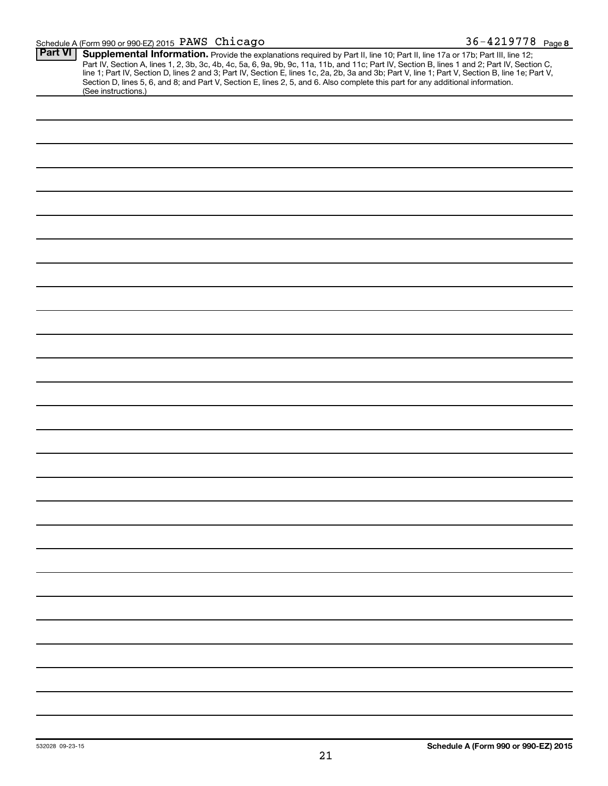| <b>Part VI</b> | Supplemental Information. Provide the explanations required by Part II, line 10; Part II, line 17a or 17b; Part III, line 12;                                                                                                  |
|----------------|--------------------------------------------------------------------------------------------------------------------------------------------------------------------------------------------------------------------------------|
|                |                                                                                                                                                                                                                                |
|                | Part IV, Section A, lines 1, 2, 3b, 3c, 4b, 4c, 5a, 6, 9a, 9b, 9c, 11a, 11b, and 11c; Part IV, Section B, lines 1 and 2; Part IV, Section C, line 1; Part IV, Section D, lines 2 and 3; Part IV, Section E, lines 1 c, 2a, 2b, |
|                | Section D, lines 5, 6, and 8; and Part V, Section E, lines 2, 5, and 6. Also complete this part for any additional information.                                                                                                |
|                | (See instructions.)                                                                                                                                                                                                            |
|                |                                                                                                                                                                                                                                |
|                |                                                                                                                                                                                                                                |
|                |                                                                                                                                                                                                                                |
|                |                                                                                                                                                                                                                                |
|                |                                                                                                                                                                                                                                |
|                |                                                                                                                                                                                                                                |
|                |                                                                                                                                                                                                                                |
|                |                                                                                                                                                                                                                                |
|                |                                                                                                                                                                                                                                |
|                |                                                                                                                                                                                                                                |
|                |                                                                                                                                                                                                                                |
|                |                                                                                                                                                                                                                                |
|                |                                                                                                                                                                                                                                |
|                |                                                                                                                                                                                                                                |
|                |                                                                                                                                                                                                                                |
|                |                                                                                                                                                                                                                                |
|                |                                                                                                                                                                                                                                |
|                |                                                                                                                                                                                                                                |
|                |                                                                                                                                                                                                                                |
|                |                                                                                                                                                                                                                                |
|                |                                                                                                                                                                                                                                |
|                |                                                                                                                                                                                                                                |
|                |                                                                                                                                                                                                                                |
|                |                                                                                                                                                                                                                                |
|                |                                                                                                                                                                                                                                |
|                |                                                                                                                                                                                                                                |
|                |                                                                                                                                                                                                                                |
|                |                                                                                                                                                                                                                                |
|                |                                                                                                                                                                                                                                |
|                |                                                                                                                                                                                                                                |
|                |                                                                                                                                                                                                                                |
|                |                                                                                                                                                                                                                                |
|                |                                                                                                                                                                                                                                |
|                |                                                                                                                                                                                                                                |
|                |                                                                                                                                                                                                                                |
|                |                                                                                                                                                                                                                                |
|                |                                                                                                                                                                                                                                |
|                |                                                                                                                                                                                                                                |
|                |                                                                                                                                                                                                                                |
|                |                                                                                                                                                                                                                                |
|                |                                                                                                                                                                                                                                |
|                |                                                                                                                                                                                                                                |
|                |                                                                                                                                                                                                                                |
|                |                                                                                                                                                                                                                                |
|                |                                                                                                                                                                                                                                |
|                |                                                                                                                                                                                                                                |
|                |                                                                                                                                                                                                                                |
|                |                                                                                                                                                                                                                                |
|                |                                                                                                                                                                                                                                |
|                |                                                                                                                                                                                                                                |
|                |                                                                                                                                                                                                                                |
|                |                                                                                                                                                                                                                                |
|                |                                                                                                                                                                                                                                |
|                |                                                                                                                                                                                                                                |
|                |                                                                                                                                                                                                                                |
|                |                                                                                                                                                                                                                                |
|                |                                                                                                                                                                                                                                |
|                |                                                                                                                                                                                                                                |
|                |                                                                                                                                                                                                                                |
|                |                                                                                                                                                                                                                                |
|                |                                                                                                                                                                                                                                |
|                |                                                                                                                                                                                                                                |
|                |                                                                                                                                                                                                                                |
|                |                                                                                                                                                                                                                                |
|                |                                                                                                                                                                                                                                |
|                |                                                                                                                                                                                                                                |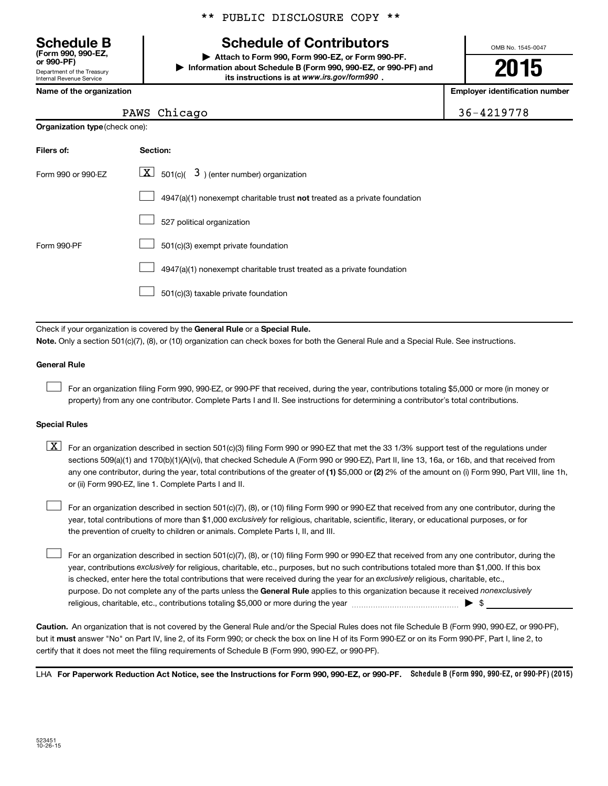Department of the Treasury Internal Revenue Service **(Form 990, 990-EZ,**

**Organization type** (check one):

#### \*\* PUBLIC DISCLOSURE COPY \*\*

# **Schedule B Schedule of Contributors**

**or 990-PF) | Attach to Form 990, Form 990-EZ, or Form 990-PF. | Information about Schedule B (Form 990, 990-EZ, or 990-PF) and** its instructions is at www.irs.gov/form990.

OMB No. 1545-0047

# **2015**

**Name of the organization Employer identification number**

| 36-4219778<br>PAWS Chicago |
|----------------------------|
|----------------------------|

| Filers of:         | Section:                                                                  |
|--------------------|---------------------------------------------------------------------------|
| Form 990 or 990-FZ | $ \mathbf{X} $ 501(c)( 3) (enter number) organization                     |
|                    | 4947(a)(1) nonexempt charitable trust not treated as a private foundation |
|                    | 527 political organization                                                |
| Form 990-PF        | 501(c)(3) exempt private foundation                                       |
|                    | 4947(a)(1) nonexempt charitable trust treated as a private foundation     |
|                    | 501(c)(3) taxable private foundation                                      |

Check if your organization is covered by the General Rule or a Special Rule.

**Note.**  Only a section 501(c)(7), (8), or (10) organization can check boxes for both the General Rule and a Special Rule. See instructions.

#### **General Rule**

 $\Box$ 

For an organization filing Form 990, 990-EZ, or 990-PF that received, during the year, contributions totaling \$5,000 or more (in money or property) from any one contributor. Complete Parts I and II. See instructions for determining a contributor's total contributions.

#### **Special Rules**

any one contributor, during the year, total contributions of the greater of **(1)** \$5,000 or **(2)** 2% of the amount on (i) Form 990, Part VIII, line 1h,  $\boxed{\text{X}}$  For an organization described in section 501(c)(3) filing Form 990 or 990-EZ that met the 33 1/3% support test of the regulations under sections 509(a)(1) and 170(b)(1)(A)(vi), that checked Schedule A (Form 990 or 990-EZ), Part II, line 13, 16a, or 16b, and that received from or (ii) Form 990-EZ, line 1. Complete Parts I and II.

year, total contributions of more than \$1,000 *exclusively* for religious, charitable, scientific, literary, or educational purposes, or for For an organization described in section 501(c)(7), (8), or (10) filing Form 990 or 990-EZ that received from any one contributor, during the the prevention of cruelty to children or animals. Complete Parts I, II, and III.  $\Box$ 

purpose. Do not complete any of the parts unless the General Rule applies to this organization because it received nonexclusively year, contributions exclusively for religious, charitable, etc., purposes, but no such contributions totaled more than \$1,000. If this box is checked, enter here the total contributions that were received during the year for an exclusively religious, charitable, etc., For an organization described in section 501(c)(7), (8), or (10) filing Form 990 or 990-EZ that received from any one contributor, during the religious, charitable, etc., contributions totaling \$5,000 or more during the year  $\ldots$  $\ldots$  $\ldots$  $\ldots$  $\ldots$  $\ldots$  $\Box$ 

**Caution.** An organization that is not covered by the General Rule and/or the Special Rules does not file Schedule B (Form 990, 990-EZ, or 990-PF),  **must** but it answer "No" on Part IV, line 2, of its Form 990; or check the box on line H of its Form 990-EZ or on its Form 990-PF, Part I, line 2, to certify that it does not meet the filing requirements of Schedule B (Form 990, 990-EZ, or 990-PF).

LHA For Paperwork Reduction Act Notice, see the Instructions for Form 990, 990-EZ, or 990-PF. Schedule B (Form 990, 990-EZ, or 990-PF) (2015)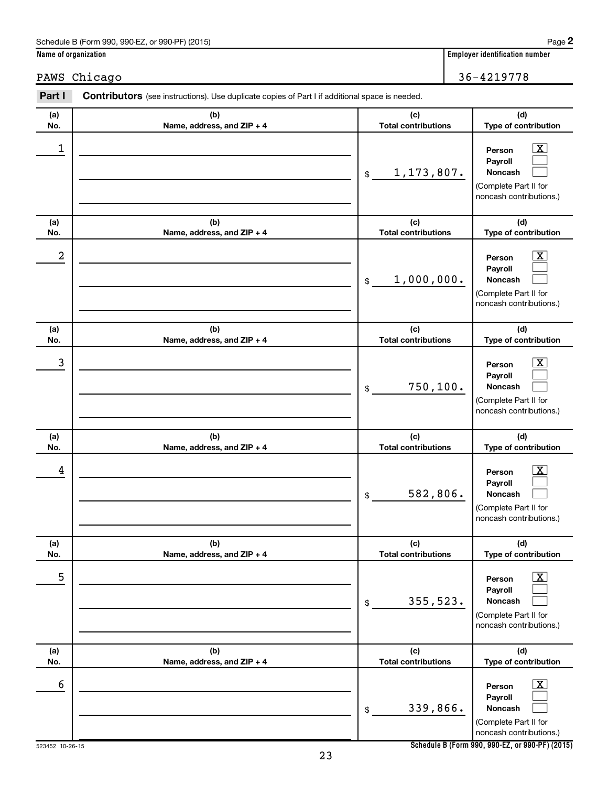| PAWS       | Chicago                                                                                        |                                   | 36-4219778                                                                                                         |
|------------|------------------------------------------------------------------------------------------------|-----------------------------------|--------------------------------------------------------------------------------------------------------------------|
| Part I     | Contributors (see instructions). Use duplicate copies of Part I if additional space is needed. |                                   |                                                                                                                    |
| (a)<br>No. | (b)<br>Name, address, and ZIP + 4                                                              | (c)<br><b>Total contributions</b> | (d)<br>Type of contribution                                                                                        |
| 1          |                                                                                                | 1, 173, 807.<br>\$                | $\mathbf{X}$<br>Person<br>Payroll<br>Noncash<br>(Complete Part II for<br>noncash contributions.)                   |
| (a)<br>No. | (b)<br>Name, address, and ZIP + 4                                                              | (c)<br><b>Total contributions</b> | (d)<br>Type of contribution                                                                                        |
| 2          |                                                                                                | 1,000,000.<br>\$                  | $\mathbf{X}$<br>Person<br>Payroll<br>Noncash<br>(Complete Part II for<br>noncash contributions.)                   |
| (a)<br>No. | (b)<br>Name, address, and ZIP + 4                                                              | (c)<br><b>Total contributions</b> | (d)<br>Type of contribution                                                                                        |
| 3          |                                                                                                | 750, 100.<br>\$                   | $\mathbf{X}$<br>Person<br>Payroll<br>Noncash<br>(Complete Part II for<br>noncash contributions.)                   |
| (a)<br>No. | (b)<br>Name, address, and ZIP + 4                                                              | (c)<br><b>Total contributions</b> | (d)<br>Type of contribution                                                                                        |
| 4          |                                                                                                | 582,806.<br>\$                    | $\mathbf{X}$<br>Person<br>Payroll<br>Noncash<br>(Complete Part II for<br>noncash contributions.)                   |
| (a)<br>No. | (b)<br>Name, address, and ZIP + 4                                                              | (c)<br><b>Total contributions</b> | (d)<br>Type of contribution                                                                                        |
| 5          |                                                                                                | 355,523.<br>\$                    | $\overline{\mathbf{x}}$<br>Person<br>Payroll<br><b>Noncash</b><br>(Complete Part II for<br>noncash contributions.) |
| (a)<br>No. | (b)<br>Name, address, and ZIP + 4                                                              | (c)<br><b>Total contributions</b> | (d)<br>Type of contribution                                                                                        |
| 6          |                                                                                                | 339,866.<br>\$                    | $\overline{\mathbf{X}}$<br>Person<br>Payroll<br>Noncash<br>(Complete Part II for<br>noncash contributions.)        |

**Name of organization Employer identification number**

**Schedule B (Form 990, 990-EZ, or 990-PF) (2015)**

523452 10-26-15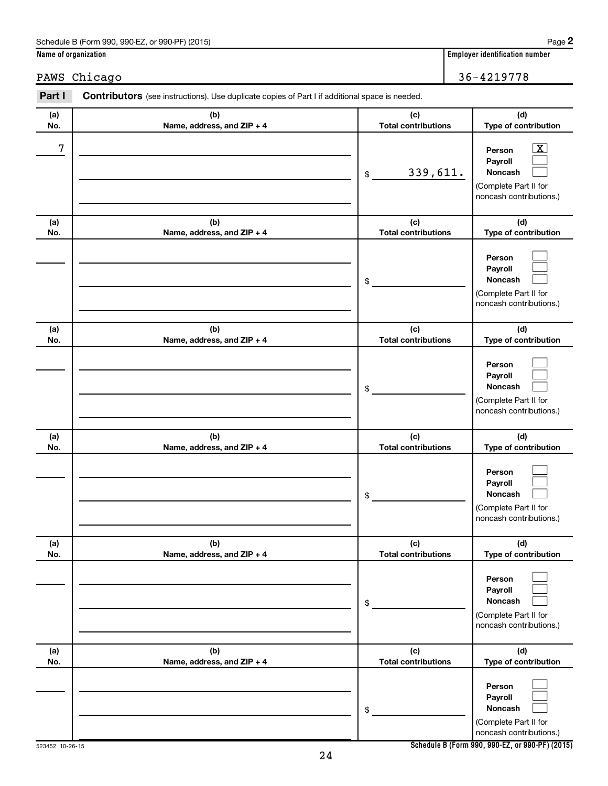|            | PAWS Chicago                                                                                   |                                   | 36-4219778                                                                                                       |
|------------|------------------------------------------------------------------------------------------------|-----------------------------------|------------------------------------------------------------------------------------------------------------------|
| Part I     | Contributors (see instructions). Use duplicate copies of Part I if additional space is needed. |                                   |                                                                                                                  |
| (a)<br>No. | (b)<br>Name, address, and ZIP + 4                                                              | (c)<br><b>Total contributions</b> | (d)<br>Type of contribution                                                                                      |
| 7          |                                                                                                | 339,611.<br>\$                    | $\overline{\text{X}}$<br>Person<br>Payroll<br><b>Noncash</b><br>(Complete Part II for<br>noncash contributions.) |
| (a)<br>No. | (b)<br>Name, address, and ZIP + 4                                                              | (c)<br><b>Total contributions</b> | (d)<br>Type of contribution                                                                                      |
|            |                                                                                                | \$                                | Person<br>Payroll<br>Noncash<br>(Complete Part II for<br>noncash contributions.)                                 |
| (a)<br>No. | (b)<br>Name, address, and ZIP + 4                                                              | (c)<br><b>Total contributions</b> | (d)<br>Type of contribution                                                                                      |
|            |                                                                                                | \$                                | Person<br>Payroll<br>Noncash<br>(Complete Part II for<br>noncash contributions.)                                 |
| (a)<br>No. | (b)<br>Name, address, and ZIP + 4                                                              | (c)<br><b>Total contributions</b> | (d)<br>Type of contribution                                                                                      |
|            |                                                                                                | \$                                | Person<br>Payroll<br>Noncash<br>(Complete Part II for<br>noncash contributions.)                                 |
| (a)<br>No. | (b)<br>Name, address, and ZIP + 4                                                              | (c)<br><b>Total contributions</b> | (d)<br>Type of contribution                                                                                      |
|            |                                                                                                | \$                                | Person<br>Payroll<br>Noncash<br>(Complete Part II for<br>noncash contributions.)                                 |
| (a)<br>No. | (b)<br>Name, address, and ZIP + 4                                                              | (c)<br><b>Total contributions</b> | (d)<br>Type of contribution                                                                                      |
|            |                                                                                                | \$                                | Person<br>Payroll<br>Noncash<br>(Complete Part II for<br>noncash contributions.)                                 |

**Name of organization Employer identification number**

**Schedule B (Form 990, 990-EZ, or 990-PF) (2015)**

523452 10-26-15

| . |
|---|
|   |
|   |
|   |
|   |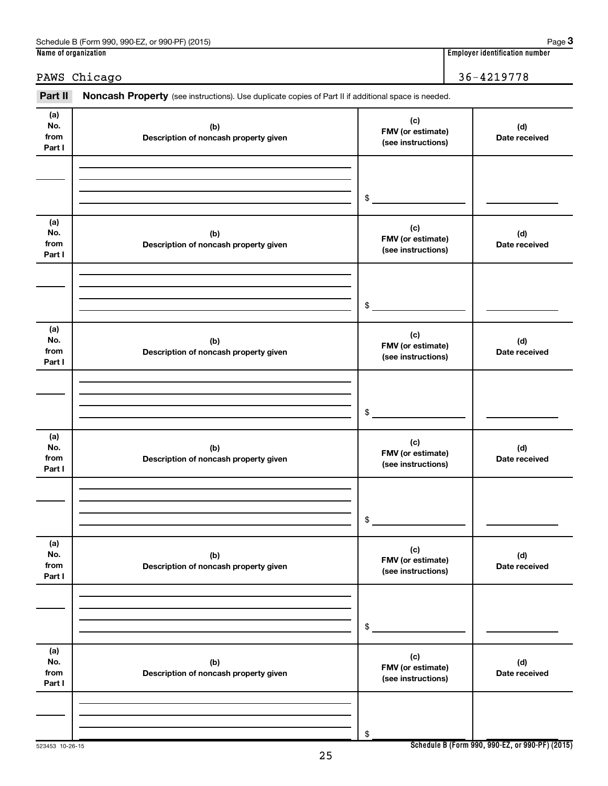## PAWS Chicago 26-4219778

Part II Noncash Property (see instructions). Use duplicate copies of Part II if additional space is needed.

| (a)<br>No.<br>from<br>Part I | (b)<br>Description of noncash property given | (c)<br>FMV (or estimate)<br>(see instructions) | (d)<br>Date received |
|------------------------------|----------------------------------------------|------------------------------------------------|----------------------|
|                              |                                              |                                                |                      |
|                              |                                              | $\frac{1}{2}$                                  |                      |
| (a)<br>No.<br>from<br>Part I | (b)<br>Description of noncash property given | (c)<br>FMV (or estimate)<br>(see instructions) | (d)<br>Date received |
|                              |                                              |                                                |                      |
|                              |                                              | $\circ$                                        |                      |
| (a)<br>No.<br>from<br>Part I | (b)<br>Description of noncash property given | (c)<br>FMV (or estimate)<br>(see instructions) | (d)<br>Date received |
|                              |                                              |                                                |                      |
|                              |                                              | $\frac{1}{2}$                                  |                      |
| (a)<br>No.<br>from<br>Part I | (b)<br>Description of noncash property given | (c)<br>FMV (or estimate)<br>(see instructions) | (d)<br>Date received |
|                              |                                              |                                                |                      |
|                              |                                              | $$^{\circ}$                                    |                      |
| (a)<br>No.<br>from<br>Part I | (b)<br>Description of noncash property given | (c)<br>FMV (or estimate)<br>(see instructions) | (d)<br>Date received |
|                              |                                              |                                                |                      |
|                              |                                              | \$                                             |                      |
| (a)<br>No.<br>from<br>Part I | (b)<br>Description of noncash property given | (c)<br>FMV (or estimate)<br>(see instructions) | (d)<br>Date received |
|                              |                                              |                                                |                      |
|                              |                                              | \$                                             |                      |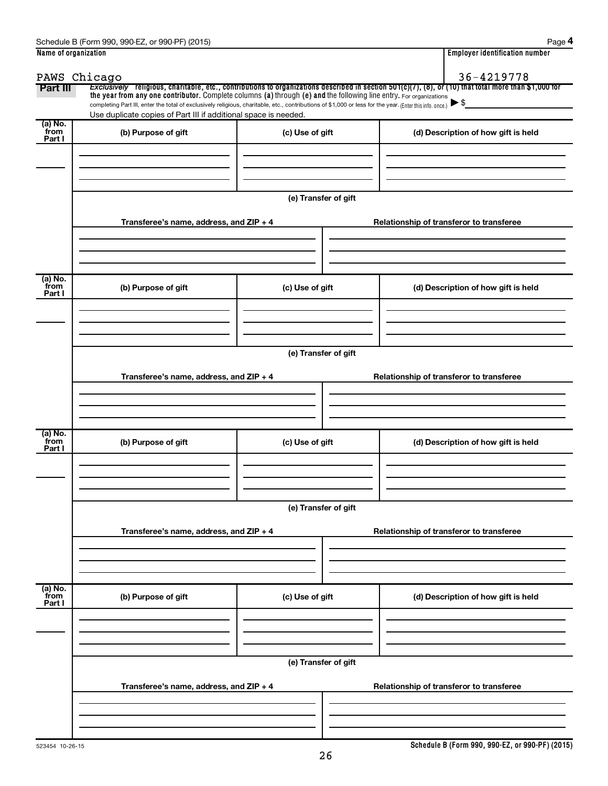| Name of organization |                                                                                                                                                                                                                                                                              |                      |                                          | <b>Employer identification number</b> |
|----------------------|------------------------------------------------------------------------------------------------------------------------------------------------------------------------------------------------------------------------------------------------------------------------------|----------------------|------------------------------------------|---------------------------------------|
| PAWS Chicago         |                                                                                                                                                                                                                                                                              |                      |                                          | 36-4219778                            |
| Part III             | Exclusively religious, charitable, etc., contributions to organizations described in section 501(c)(7), (8), or (10) that total more than \$1,000 for<br>the year from any one contributor. Complete columns (a) through (e) and the following line entry. For organizations |                      |                                          |                                       |
|                      | completing Part III, enter the total of exclusively religious, charitable, etc., contributions of \$1,000 or less for the year. (Enter this info. once.)                                                                                                                     |                      | $\blacktriangleright$ \$                 |                                       |
| (a) No.              | Use duplicate copies of Part III if additional space is needed.                                                                                                                                                                                                              |                      |                                          |                                       |
| from<br>Part I       | (b) Purpose of gift                                                                                                                                                                                                                                                          | (c) Use of gift      |                                          | (d) Description of how gift is held   |
|                      |                                                                                                                                                                                                                                                                              |                      |                                          |                                       |
|                      |                                                                                                                                                                                                                                                                              |                      |                                          |                                       |
|                      |                                                                                                                                                                                                                                                                              |                      |                                          |                                       |
|                      |                                                                                                                                                                                                                                                                              | (e) Transfer of gift |                                          |                                       |
|                      |                                                                                                                                                                                                                                                                              |                      |                                          |                                       |
|                      | Transferee's name, address, and ZIP + 4                                                                                                                                                                                                                                      |                      | Relationship of transferor to transferee |                                       |
|                      |                                                                                                                                                                                                                                                                              |                      |                                          |                                       |
|                      |                                                                                                                                                                                                                                                                              |                      |                                          |                                       |
| (a) No.              |                                                                                                                                                                                                                                                                              |                      |                                          |                                       |
| from<br>Part I       | (b) Purpose of gift                                                                                                                                                                                                                                                          | (c) Use of gift      |                                          | (d) Description of how gift is held   |
|                      |                                                                                                                                                                                                                                                                              |                      |                                          |                                       |
|                      |                                                                                                                                                                                                                                                                              |                      |                                          |                                       |
|                      |                                                                                                                                                                                                                                                                              |                      |                                          |                                       |
|                      |                                                                                                                                                                                                                                                                              | (e) Transfer of gift |                                          |                                       |
|                      | Transferee's name, address, and ZIP + 4                                                                                                                                                                                                                                      |                      | Relationship of transferor to transferee |                                       |
|                      |                                                                                                                                                                                                                                                                              |                      |                                          |                                       |
|                      |                                                                                                                                                                                                                                                                              |                      |                                          |                                       |
|                      |                                                                                                                                                                                                                                                                              |                      |                                          |                                       |
| (a) No.              |                                                                                                                                                                                                                                                                              |                      |                                          |                                       |
| from<br>Part I       | (b) Purpose of gift                                                                                                                                                                                                                                                          | (c) Use of gift      |                                          | (d) Description of how gift is held   |
|                      |                                                                                                                                                                                                                                                                              |                      |                                          |                                       |
|                      |                                                                                                                                                                                                                                                                              |                      |                                          |                                       |
|                      |                                                                                                                                                                                                                                                                              |                      |                                          |                                       |
|                      |                                                                                                                                                                                                                                                                              | (e) Transfer of gift |                                          |                                       |
|                      | Transferee's name, address, and ZIP + 4                                                                                                                                                                                                                                      |                      | Relationship of transferor to transferee |                                       |
|                      |                                                                                                                                                                                                                                                                              |                      |                                          |                                       |
|                      |                                                                                                                                                                                                                                                                              |                      |                                          |                                       |
|                      |                                                                                                                                                                                                                                                                              |                      |                                          |                                       |
| (a) No.<br>from      | (b) Purpose of gift                                                                                                                                                                                                                                                          | (c) Use of gift      |                                          | (d) Description of how gift is held   |
| Part I               |                                                                                                                                                                                                                                                                              |                      |                                          |                                       |
|                      |                                                                                                                                                                                                                                                                              |                      |                                          |                                       |
|                      |                                                                                                                                                                                                                                                                              |                      |                                          |                                       |
|                      |                                                                                                                                                                                                                                                                              | (e) Transfer of gift |                                          |                                       |
|                      |                                                                                                                                                                                                                                                                              |                      |                                          |                                       |
|                      | Transferee's name, address, and ZIP + 4                                                                                                                                                                                                                                      |                      | Relationship of transferor to transferee |                                       |
|                      |                                                                                                                                                                                                                                                                              |                      |                                          |                                       |
|                      |                                                                                                                                                                                                                                                                              |                      |                                          |                                       |
|                      |                                                                                                                                                                                                                                                                              |                      |                                          |                                       |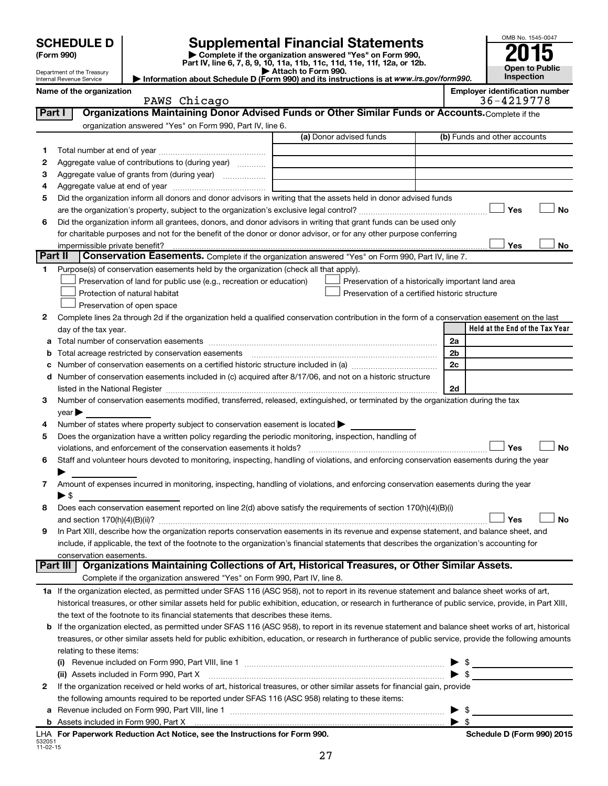| <b>SCHEDULE D</b> |
|-------------------|
|-------------------|

Department of the Treasury Internal Revenue Service

# **SCHEDULE D Supplemental Financial Statements**<br> **Form 990 2015**<br> **Part IV** line 6.7.8.9.10, 11a, 11b, 11d, 11d, 11d, 11d, 11d, 12a, 0r, 12b

**(Form 990) | Complete if the organization answered "Yes" on Form 990, Part IV, line 6, 7, 8, 9, 10, 11a, 11b, 11c, 11d, 11e, 11f, 12a, or 12b.**

**| Attach to Form 990. | Information about Schedule D (Form 990) and its instructions is at**  *www.irs.gov/form990.*



|                | Name of the organization<br>PAWS Chicago                                                                                                                  |                                                    |    | <b>Employer identification number</b><br>36-4219778 |
|----------------|-----------------------------------------------------------------------------------------------------------------------------------------------------------|----------------------------------------------------|----|-----------------------------------------------------|
| Part I         | Organizations Maintaining Donor Advised Funds or Other Similar Funds or Accounts. Complete if the                                                         |                                                    |    |                                                     |
|                | organization answered "Yes" on Form 990, Part IV, line 6.                                                                                                 |                                                    |    |                                                     |
|                |                                                                                                                                                           | (a) Donor advised funds                            |    | (b) Funds and other accounts                        |
| 1              |                                                                                                                                                           |                                                    |    |                                                     |
| 2              | Aggregate value of contributions to (during year)                                                                                                         |                                                    |    |                                                     |
| З              | Aggregate value of grants from (during year)                                                                                                              |                                                    |    |                                                     |
| 4              |                                                                                                                                                           |                                                    |    |                                                     |
| 5              | Did the organization inform all donors and donor advisors in writing that the assets held in donor advised funds                                          |                                                    |    |                                                     |
|                |                                                                                                                                                           |                                                    |    | Yes<br>No                                           |
| 6              | Did the organization inform all grantees, donors, and donor advisors in writing that grant funds can be used only                                         |                                                    |    |                                                     |
|                | for charitable purposes and not for the benefit of the donor or donor advisor, or for any other purpose conferring                                        |                                                    |    |                                                     |
|                | impermissible private benefit?                                                                                                                            |                                                    |    | Yes<br>No                                           |
| <b>Part II</b> | <b>Conservation Easements.</b> Complete if the organization answered "Yes" on Form 990, Part IV, line 7.                                                  |                                                    |    |                                                     |
| 1              | Purpose(s) of conservation easements held by the organization (check all that apply).                                                                     |                                                    |    |                                                     |
|                | Preservation of land for public use (e.g., recreation or education)                                                                                       | Preservation of a historically important land area |    |                                                     |
|                | Protection of natural habitat                                                                                                                             | Preservation of a certified historic structure     |    |                                                     |
|                | Preservation of open space                                                                                                                                |                                                    |    |                                                     |
| 2              | Complete lines 2a through 2d if the organization held a qualified conservation contribution in the form of a conservation easement on the last            |                                                    |    |                                                     |
|                | day of the tax year.                                                                                                                                      |                                                    |    | Held at the End of the Tax Year                     |
|                |                                                                                                                                                           |                                                    | 2a |                                                     |
|                | Total acreage restricted by conservation easements                                                                                                        |                                                    |    | 2b                                                  |
|                |                                                                                                                                                           |                                                    |    | 2c                                                  |
|                | Number of conservation easements included in (c) acquired after 8/17/06, and not on a historic structure                                                  |                                                    |    |                                                     |
|                |                                                                                                                                                           |                                                    |    | 2d                                                  |
| 3              | Number of conservation easements modified, transferred, released, extinguished, or terminated by the organization during the tax                          |                                                    |    |                                                     |
|                | $\vee$ ear $\blacktriangleright$                                                                                                                          |                                                    |    |                                                     |
| 4              | Number of states where property subject to conservation easement is located >                                                                             |                                                    |    |                                                     |
| 5              | Does the organization have a written policy regarding the periodic monitoring, inspection, handling of                                                    |                                                    |    |                                                     |
|                | violations, and enforcement of the conservation easements it holds?                                                                                       |                                                    |    | Yes<br>No                                           |
| 6              | Staff and volunteer hours devoted to monitoring, inspecting, handling of violations, and enforcing conservation easements during the year                 |                                                    |    |                                                     |
|                |                                                                                                                                                           |                                                    |    |                                                     |
| 7              | Amount of expenses incurred in monitoring, inspecting, handling of violations, and enforcing conservation easements during the year                       |                                                    |    |                                                     |
|                | ► \$                                                                                                                                                      |                                                    |    |                                                     |
| 8              | Does each conservation easement reported on line 2(d) above satisfy the requirements of section 170(h)(4)(B)(i)                                           |                                                    |    | Yes<br>No                                           |
|                | In Part XIII, describe how the organization reports conservation easements in its revenue and expense statement, and balance sheet, and                   |                                                    |    |                                                     |
|                | include, if applicable, the text of the footnote to the organization's financial statements that describes the organization's accounting for              |                                                    |    |                                                     |
|                | conservation easements.                                                                                                                                   |                                                    |    |                                                     |
|                | Organizations Maintaining Collections of Art, Historical Treasures, or Other Similar Assets.<br><b>Part III</b>                                           |                                                    |    |                                                     |
|                | Complete if the organization answered "Yes" on Form 990, Part IV, line 8.                                                                                 |                                                    |    |                                                     |
|                | 1a If the organization elected, as permitted under SFAS 116 (ASC 958), not to report in its revenue statement and balance sheet works of art,             |                                                    |    |                                                     |
|                | historical treasures, or other similar assets held for public exhibition, education, or research in furtherance of public service, provide, in Part XIII, |                                                    |    |                                                     |
|                | the text of the footnote to its financial statements that describes these items.                                                                          |                                                    |    |                                                     |
| b              | If the organization elected, as permitted under SFAS 116 (ASC 958), to report in its revenue statement and balance sheet works of art, historical         |                                                    |    |                                                     |
|                | treasures, or other similar assets held for public exhibition, education, or research in furtherance of public service, provide the following amounts     |                                                    |    |                                                     |
|                | relating to these items:                                                                                                                                  |                                                    |    |                                                     |
|                |                                                                                                                                                           |                                                    |    | \$                                                  |
|                | (ii) Assets included in Form 990, Part X                                                                                                                  |                                                    |    | $\frac{1}{2}$                                       |
| 2              | If the organization received or held works of art, historical treasures, or other similar assets for financial gain, provide                              |                                                    |    |                                                     |
|                | the following amounts required to be reported under SFAS 116 (ASC 958) relating to these items:                                                           |                                                    |    |                                                     |
|                |                                                                                                                                                           |                                                    | ▶  | - \$                                                |
|                |                                                                                                                                                           |                                                    |    | - \$                                                |

532051 11-02-15 **For Paperwork Reduction Act Notice, see the Instructions for Form 990. Schedule D (Form 990) 2015** LHA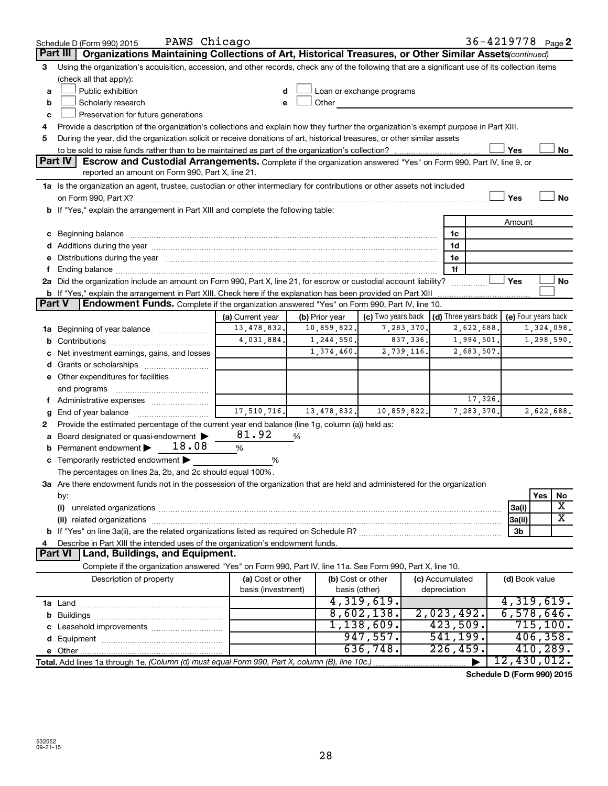|                | PAWS Chicago<br>Schedule D (Form 990) 2015                                                                                                                                                                                     |                    |                |                                                         |                 | 36-4219778 <sub>Page</sub> 2 |                     |           |            |
|----------------|--------------------------------------------------------------------------------------------------------------------------------------------------------------------------------------------------------------------------------|--------------------|----------------|---------------------------------------------------------|-----------------|------------------------------|---------------------|-----------|------------|
|                | Part III<br>Organizations Maintaining Collections of Art, Historical Treasures, or Other Similar Assets (continued)                                                                                                            |                    |                |                                                         |                 |                              |                     |           |            |
| 3              | Using the organization's acquisition, accession, and other records, check any of the following that are a significant use of its collection items                                                                              |                    |                |                                                         |                 |                              |                     |           |            |
|                | (check all that apply):                                                                                                                                                                                                        |                    |                |                                                         |                 |                              |                     |           |            |
| a              | Public exhibition                                                                                                                                                                                                              | d                  |                | Loan or exchange programs                               |                 |                              |                     |           |            |
| b              | Scholarly research                                                                                                                                                                                                             | e                  | Other          |                                                         |                 |                              |                     |           |            |
| c              | Preservation for future generations                                                                                                                                                                                            |                    |                |                                                         |                 |                              |                     |           |            |
| 4              | Provide a description of the organization's collections and explain how they further the organization's exempt purpose in Part XIII.                                                                                           |                    |                |                                                         |                 |                              |                     |           |            |
| 5              | During the year, did the organization solicit or receive donations of art, historical treasures, or other similar assets                                                                                                       |                    |                |                                                         |                 |                              |                     |           |            |
|                |                                                                                                                                                                                                                                |                    |                |                                                         |                 |                              | Yes                 |           | No         |
| <b>Part IV</b> | Escrow and Custodial Arrangements. Complete if the organization answered "Yes" on Form 990, Part IV, line 9, or                                                                                                                |                    |                |                                                         |                 |                              |                     |           |            |
|                | reported an amount on Form 990, Part X, line 21.                                                                                                                                                                               |                    |                |                                                         |                 |                              |                     |           |            |
|                | 1a Is the organization an agent, trustee, custodian or other intermediary for contributions or other assets not included                                                                                                       |                    |                |                                                         |                 |                              |                     |           |            |
|                |                                                                                                                                                                                                                                |                    |                |                                                         |                 |                              | Yes                 |           | <b>No</b>  |
|                | b If "Yes," explain the arrangement in Part XIII and complete the following table:                                                                                                                                             |                    |                |                                                         |                 |                              |                     |           |            |
|                |                                                                                                                                                                                                                                |                    |                |                                                         |                 |                              | Amount              |           |            |
|                | c Beginning balance measurements and the contract of the contract of the contract of the contract of the contract of the contract of the contract of the contract of the contract of the contract of the contract of the contr |                    |                |                                                         | 1c              |                              |                     |           |            |
|                |                                                                                                                                                                                                                                |                    |                |                                                         | 1d              |                              |                     |           |            |
|                | e Distributions during the year manufactured and content to the content of the content of the content of the content of the content of the content of the content of the content of the content of the content of the content  |                    |                |                                                         | 1e              |                              |                     |           |            |
|                |                                                                                                                                                                                                                                |                    |                |                                                         | 1f              |                              |                     |           |            |
|                | 2a Did the organization include an amount on Form 990, Part X, line 21, for escrow or custodial account liability?                                                                                                             |                    |                |                                                         |                 |                              | Yes                 |           | No         |
|                | <b>b</b> If "Yes," explain the arrangement in Part XIII. Check here if the explanation has been provided on Part XIII                                                                                                          |                    |                |                                                         |                 |                              |                     |           |            |
| <b>Part V</b>  | Endowment Funds. Complete if the organization answered "Yes" on Form 990, Part IV, line 10.                                                                                                                                    |                    |                |                                                         |                 |                              |                     |           |            |
|                |                                                                                                                                                                                                                                | (a) Current year   | (b) Prior year | (c) Two years back $\vert$ (d) Three years back $\vert$ |                 |                              | (e) Four years back |           |            |
| ٦а             | Beginning of year balance <i>manumman</i>                                                                                                                                                                                      | 13,478,832.        | 10,859,822.    | 7,283,370.                                              | 2,622,688.      |                              |                     |           | 1,324,098. |
| b              |                                                                                                                                                                                                                                | 4,031,884.         | 1, 244, 550.   | 837,336.                                                | 1,994,501.      |                              |                     |           | 1,298,590. |
|                | Net investment earnings, gains, and losses                                                                                                                                                                                     |                    | 1,374,460.     | 2,739,116.                                              | 2,683,507.      |                              |                     |           |            |
|                |                                                                                                                                                                                                                                |                    |                |                                                         |                 |                              |                     |           |            |
|                | e Other expenditures for facilities                                                                                                                                                                                            |                    |                |                                                         |                 |                              |                     |           |            |
|                | and programs                                                                                                                                                                                                                   |                    |                |                                                         |                 |                              |                     |           |            |
|                | Administrative expenses                                                                                                                                                                                                        |                    |                |                                                         |                 | 17,326.                      |                     |           |            |
| g              | End of year balance                                                                                                                                                                                                            | 17,510,716.        | 13,478,832.    | 10,859,822.                                             | 7,283,370.      |                              |                     |           | 2,622,688. |
| 2              | Provide the estimated percentage of the current year end balance (line 1g, column (a)) held as:                                                                                                                                | 81.92              |                |                                                         |                 |                              |                     |           |            |
|                | Board designated or quasi-endowment ><br>18.08<br>Permanent endowment                                                                                                                                                          |                    | %              |                                                         |                 |                              |                     |           |            |
| b              |                                                                                                                                                                                                                                | %                  |                |                                                         |                 |                              |                     |           |            |
|                | c Temporarily restricted endowment $\blacktriangleright$<br>The percentages on lines 2a, 2b, and 2c should equal 100%.                                                                                                         | %                  |                |                                                         |                 |                              |                     |           |            |
|                | 3a Are there endowment funds not in the possession of the organization that are held and administered for the organization                                                                                                     |                    |                |                                                         |                 |                              |                     |           |            |
|                |                                                                                                                                                                                                                                |                    |                |                                                         |                 |                              |                     | Yes       | No         |
|                | by:<br>(i)                                                                                                                                                                                                                     |                    |                |                                                         |                 |                              | 3a(i)               |           | X          |
|                | (ii) related organizations                                                                                                                                                                                                     |                    |                |                                                         |                 |                              | 3a(ii)              |           | х          |
|                |                                                                                                                                                                                                                                |                    |                |                                                         |                 |                              | 3b                  |           |            |
|                | Describe in Part XIII the intended uses of the organization's endowment funds.                                                                                                                                                 |                    |                |                                                         |                 |                              |                     |           |            |
|                | Land, Buildings, and Equipment.<br><b>Part VI</b>                                                                                                                                                                              |                    |                |                                                         |                 |                              |                     |           |            |
|                | Complete if the organization answered "Yes" on Form 990, Part IV, line 11a. See Form 990, Part X, line 10.                                                                                                                     |                    |                |                                                         |                 |                              |                     |           |            |
|                | Description of property                                                                                                                                                                                                        | (a) Cost or other  |                | (b) Cost or other                                       | (c) Accumulated |                              | (d) Book value      |           |            |
|                |                                                                                                                                                                                                                                | basis (investment) |                | basis (other)                                           | depreciation    |                              |                     |           |            |
|                |                                                                                                                                                                                                                                |                    |                | 4,319,619.                                              |                 |                              | 4,319,619.          |           |            |
|                |                                                                                                                                                                                                                                |                    |                | 8,602,138.                                              | 2,023,492.      |                              | 6,578,646.          |           |            |
|                |                                                                                                                                                                                                                                |                    |                | 1,138,609.                                              | 423,509.        |                              |                     |           | 715, 100.  |
|                |                                                                                                                                                                                                                                |                    |                | 947,557.                                                | 541,199.        |                              |                     | 406, 358. |            |
|                |                                                                                                                                                                                                                                |                    |                | 636,748.                                                | 226,459.        |                              |                     | 410,289.  |            |
|                | Total. Add lines 1a through 1e. (Column (d) must equal Form 990, Part X, column (B), line 10c.)                                                                                                                                |                    |                |                                                         |                 |                              | 12,430,012.         |           |            |
|                |                                                                                                                                                                                                                                |                    |                |                                                         |                 |                              |                     |           |            |

**Schedule D (Form 990) 2015**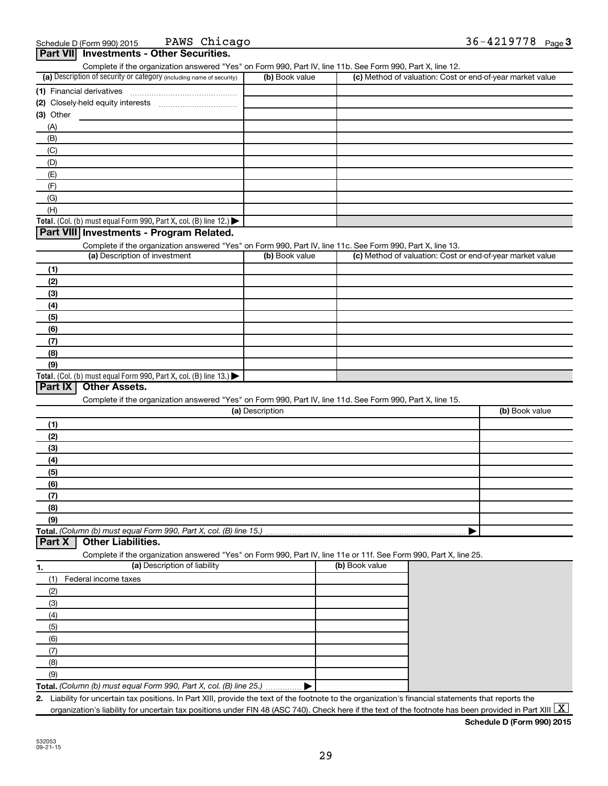PAWS Chicago 36-4219778

| Complete if the organization answered "Yes" on Form 990, Part IV, line 11b. See Form 990, Part X, line 12.                                             |                 |                                                           |                |
|--------------------------------------------------------------------------------------------------------------------------------------------------------|-----------------|-----------------------------------------------------------|----------------|
| (a) Description of security or category (including name of security)                                                                                   | (b) Book value  | (c) Method of valuation: Cost or end-of-year market value |                |
|                                                                                                                                                        |                 |                                                           |                |
|                                                                                                                                                        |                 |                                                           |                |
| (3) Other                                                                                                                                              |                 |                                                           |                |
| (A)                                                                                                                                                    |                 |                                                           |                |
| (B)                                                                                                                                                    |                 |                                                           |                |
| (C)                                                                                                                                                    |                 |                                                           |                |
| (D)                                                                                                                                                    |                 |                                                           |                |
| (E)                                                                                                                                                    |                 |                                                           |                |
| (F)                                                                                                                                                    |                 |                                                           |                |
| (G)                                                                                                                                                    |                 |                                                           |                |
| (H)                                                                                                                                                    |                 |                                                           |                |
| Total. (Col. (b) must equal Form 990, Part X, col. (B) line 12.)                                                                                       |                 |                                                           |                |
| Part VIII Investments - Program Related.<br>Complete if the organization answered "Yes" on Form 990, Part IV, line 11c. See Form 990, Part X, line 13. |                 |                                                           |                |
| (a) Description of investment                                                                                                                          | (b) Book value  | (c) Method of valuation: Cost or end-of-year market value |                |
| (1)                                                                                                                                                    |                 |                                                           |                |
| (2)                                                                                                                                                    |                 |                                                           |                |
| (3)                                                                                                                                                    |                 |                                                           |                |
| (4)                                                                                                                                                    |                 |                                                           |                |
| (5)                                                                                                                                                    |                 |                                                           |                |
| (6)                                                                                                                                                    |                 |                                                           |                |
| (7)                                                                                                                                                    |                 |                                                           |                |
| (8)                                                                                                                                                    |                 |                                                           |                |
| (9)                                                                                                                                                    |                 |                                                           |                |
| Total. (Col. (b) must equal Form 990, Part X, col. (B) line 13.) $\blacktriangleright$                                                                 |                 |                                                           |                |
| Part IX<br><b>Other Assets.</b>                                                                                                                        |                 |                                                           |                |
| Complete if the organization answered "Yes" on Form 990, Part IV, line 11d. See Form 990, Part X, line 15.                                             |                 |                                                           |                |
|                                                                                                                                                        | (a) Description |                                                           | (b) Book value |
| (1)                                                                                                                                                    |                 |                                                           |                |
| (2)                                                                                                                                                    |                 |                                                           |                |
| (3)                                                                                                                                                    |                 |                                                           |                |
| (4)                                                                                                                                                    |                 |                                                           |                |
| (5)                                                                                                                                                    |                 |                                                           |                |
| (6)                                                                                                                                                    |                 |                                                           |                |
| (7)                                                                                                                                                    |                 |                                                           |                |
| (8)                                                                                                                                                    |                 |                                                           |                |
| (9)                                                                                                                                                    |                 |                                                           |                |
| Total. (Column (b) must equal Form 990, Part X, col. (B) line 15.)                                                                                     |                 |                                                           |                |
| <b>Other Liabilities.</b><br>Part X                                                                                                                    |                 |                                                           |                |
| Complete if the organization answered "Yes" on Form 990, Part IV, line 11e or 11f. See Form 990, Part X, line 25.                                      |                 |                                                           |                |
| (a) Description of liability<br>1.                                                                                                                     |                 | (b) Book value                                            |                |
| Federal income taxes<br>(1)                                                                                                                            |                 |                                                           |                |
| (2)                                                                                                                                                    |                 |                                                           |                |
| (3)                                                                                                                                                    |                 |                                                           |                |
| (4)                                                                                                                                                    |                 |                                                           |                |
| (5)                                                                                                                                                    |                 |                                                           |                |
| (6)                                                                                                                                                    |                 |                                                           |                |
| (7)                                                                                                                                                    |                 |                                                           |                |
| (8)                                                                                                                                                    |                 |                                                           |                |
| (9)                                                                                                                                                    |                 |                                                           |                |
| Total. (Column (b) must equal Form 990, Part X, col. (B) line 25.).                                                                                    |                 |                                                           |                |
| 2. Liability for uncertain tax positions. In Part XIII, provide the text of the footnote to the organization's financial statements that reports the   |                 |                                                           |                |

organization's liability for uncertain tax positions under FIN 48 (ASC 740). Check here if the text of the footnote has been provided in Part XIII  $\boxed{\text{X}}$ 

**Schedule D (Form 990) 2015**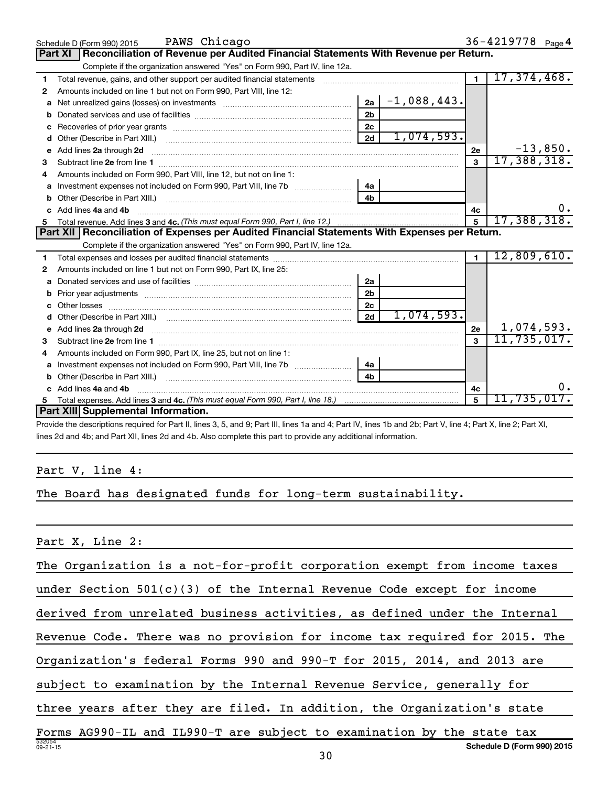|    | PAWS Chicago<br>Schedule D (Form 990) 2015                                                                                                                                                                                         |                |               |                | 36-4219778 Page 4                |
|----|------------------------------------------------------------------------------------------------------------------------------------------------------------------------------------------------------------------------------------|----------------|---------------|----------------|----------------------------------|
|    | Reconciliation of Revenue per Audited Financial Statements With Revenue per Return.<br><b>Part XI</b>                                                                                                                              |                |               |                |                                  |
|    | Complete if the organization answered "Yes" on Form 990, Part IV, line 12a.                                                                                                                                                        |                |               |                |                                  |
| 1  | Total revenue, gains, and other support per audited financial statements                                                                                                                                                           |                |               | $\blacksquare$ | 17,374,468.                      |
| 2  | Amounts included on line 1 but not on Form 990, Part VIII, line 12:                                                                                                                                                                |                |               |                |                                  |
| a  |                                                                                                                                                                                                                                    | 2a             | $-1,088,443.$ |                |                                  |
|    |                                                                                                                                                                                                                                    | 2 <sub>b</sub> |               |                |                                  |
| с  |                                                                                                                                                                                                                                    | 2 <sub>c</sub> |               |                |                                  |
| d  | Other (Describe in Part XIII.) <b>Construction (Construction Construction</b> of Chern Construction Construction Const                                                                                                             | 2d             | 1,074,593.    |                |                                  |
| е  | Add lines 2a through 2d                                                                                                                                                                                                            |                |               | 2e             | $-13,850.$                       |
| з  |                                                                                                                                                                                                                                    |                |               | $\mathbf{3}$   | 17,388,318.                      |
| 4  | Amounts included on Form 990, Part VIII, line 12, but not on line 1:                                                                                                                                                               |                |               |                |                                  |
|    | Investment expenses not included on Form 990, Part VIII, line 7b [[[[[[[[[[[[[[[[[[[[[[]]]]]]]                                                                                                                                     | 4a             |               |                |                                  |
|    |                                                                                                                                                                                                                                    | 4 <sub>h</sub> |               |                |                                  |
| c. | Add lines 4a and 4b                                                                                                                                                                                                                |                |               | 4c             | $0$ .                            |
|    |                                                                                                                                                                                                                                    |                |               | $\overline{5}$ | 17,388,318.                      |
|    |                                                                                                                                                                                                                                    |                |               |                |                                  |
|    | Part XII   Reconciliation of Expenses per Audited Financial Statements With Expenses per Return.                                                                                                                                   |                |               |                |                                  |
|    | Complete if the organization answered "Yes" on Form 990, Part IV, line 12a.                                                                                                                                                        |                |               |                |                                  |
| 1  |                                                                                                                                                                                                                                    |                |               | $\blacksquare$ | 12,809,610.                      |
| 2  | Amounts included on line 1 but not on Form 990, Part IX, line 25:                                                                                                                                                                  |                |               |                |                                  |
| a  |                                                                                                                                                                                                                                    | 2a             |               |                |                                  |
| b  |                                                                                                                                                                                                                                    | 2 <sub>b</sub> |               |                |                                  |
| с  |                                                                                                                                                                                                                                    | 2c             |               |                |                                  |
| d  |                                                                                                                                                                                                                                    | 2d             | 1,074,593.    |                |                                  |
| е  | Add lines 2a through 2d <b>must be a constructed as the constant of the construction</b> and the state of the state of the state of the state of the state of the state of the state of the state of the state of the state of the |                |               | 2e             |                                  |
| з  |                                                                                                                                                                                                                                    |                |               | 3              | $\frac{1,074,593.}{11,735,017.}$ |
| 4  | Amounts included on Form 990, Part IX, line 25, but not on line 1:                                                                                                                                                                 |                |               |                |                                  |
| a  |                                                                                                                                                                                                                                    | 4a             |               |                |                                  |
|    |                                                                                                                                                                                                                                    | 4 <sub>b</sub> |               |                |                                  |
| c. | Add lines 4a and 4b                                                                                                                                                                                                                |                |               | 4c             | ο.                               |
|    | Part XIII Supplemental Information.                                                                                                                                                                                                |                |               | $\mathbf{5}$   | 11,735,017.                      |

Provide the descriptions required for Part II, lines 3, 5, and 9; Part III, lines 1a and 4; Part IV, lines 1b and 2b; Part V, line 4; Part X, line 2; Part XI, lines 2d and 4b; and Part XII, lines 2d and 4b. Also complete this part to provide any additional information.

### Part V, line 4:

The Board has designated funds for long-term sustainability.

Part X, Line 2:

The Organization is a not-for-profit corporation exempt from income taxes

under Section 501(c)(3) of the Internal Revenue Code except for income

derived from unrelated business activities, as defined under the Internal

Revenue Code. There was no provision for income tax required for 2015. The

Organization's federal Forms 990 and 990-T for 2015, 2014, and 2013 are

subject to examination by the Internal Revenue Service, generally for

three years after they are filed. In addition, the Organization's state

532054 09-21-15 **Schedule D (Form 990) 2015** Forms AG990-IL and IL990-T are subject to examination by the state tax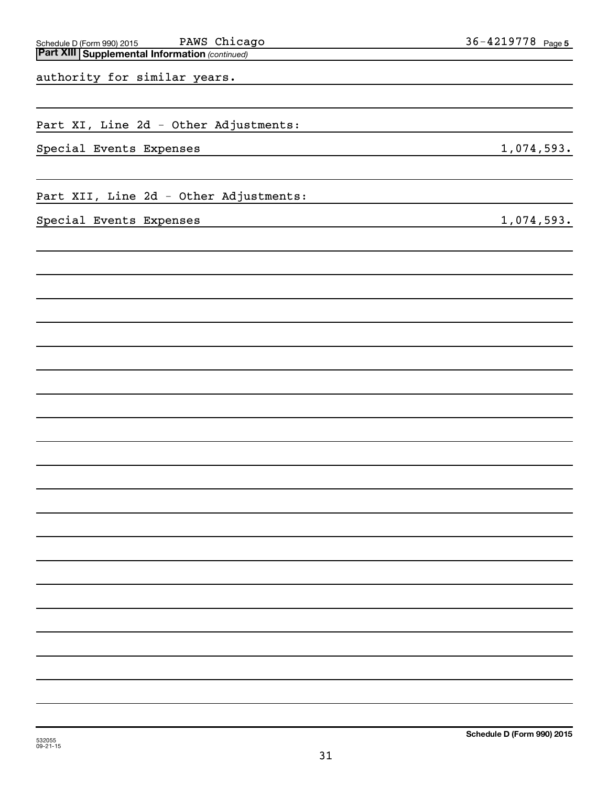| PAWS Chicago<br>Schedule D (Form 990) 2015<br><b>Part XIII Supplemental Information (continued)</b> | 36-4219778 Page 5 |
|-----------------------------------------------------------------------------------------------------|-------------------|
| authority for similar years.                                                                        |                   |
| Part XI, Line 2d - Other Adjustments:                                                               |                   |
| Special Events Expenses                                                                             | 1,074,593.        |
| Part XII, Line 2d - Other Adjustments:                                                              |                   |
| Special Events Expenses                                                                             | 1,074,593.        |
|                                                                                                     |                   |
|                                                                                                     |                   |
|                                                                                                     |                   |
|                                                                                                     |                   |
|                                                                                                     |                   |
|                                                                                                     |                   |
|                                                                                                     |                   |
|                                                                                                     |                   |
|                                                                                                     |                   |
|                                                                                                     |                   |
|                                                                                                     |                   |
|                                                                                                     |                   |
|                                                                                                     |                   |
|                                                                                                     |                   |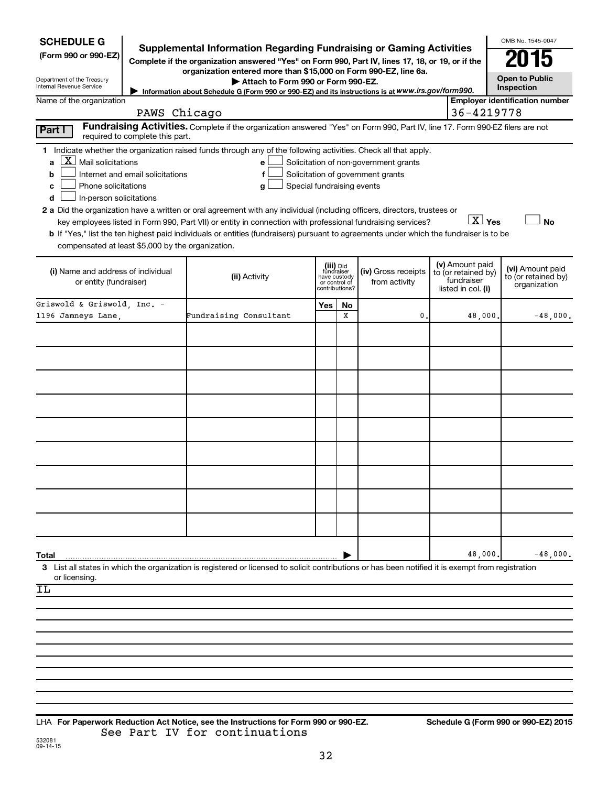| <b>SCHEDULE G</b><br>(Form 990 or 990-EZ)<br>Department of the Treasury                                                                                                                                                                                                                                                                                                                                                                          | Supplemental Information Regarding Fundraising or Gaming Activities<br>Complete if the organization answered "Yes" on Form 990, Part IV, lines 17, 18, or 19, or if the<br>organization entered more than \$15,000 on Form 990-EZ, line 6a.<br>Attach to Form 990 or Form 990-EZ.                  |                                                          |                |                                                                            |                                                                            | OMB No. 1545-0047<br>015<br><b>Open to Public</b>       |
|--------------------------------------------------------------------------------------------------------------------------------------------------------------------------------------------------------------------------------------------------------------------------------------------------------------------------------------------------------------------------------------------------------------------------------------------------|----------------------------------------------------------------------------------------------------------------------------------------------------------------------------------------------------------------------------------------------------------------------------------------------------|----------------------------------------------------------|----------------|----------------------------------------------------------------------------|----------------------------------------------------------------------------|---------------------------------------------------------|
| Internal Revenue Service                                                                                                                                                                                                                                                                                                                                                                                                                         | Information about Schedule G (Form 990 or 990-EZ) and its instructions is at www.irs.gov/form990.                                                                                                                                                                                                  |                                                          |                |                                                                            |                                                                            | Inspection                                              |
| Name of the organization                                                                                                                                                                                                                                                                                                                                                                                                                         | PAWS Chicago                                                                                                                                                                                                                                                                                       |                                                          |                |                                                                            | 36-4219778                                                                 | <b>Employer identification number</b>                   |
|                                                                                                                                                                                                                                                                                                                                                                                                                                                  | Fundraising Activities. Complete if the organization answered "Yes" on Form 990, Part IV, line 17. Form 990-EZ filers are not                                                                                                                                                                      |                                                          |                |                                                                            |                                                                            |                                                         |
| Part I<br>required to complete this part.                                                                                                                                                                                                                                                                                                                                                                                                        |                                                                                                                                                                                                                                                                                                    |                                                          |                |                                                                            |                                                                            |                                                         |
| 1 Indicate whether the organization raised funds through any of the following activities. Check all that apply.<br>$\overline{X}$ Mail solicitations<br>a<br>Internet and email solicitations<br>b<br>Phone solicitations<br>с<br>In-person solicitations<br>d<br>2 a Did the organization have a written or oral agreement with any individual (including officers, directors, trustees or<br>compensated at least \$5,000 by the organization. | е<br>f<br>Special fundraising events<br>g<br>key employees listed in Form 990, Part VII) or entity in connection with professional fundraising services?<br>b If "Yes," list the ten highest paid individuals or entities (fundraisers) pursuant to agreements under which the fundraiser is to be |                                                          |                | Solicitation of non-government grants<br>Solicitation of government grants | $\boxed{\text{X}}$ Yes                                                     | <b>No</b>                                               |
| (i) Name and address of individual<br>or entity (fundraiser)                                                                                                                                                                                                                                                                                                                                                                                     | (ii) Activity                                                                                                                                                                                                                                                                                      | (iii) Did<br>fundraiser<br>have custody<br>or control of | contributions? | (iv) Gross receipts<br>from activity                                       | (v) Amount paid<br>to (or retained by)<br>fundraiser<br>listed in col. (i) | (vi) Amount paid<br>to (or retained by)<br>organization |
| Griswold & Griswold, Inc. -                                                                                                                                                                                                                                                                                                                                                                                                                      |                                                                                                                                                                                                                                                                                                    | Yes                                                      | No             |                                                                            |                                                                            |                                                         |
| 1196 Jamneys Lane.                                                                                                                                                                                                                                                                                                                                                                                                                               | Fundraising Consultant                                                                                                                                                                                                                                                                             |                                                          | x              | 0                                                                          | 48,000.                                                                    | $-48,000.$                                              |
|                                                                                                                                                                                                                                                                                                                                                                                                                                                  |                                                                                                                                                                                                                                                                                                    |                                                          |                |                                                                            |                                                                            |                                                         |
|                                                                                                                                                                                                                                                                                                                                                                                                                                                  |                                                                                                                                                                                                                                                                                                    |                                                          |                |                                                                            |                                                                            |                                                         |
|                                                                                                                                                                                                                                                                                                                                                                                                                                                  |                                                                                                                                                                                                                                                                                                    |                                                          |                |                                                                            |                                                                            |                                                         |
|                                                                                                                                                                                                                                                                                                                                                                                                                                                  |                                                                                                                                                                                                                                                                                                    |                                                          |                |                                                                            |                                                                            |                                                         |
|                                                                                                                                                                                                                                                                                                                                                                                                                                                  |                                                                                                                                                                                                                                                                                                    |                                                          |                |                                                                            |                                                                            |                                                         |
|                                                                                                                                                                                                                                                                                                                                                                                                                                                  |                                                                                                                                                                                                                                                                                                    |                                                          |                |                                                                            |                                                                            |                                                         |
|                                                                                                                                                                                                                                                                                                                                                                                                                                                  |                                                                                                                                                                                                                                                                                                    |                                                          |                |                                                                            |                                                                            |                                                         |
|                                                                                                                                                                                                                                                                                                                                                                                                                                                  |                                                                                                                                                                                                                                                                                                    |                                                          |                |                                                                            |                                                                            |                                                         |
|                                                                                                                                                                                                                                                                                                                                                                                                                                                  |                                                                                                                                                                                                                                                                                                    |                                                          |                |                                                                            |                                                                            |                                                         |
|                                                                                                                                                                                                                                                                                                                                                                                                                                                  |                                                                                                                                                                                                                                                                                                    |                                                          |                |                                                                            |                                                                            |                                                         |
|                                                                                                                                                                                                                                                                                                                                                                                                                                                  |                                                                                                                                                                                                                                                                                                    |                                                          |                |                                                                            |                                                                            |                                                         |
|                                                                                                                                                                                                                                                                                                                                                                                                                                                  |                                                                                                                                                                                                                                                                                                    |                                                          |                |                                                                            |                                                                            |                                                         |
|                                                                                                                                                                                                                                                                                                                                                                                                                                                  |                                                                                                                                                                                                                                                                                                    |                                                          |                |                                                                            |                                                                            |                                                         |
|                                                                                                                                                                                                                                                                                                                                                                                                                                                  |                                                                                                                                                                                                                                                                                                    |                                                          |                |                                                                            |                                                                            |                                                         |
| Total                                                                                                                                                                                                                                                                                                                                                                                                                                            |                                                                                                                                                                                                                                                                                                    |                                                          |                |                                                                            | 48,000.                                                                    | $-48,000.$                                              |
| 3 List all states in which the organization is registered or licensed to solicit contributions or has been notified it is exempt from registration                                                                                                                                                                                                                                                                                               |                                                                                                                                                                                                                                                                                                    |                                                          |                |                                                                            |                                                                            |                                                         |
| or licensing.<br>IL                                                                                                                                                                                                                                                                                                                                                                                                                              |                                                                                                                                                                                                                                                                                                    |                                                          |                |                                                                            |                                                                            |                                                         |
|                                                                                                                                                                                                                                                                                                                                                                                                                                                  |                                                                                                                                                                                                                                                                                                    |                                                          |                |                                                                            |                                                                            |                                                         |
|                                                                                                                                                                                                                                                                                                                                                                                                                                                  |                                                                                                                                                                                                                                                                                                    |                                                          |                |                                                                            |                                                                            |                                                         |
|                                                                                                                                                                                                                                                                                                                                                                                                                                                  |                                                                                                                                                                                                                                                                                                    |                                                          |                |                                                                            |                                                                            |                                                         |
|                                                                                                                                                                                                                                                                                                                                                                                                                                                  |                                                                                                                                                                                                                                                                                                    |                                                          |                |                                                                            |                                                                            |                                                         |
|                                                                                                                                                                                                                                                                                                                                                                                                                                                  |                                                                                                                                                                                                                                                                                                    |                                                          |                |                                                                            |                                                                            |                                                         |
|                                                                                                                                                                                                                                                                                                                                                                                                                                                  |                                                                                                                                                                                                                                                                                                    |                                                          |                |                                                                            |                                                                            |                                                         |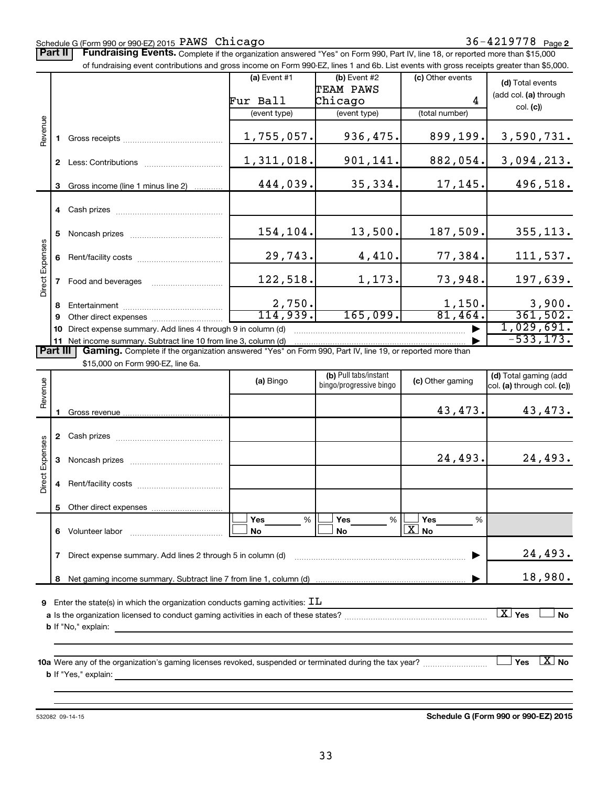#### Schedule G (Form 990 or 990-EZ) 2015 Page PAWS Chicago 36-4219778

Part II | Fundraising Events. Complete if the organization answered "Yes" on Form 990, Part IV, line 18, or reported more than \$15,000 of fundraising event contributions and gross income on Form 990-EZ, lines 1 and 6b. List events with gross receipts greater than \$5,000.

|                        |              |                                                                                                                                                                                                                                | (a) Event $#1$ | $(b)$ Event #2                                   | (c) Other events | (d) Total events                                    |
|------------------------|--------------|--------------------------------------------------------------------------------------------------------------------------------------------------------------------------------------------------------------------------------|----------------|--------------------------------------------------|------------------|-----------------------------------------------------|
|                        |              |                                                                                                                                                                                                                                |                | TEAM PAWS                                        |                  | (add col. (a) through                               |
|                        |              |                                                                                                                                                                                                                                | Fur Ball       | Chicago                                          | 4                | col. (c)                                            |
|                        |              |                                                                                                                                                                                                                                | (event type)   | (event type)                                     | (total number)   |                                                     |
| Revenue                |              | Gross receipts <b>State State State</b>                                                                                                                                                                                        | 1,755,057.     | 936,475.                                         | 899,199.         | 3,590,731.                                          |
|                        | $\mathbf{2}$ | Less: Contributions <b>Example 20</b>                                                                                                                                                                                          | 1,311,018.     | 901,141.                                         | 882,054.         | 3,094,213.                                          |
|                        | 3            | Gross income (line 1 minus line 2)                                                                                                                                                                                             | 444,039.       | 35,334.                                          | 17,145.          | 496,518.                                            |
|                        |              | 4 Cash prizes and the cash of the cash of the cash of the cash of the cash of the cash of the cash of the cash                                                                                                                 |                |                                                  |                  |                                                     |
|                        | 5            | Noncash prizes <b>Noncestandal</b>                                                                                                                                                                                             | 154,104.       | 13,500.                                          | 187,509.         | 355, 113.                                           |
|                        | 6            |                                                                                                                                                                                                                                | 29,743.        | 4,410.                                           | 77,384.          | 111,537.                                            |
| <b>Direct Expenses</b> |              | Food and beverages                                                                                                                                                                                                             | 122,518.       | 1,173.                                           | 73,948.          | 197,639.                                            |
|                        | 8            |                                                                                                                                                                                                                                | 2,750.         |                                                  | 1,150.           | 3,900.                                              |
|                        | 9            | Other direct expenses of the state of the state of the state of the state of the state of the state of the state of the state of the state of the state of the state of the state of the state of the state of the state of th | 114,939.       | 165,099.                                         | 81,464.          | 361,502.                                            |
|                        | 10           | Direct expense summary. Add lines 4 through 9 in column (d)                                                                                                                                                                    |                |                                                  |                  | 1,029,691.                                          |
|                        |              | 11 Net income summary. Subtract line 10 from line 3, column (d)                                                                                                                                                                |                |                                                  |                  | $-533, 173.$                                        |
| <b>Part III</b>        |              | Gaming. Complete if the organization answered "Yes" on Form 990, Part IV, line 19, or reported more than                                                                                                                       |                |                                                  |                  |                                                     |
|                        |              | \$15,000 on Form 990-EZ, line 6a.                                                                                                                                                                                              |                |                                                  |                  |                                                     |
| evenue                 |              |                                                                                                                                                                                                                                | (a) Bingo      | (b) Pull tabs/instant<br>bingo/progressive bingo | (c) Other gaming | (d) Total gaming (add<br>col. (a) through col. (c)) |
|                        |              |                                                                                                                                                                                                                                |                |                                                  |                  |                                                     |

| Revenue         |   |                                                                                                                                           | (a) Bingo             | bingo/progressive bingo      | (c) Other gaming      | $\frac{1}{2}$ . $\frac{1}{2}$ . $\frac{1}{2}$ . $\frac{1}{2}$ . $\frac{1}{2}$ . $\frac{1}{2}$ . $\frac{1}{2}$<br>col. (a) through col. (c)) |
|-----------------|---|-------------------------------------------------------------------------------------------------------------------------------------------|-----------------------|------------------------------|-----------------------|---------------------------------------------------------------------------------------------------------------------------------------------|
|                 |   |                                                                                                                                           |                       |                              | 43,473.               | 43,473.                                                                                                                                     |
|                 | 2 |                                                                                                                                           |                       |                              |                       |                                                                                                                                             |
| Direct Expenses | 3 |                                                                                                                                           |                       |                              | 24,493.               | 24,493.                                                                                                                                     |
|                 |   |                                                                                                                                           |                       |                              |                       |                                                                                                                                             |
|                 | 5 |                                                                                                                                           |                       |                              |                       |                                                                                                                                             |
|                 | 6 |                                                                                                                                           | Yes<br>%<br><b>No</b> | <b>Yes</b><br>%<br><b>No</b> | Yes<br>$\%$<br>$X$ No |                                                                                                                                             |
|                 | 7 | Direct expense summary. Add lines 2 through 5 in column (d) manufactured contains an expense summary. Add lines 2 through 5 in column (d) |                       |                              |                       | 24,493.                                                                                                                                     |
|                 | 8 |                                                                                                                                           |                       |                              |                       | 18,980.                                                                                                                                     |
| 9               |   | Enter the state(s) in which the organization conducts gaming activities: $\texttt{IL}$                                                    |                       |                              |                       |                                                                                                                                             |
|                 |   | <b>b</b> If "No," explain:                                                                                                                |                       |                              |                       | $\lfloor X \rfloor$ Yes<br><b>No</b>                                                                                                        |
|                 |   |                                                                                                                                           |                       |                              |                       |                                                                                                                                             |
|                 |   | 10a Were any of the organization's gaming licenses revoked, suspended or terminated during the tax year?                                  |                       |                              |                       | $\overline{\text{X}}$ No<br>Yes                                                                                                             |

**b** If "Yes," explain:

532082 09-14-15

**Schedule G (Form 990 or 990-EZ) 2015**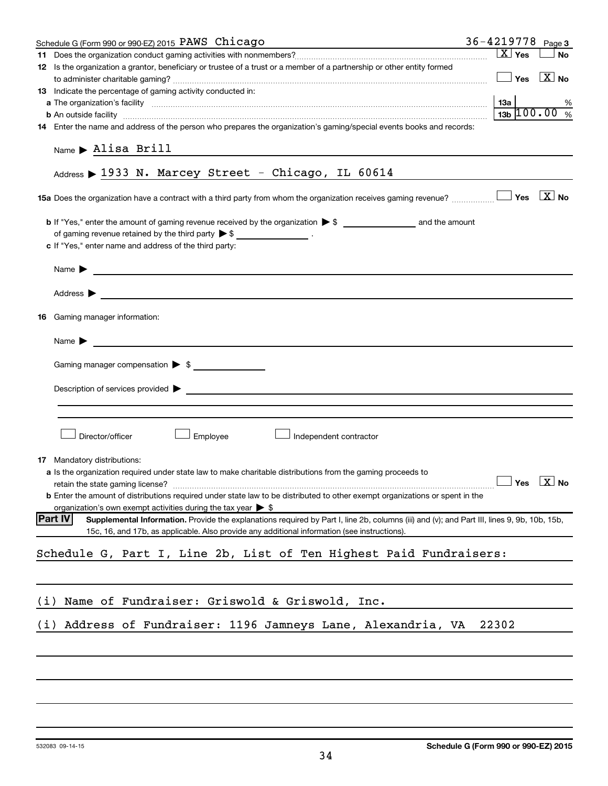|     | Schedule G (Form 990 or 990-EZ) 2015 PAWS Chicago                                                                                                                                                                                                             | $36 - 4219778$ Page 3 |                        |                                                 |               |
|-----|---------------------------------------------------------------------------------------------------------------------------------------------------------------------------------------------------------------------------------------------------------------|-----------------------|------------------------|-------------------------------------------------|---------------|
|     |                                                                                                                                                                                                                                                               |                       | $\boxed{\text{X}}$ Yes |                                                 | <b>No</b>     |
|     | 12 Is the organization a grantor, beneficiary or trustee of a trust or a member of a partnership or other entity formed                                                                                                                                       |                       |                        |                                                 |               |
|     |                                                                                                                                                                                                                                                               |                       |                        | $\boxed{\phantom{1}}$ Yes $\boxed{\text{X}}$ No |               |
|     | 13 Indicate the percentage of gaming activity conducted in:                                                                                                                                                                                                   |                       |                        |                                                 |               |
|     |                                                                                                                                                                                                                                                               |                       |                        |                                                 | %             |
|     | <b>b</b> An outside facility <b>contact and the 100 .00</b>                                                                                                                                                                                                   |                       |                        |                                                 | $\frac{0}{6}$ |
|     | 14 Enter the name and address of the person who prepares the organization's gaming/special events books and records:                                                                                                                                          |                       |                        |                                                 |               |
|     | Name $\blacktriangleright$ Alisa Brill<br><u> 1989 - Johann Harry Harry Harry Harry Harry Harry Harry Harry Harry Harry Harry Harry Harry Harry Harry Harry</u>                                                                                               |                       |                        |                                                 |               |
|     | Address > 1933 N. Marcey Street - Chicago, IL 60614                                                                                                                                                                                                           |                       |                        |                                                 |               |
|     |                                                                                                                                                                                                                                                               |                       |                        |                                                 |               |
|     |                                                                                                                                                                                                                                                               |                       |                        |                                                 |               |
|     | of gaming revenue retained by the third party $\triangleright$ \$ ____________________.                                                                                                                                                                       |                       |                        |                                                 |               |
|     | c If "Yes," enter name and address of the third party:                                                                                                                                                                                                        |                       |                        |                                                 |               |
|     |                                                                                                                                                                                                                                                               |                       |                        |                                                 |               |
|     | Name $\blacktriangleright$                                                                                                                                                                                                                                    |                       |                        |                                                 |               |
|     |                                                                                                                                                                                                                                                               |                       |                        |                                                 |               |
|     | Address $\blacktriangleright$<br><u> 1989 - Johann Stein, mars an deus Amerikaansk kommunister (</u>                                                                                                                                                          |                       |                        |                                                 |               |
| 16  | Gaming manager information:                                                                                                                                                                                                                                   |                       |                        |                                                 |               |
|     | Name $\blacktriangleright$<br><u> 1980 - Jan Samuel Barbara, martin da shekara tsara 1980 - An tsara 1980 - An tsara 1980 - An tsara 1980 - An</u>                                                                                                            |                       |                        |                                                 |               |
|     | Gaming manager compensation > \$                                                                                                                                                                                                                              |                       |                        |                                                 |               |
|     |                                                                                                                                                                                                                                                               |                       |                        |                                                 |               |
|     |                                                                                                                                                                                                                                                               |                       |                        |                                                 |               |
|     | Director/officer<br>Employee<br>Independent contractor                                                                                                                                                                                                        |                       |                        |                                                 |               |
|     | 17 Mandatory distributions:                                                                                                                                                                                                                                   |                       |                        |                                                 |               |
|     | a Is the organization required under state law to make charitable distributions from the gaming proceeds to                                                                                                                                                   |                       |                        |                                                 |               |
|     | retain the state gaming license?                                                                                                                                                                                                                              |                       |                        | $\Box$ Yes $\boxed{\text{X}}$ No                |               |
|     | <b>b</b> Enter the amount of distributions required under state law to be distributed to other exempt organizations or spent in the                                                                                                                           |                       |                        |                                                 |               |
|     | organization's own exempt activities during the tax year $\triangleright$ \$                                                                                                                                                                                  |                       |                        |                                                 |               |
|     | <b>Part IV</b><br>Supplemental Information. Provide the explanations required by Part I, line 2b, columns (iii) and (v); and Part III, lines 9, 9b, 10b, 15b,<br>15c, 16, and 17b, as applicable. Also provide any additional information (see instructions). |                       |                        |                                                 |               |
|     | Schedule G, Part I, Line 2b, List of Ten Highest Paid Fundraisers:                                                                                                                                                                                            |                       |                        |                                                 |               |
|     |                                                                                                                                                                                                                                                               |                       |                        |                                                 |               |
| (i) | Name of Fundraiser: Griswold & Griswold, Inc.                                                                                                                                                                                                                 |                       |                        |                                                 |               |
| (i) | Address of Fundraiser: 1196 Jamneys Lane, Alexandria, VA                                                                                                                                                                                                      |                       | 22302                  |                                                 |               |
|     |                                                                                                                                                                                                                                                               |                       |                        |                                                 |               |
|     |                                                                                                                                                                                                                                                               |                       |                        |                                                 |               |
|     |                                                                                                                                                                                                                                                               |                       |                        |                                                 |               |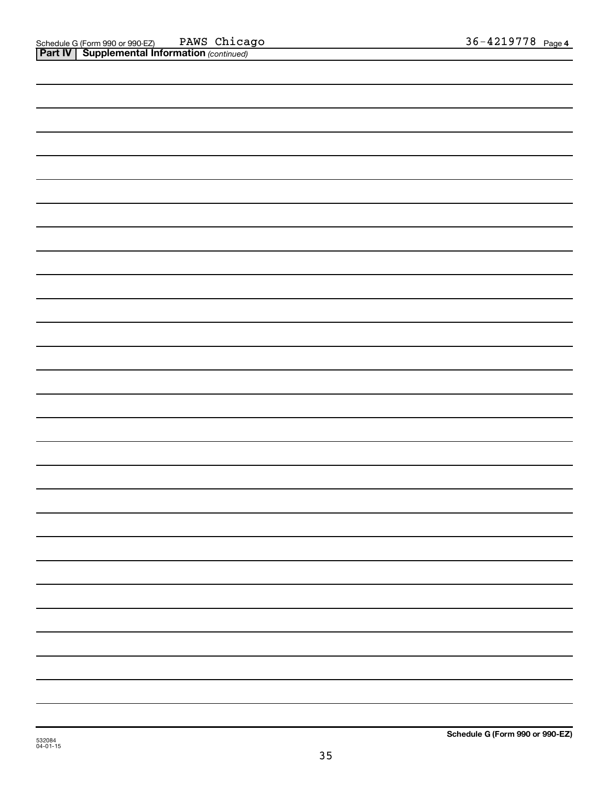| <u></u> | $\mathbf{I}$ |  |  |
|---------|--------------|--|--|
|         |              |  |  |
|         |              |  |  |
|         |              |  |  |
|         |              |  |  |
|         |              |  |  |
|         |              |  |  |
|         |              |  |  |
|         |              |  |  |
|         |              |  |  |
|         |              |  |  |
|         |              |  |  |
|         |              |  |  |
|         |              |  |  |
|         |              |  |  |
|         |              |  |  |
|         |              |  |  |
|         |              |  |  |
|         |              |  |  |
|         |              |  |  |
|         |              |  |  |
|         |              |  |  |
|         |              |  |  |
|         |              |  |  |
|         |              |  |  |
|         |              |  |  |
|         |              |  |  |
|         |              |  |  |
|         |              |  |  |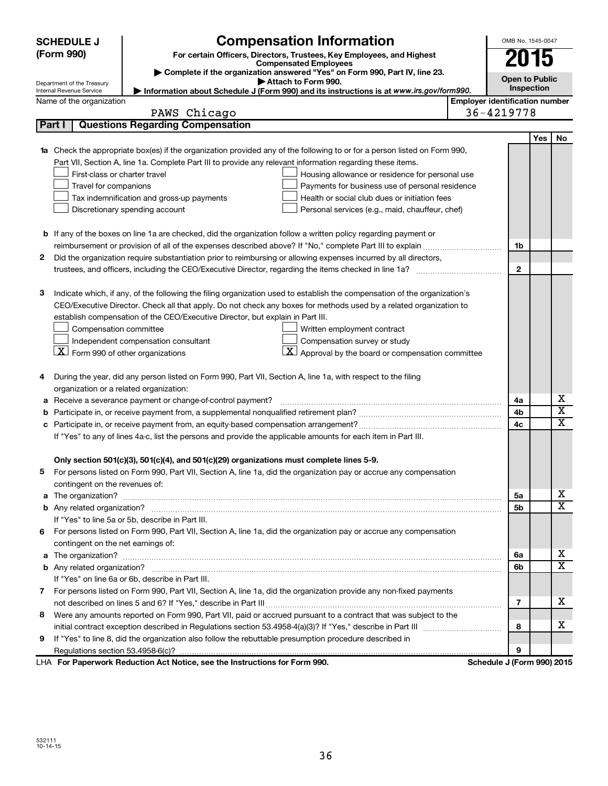|        | <b>SCHEDULE J</b>                              | <b>Compensation Information</b>                                                                                           |            | OMB No. 1545-0047                                   |     |                              |  |  |
|--------|------------------------------------------------|---------------------------------------------------------------------------------------------------------------------------|------------|-----------------------------------------------------|-----|------------------------------|--|--|
|        | (Form 990)                                     | For certain Officers, Directors, Trustees, Key Employees, and Highest                                                     |            | 2015                                                |     |                              |  |  |
|        |                                                | <b>Compensated Employees</b><br>Complete if the organization answered "Yes" on Form 990, Part IV, line 23.                |            |                                                     |     |                              |  |  |
|        | Department of the Treasury                     | Attach to Form 990.                                                                                                       |            | <b>Open to Public</b>                               |     |                              |  |  |
|        | Internal Revenue Service                       | Information about Schedule J (Form 990) and its instructions is at www.irs.gov/form990.                                   |            | Inspection<br><b>Employer identification number</b> |     |                              |  |  |
|        | Name of the organization                       |                                                                                                                           | 36-4219778 |                                                     |     |                              |  |  |
| Part I |                                                | PAWS Chicago<br><b>Questions Regarding Compensation</b>                                                                   |            |                                                     |     |                              |  |  |
|        |                                                |                                                                                                                           |            |                                                     | Yes | No                           |  |  |
|        |                                                | 1a Check the appropriate box(es) if the organization provided any of the following to or for a person listed on Form 990, |            |                                                     |     |                              |  |  |
|        |                                                | Part VII, Section A, line 1a. Complete Part III to provide any relevant information regarding these items.                |            |                                                     |     |                              |  |  |
|        | First-class or charter travel                  | Housing allowance or residence for personal use                                                                           |            |                                                     |     |                              |  |  |
|        | Travel for companions                          | Payments for business use of personal residence                                                                           |            |                                                     |     |                              |  |  |
|        |                                                | Health or social club dues or initiation fees<br>Tax indemnification and gross-up payments                                |            |                                                     |     |                              |  |  |
|        |                                                | Discretionary spending account<br>Personal services (e.g., maid, chauffeur, chef)                                         |            |                                                     |     |                              |  |  |
|        |                                                |                                                                                                                           |            |                                                     |     |                              |  |  |
|        |                                                | b If any of the boxes on line 1a are checked, did the organization follow a written policy regarding payment or           |            |                                                     |     |                              |  |  |
|        |                                                |                                                                                                                           |            | 1b                                                  |     |                              |  |  |
| 2      |                                                | Did the organization require substantiation prior to reimbursing or allowing expenses incurred by all directors,          |            |                                                     |     |                              |  |  |
|        |                                                |                                                                                                                           |            | $\mathbf{2}$                                        |     |                              |  |  |
|        |                                                |                                                                                                                           |            |                                                     |     |                              |  |  |
| З      |                                                | Indicate which, if any, of the following the filing organization used to establish the compensation of the organization's |            |                                                     |     |                              |  |  |
|        |                                                | CEO/Executive Director. Check all that apply. Do not check any boxes for methods used by a related organization to        |            |                                                     |     |                              |  |  |
|        |                                                | establish compensation of the CEO/Executive Director, but explain in Part III.                                            |            |                                                     |     |                              |  |  |
|        | Compensation committee                         | Written employment contract                                                                                               |            |                                                     |     |                              |  |  |
|        |                                                | Independent compensation consultant<br>Compensation survey or study                                                       |            |                                                     |     |                              |  |  |
|        | $ \mathbf{X} $ Form 990 of other organizations | <u>x</u><br>Approval by the board or compensation committee                                                               |            |                                                     |     |                              |  |  |
|        |                                                |                                                                                                                           |            |                                                     |     |                              |  |  |
| 4      |                                                | During the year, did any person listed on Form 990, Part VII, Section A, line 1a, with respect to the filing              |            |                                                     |     |                              |  |  |
|        | organization or a related organization:        |                                                                                                                           |            |                                                     |     |                              |  |  |
| а      |                                                | Receive a severance payment or change-of-control payment?                                                                 |            | 4a                                                  |     | х                            |  |  |
| b      |                                                |                                                                                                                           |            | 4b                                                  |     | $\overline{\mathbf{x}}$      |  |  |
|        |                                                |                                                                                                                           |            | 4c                                                  |     | $\overline{\textbf{x}}$      |  |  |
|        |                                                | If "Yes" to any of lines 4a-c, list the persons and provide the applicable amounts for each item in Part III.             |            |                                                     |     |                              |  |  |
|        |                                                |                                                                                                                           |            |                                                     |     |                              |  |  |
|        |                                                | Only section 501(c)(3), 501(c)(4), and 501(c)(29) organizations must complete lines 5-9.                                  |            |                                                     |     |                              |  |  |
|        |                                                | For persons listed on Form 990, Part VII, Section A, line 1a, did the organization pay or accrue any compensation         |            |                                                     |     |                              |  |  |
|        | contingent on the revenues of:                 |                                                                                                                           |            |                                                     |     |                              |  |  |
|        |                                                |                                                                                                                           |            | 5а                                                  |     | x                            |  |  |
|        |                                                |                                                                                                                           |            | 5b                                                  |     | X                            |  |  |
|        |                                                | If "Yes" to line 5a or 5b, describe in Part III.                                                                          |            |                                                     |     |                              |  |  |
| 6.     |                                                | For persons listed on Form 990, Part VII, Section A, line 1a, did the organization pay or accrue any compensation         |            |                                                     |     |                              |  |  |
|        | contingent on the net earnings of:             |                                                                                                                           |            |                                                     |     |                              |  |  |
|        |                                                |                                                                                                                           |            | 6a                                                  |     | x<br>$\overline{\mathbf{X}}$ |  |  |
|        |                                                |                                                                                                                           |            | 6b                                                  |     |                              |  |  |
|        |                                                | If "Yes" on line 6a or 6b, describe in Part III.                                                                          |            |                                                     |     |                              |  |  |
|        |                                                | 7 For persons listed on Form 990, Part VII, Section A, line 1a, did the organization provide any non-fixed payments       |            |                                                     |     | х                            |  |  |
|        |                                                |                                                                                                                           |            | 7                                                   |     |                              |  |  |
| 8      |                                                | Were any amounts reported on Form 990, Part VII, paid or accrued pursuant to a contract that was subject to the           |            |                                                     |     | x                            |  |  |
|        |                                                |                                                                                                                           |            | 8                                                   |     |                              |  |  |
| 9      |                                                | If "Yes" to line 8, did the organization also follow the rebuttable presumption procedure described in                    |            | 9                                                   |     |                              |  |  |
|        |                                                | LHA For Paperwork Reduction Act Notice, see the Instructions for Form 990.                                                |            | Schedule J (Form 990) 2015                          |     |                              |  |  |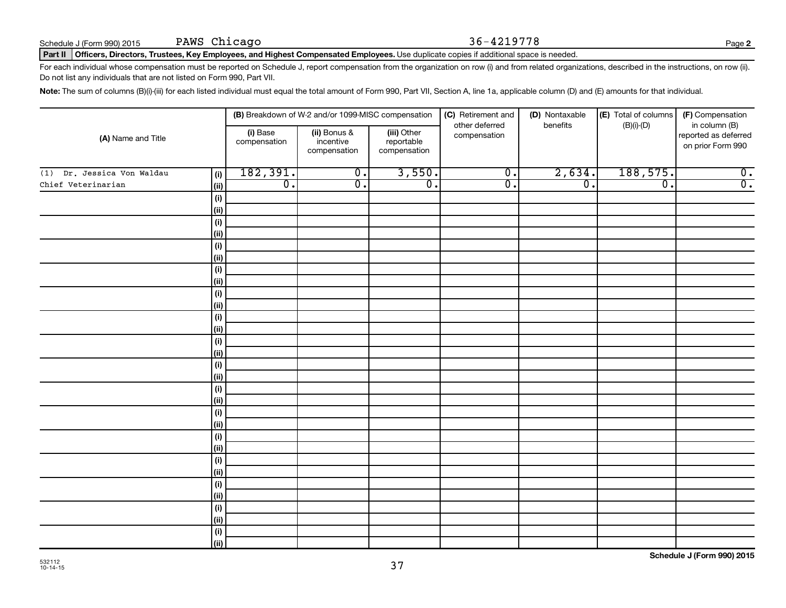Do not list any individuals that are not listed on Form 990, Part VII.

Part II | Officers, Directors, Trustees, Key Employees, and Highest Compensated Employees. Use duplicate copies if additional space is needed.

Note: The sum of columns (B)(i)-(iii) for each listed individual must equal the total amount of Form 990, Part VII, Section A, line 1a, applicable column (D) and (E) amounts for that individual.

For each individual whose compensation must be reported on Schedule J, report compensation from the organization on row (i) and from related organizations, described in the instructions, on row (ii).

|                                      | (B) Breakdown of W-2 and/or 1099-MISC compensation |                                           |                                           | (D) Nontaxable<br>(C) Retirement and |                  | (E) Total of columns        | (F) Compensation                                           |  |
|--------------------------------------|----------------------------------------------------|-------------------------------------------|-------------------------------------------|--------------------------------------|------------------|-----------------------------|------------------------------------------------------------|--|
| (A) Name and Title                   | (i) Base<br>compensation                           | (ii) Bonus &<br>incentive<br>compensation | (iii) Other<br>reportable<br>compensation | other deferred<br>compensation       | benefits         | $(B)(i)-(D)$                | in column (B)<br>reported as deferred<br>on prior Form 990 |  |
| Dr. Jessica Von Waldau<br>(1)<br>(i) | 182,391.                                           | $\overline{0}$ .                          | 3,550.                                    | $\overline{0}$ .                     | 2,634.           | 188,575.                    | $\overline{\mathbf{0}}$ .                                  |  |
| Chief Veterinarian<br>(ii)           | $\overline{0}$ .                                   | $\overline{0}$ .                          | $\overline{\mathfrak{o}}$ .               | $\overline{0}$ .                     | $\overline{0}$ . | $\overline{\mathfrak{o}}$ . | $\overline{0}$ .                                           |  |
| (i)                                  |                                                    |                                           |                                           |                                      |                  |                             |                                                            |  |
| (ii)                                 |                                                    |                                           |                                           |                                      |                  |                             |                                                            |  |
| (i)                                  |                                                    |                                           |                                           |                                      |                  |                             |                                                            |  |
| (ii)                                 |                                                    |                                           |                                           |                                      |                  |                             |                                                            |  |
| (i)                                  |                                                    |                                           |                                           |                                      |                  |                             |                                                            |  |
| (ii)                                 |                                                    |                                           |                                           |                                      |                  |                             |                                                            |  |
| (i)                                  |                                                    |                                           |                                           |                                      |                  |                             |                                                            |  |
| (ii)                                 |                                                    |                                           |                                           |                                      |                  |                             |                                                            |  |
| (i)                                  |                                                    |                                           |                                           |                                      |                  |                             |                                                            |  |
| (ii)                                 |                                                    |                                           |                                           |                                      |                  |                             |                                                            |  |
| (i)                                  |                                                    |                                           |                                           |                                      |                  |                             |                                                            |  |
| (ii)                                 |                                                    |                                           |                                           |                                      |                  |                             |                                                            |  |
| (i)                                  |                                                    |                                           |                                           |                                      |                  |                             |                                                            |  |
| (ii)                                 |                                                    |                                           |                                           |                                      |                  |                             |                                                            |  |
| (i)                                  |                                                    |                                           |                                           |                                      |                  |                             |                                                            |  |
| (ii)                                 |                                                    |                                           |                                           |                                      |                  |                             |                                                            |  |
| (i)                                  |                                                    |                                           |                                           |                                      |                  |                             |                                                            |  |
| (ii)                                 |                                                    |                                           |                                           |                                      |                  |                             |                                                            |  |
| (i)                                  |                                                    |                                           |                                           |                                      |                  |                             |                                                            |  |
| (ii)<br>(i)                          |                                                    |                                           |                                           |                                      |                  |                             |                                                            |  |
| (ii)                                 |                                                    |                                           |                                           |                                      |                  |                             |                                                            |  |
| (i)                                  |                                                    |                                           |                                           |                                      |                  |                             |                                                            |  |
| (ii)                                 |                                                    |                                           |                                           |                                      |                  |                             |                                                            |  |
| (i)                                  |                                                    |                                           |                                           |                                      |                  |                             |                                                            |  |
| (ii)                                 |                                                    |                                           |                                           |                                      |                  |                             |                                                            |  |
| (i)                                  |                                                    |                                           |                                           |                                      |                  |                             |                                                            |  |
| (ii)                                 |                                                    |                                           |                                           |                                      |                  |                             |                                                            |  |
| (i)                                  |                                                    |                                           |                                           |                                      |                  |                             |                                                            |  |
| (ii)                                 |                                                    |                                           |                                           |                                      |                  |                             |                                                            |  |

37

**2**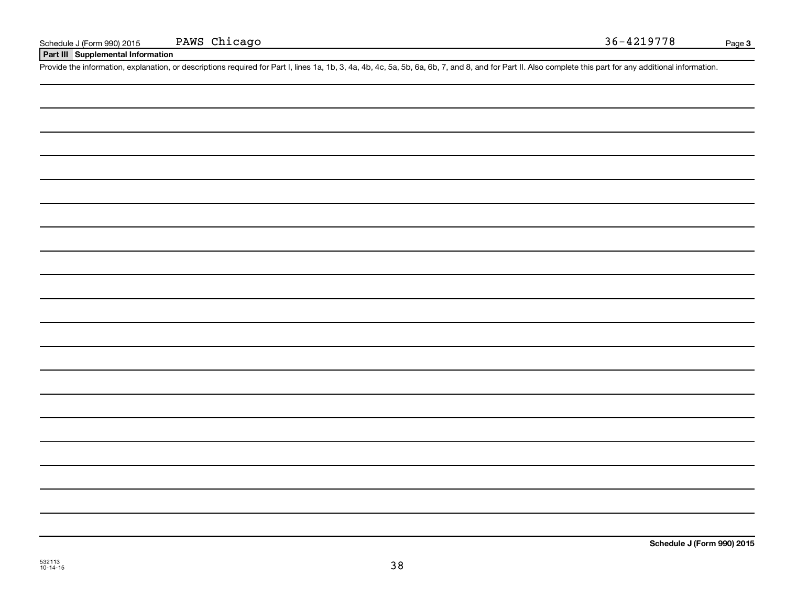**Part III Supplemental Information**

Provide the information, explanation, or descriptions required for Part I, lines 1a, 1b, 3, 4a, 4b, 4c, 5a, 5b, 6a, 6b, 7, and 8, and for Part II. Also complete this part for any additional information.

532113 10-14-15

**Schedule J (Form 990) 2015**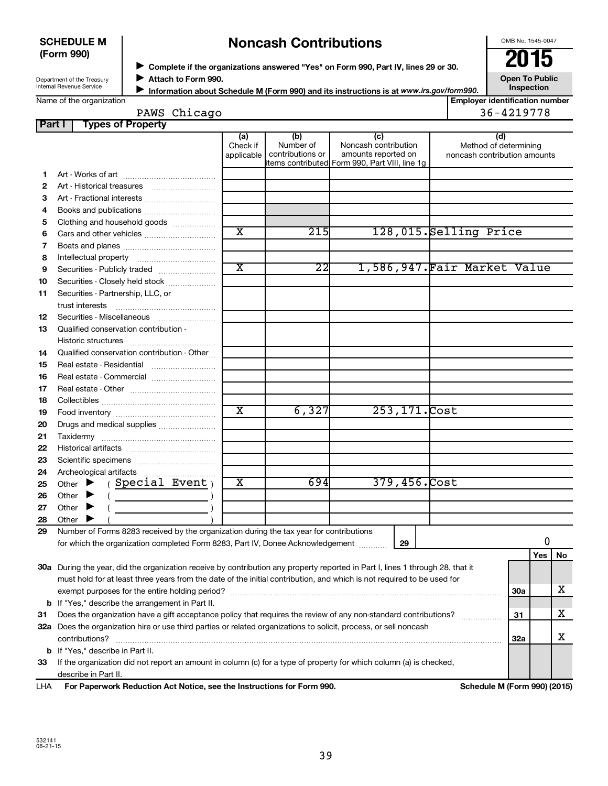#### **SCHEDULE M (Form 990)**

# **Noncash Contributions**

OMB No. 1545-0047

Department of the Treasury Internal Revenue Service

◆ Complete if the organizations answered "Yes" on Form 990, Part IV, lines 29 or 30.<br>▶ Complete if the organizations answered "Yes" on Form 990, Part IV, lines 29 or 30. **Attach to Form 990.**  $\blacktriangleright$ 

**Open To Public Inspection**

| Name of the organization |
|--------------------------|
|--------------------------|

**Information about Schedule M (Form 990) and its instructions is at www.irs.gov/form990.** 

| <b>Employer identification number</b> |
|---------------------------------------|
| 36-4219778                            |

| PAWS Chicago                    |
|---------------------------------|
| <b>Part I</b> Types of Property |

| rtv |          |                                 |                                                 |                              |
|-----|----------|---------------------------------|-------------------------------------------------|------------------------------|
|     | (a)      | (b)                             | (C)                                             | (ď                           |
|     | Check if | Number of                       | Noncash contribution                            | Method of determining        |
|     |          | I applicable   contributions or | amounts reported on                             | noncash contribution amounts |
|     |          |                                 | litems contributed Form 990, Part VIII, line 1g |                              |
|     |          |                                 |                                                 |                              |

| 1  |                                                                                                                                |                         |                 |                |                              |            |     |    |
|----|--------------------------------------------------------------------------------------------------------------------------------|-------------------------|-----------------|----------------|------------------------------|------------|-----|----|
| 2  |                                                                                                                                |                         |                 |                |                              |            |     |    |
| 3  | Art - Fractional interests                                                                                                     |                         |                 |                |                              |            |     |    |
| 4  | Books and publications                                                                                                         |                         |                 |                |                              |            |     |    |
| 5  | Clothing and household goods                                                                                                   |                         |                 |                |                              |            |     |    |
| 6  |                                                                                                                                | $\overline{\texttt{x}}$ | 215             |                | 128,015.Selling Price        |            |     |    |
| 7  |                                                                                                                                |                         |                 |                |                              |            |     |    |
| 8  |                                                                                                                                |                         |                 |                |                              |            |     |    |
| 9  | Securities - Publicly traded                                                                                                   | $\overline{\text{x}}$   | $\overline{22}$ |                | 1,586,947. Fair Market Value |            |     |    |
| 10 | Securities - Closely held stock                                                                                                |                         |                 |                |                              |            |     |    |
| 11 | Securities - Partnership, LLC, or                                                                                              |                         |                 |                |                              |            |     |    |
|    |                                                                                                                                |                         |                 |                |                              |            |     |    |
| 12 |                                                                                                                                |                         |                 |                |                              |            |     |    |
| 13 | Qualified conservation contribution -                                                                                          |                         |                 |                |                              |            |     |    |
|    |                                                                                                                                |                         |                 |                |                              |            |     |    |
| 14 | Qualified conservation contribution - Other                                                                                    |                         |                 |                |                              |            |     |    |
| 15 | Real estate - Residential                                                                                                      |                         |                 |                |                              |            |     |    |
| 16 | Real estate - Commercial                                                                                                       |                         |                 |                |                              |            |     |    |
| 17 |                                                                                                                                |                         |                 |                |                              |            |     |    |
| 18 |                                                                                                                                |                         |                 |                |                              |            |     |    |
| 19 |                                                                                                                                | $\overline{\text{x}}$   | 6,327           | 253, 171. Cost |                              |            |     |    |
| 20 | Drugs and medical supplies                                                                                                     |                         |                 |                |                              |            |     |    |
| 21 |                                                                                                                                |                         |                 |                |                              |            |     |    |
| 22 |                                                                                                                                |                         |                 |                |                              |            |     |    |
| 23 |                                                                                                                                |                         |                 |                |                              |            |     |    |
| 24 | Archeological artifacts                                                                                                        |                         |                 |                |                              |            |     |    |
| 25 | (Special Event)<br>Other $\blacktriangleright$                                                                                 | $\overline{\textbf{x}}$ | 6941            | 379,456.Cost   |                              |            |     |    |
| 26 | Other $\blacktriangleright$<br>$\left(\begin{array}{ccc}\n&\n&\n\end{array}\right)$                                            |                         |                 |                |                              |            |     |    |
| 27 | Other $\blacktriangleright$                                                                                                    |                         |                 |                |                              |            |     |    |
| 28 | Other $\blacktriangleright$                                                                                                    |                         |                 |                |                              |            |     |    |
| 29 | Number of Forms 8283 received by the organization during the tax year for contributions                                        |                         |                 |                |                              |            |     |    |
|    | for which the organization completed Form 8283, Part IV, Donee Acknowledgement                                                 |                         |                 | 29             |                              |            | 0   |    |
|    |                                                                                                                                |                         |                 |                |                              |            | Yes | No |
|    | 30a During the year, did the organization receive by contribution any property reported in Part I, lines 1 through 28, that it |                         |                 |                |                              |            |     |    |
|    | must hold for at least three years from the date of the initial contribution, and which is not required to be used for         |                         |                 |                |                              |            |     |    |
|    |                                                                                                                                |                         |                 |                |                              | 30a        |     | х  |
|    | <b>b</b> If "Yes," describe the arrangement in Part II.                                                                        |                         |                 |                |                              |            |     |    |
| 31 |                                                                                                                                |                         |                 |                |                              | 31         |     | x. |
|    | 32a Does the organization hire or use third parties or related organizations to solicit, process, or sell noncash              |                         |                 |                |                              |            |     |    |
|    | contributions?                                                                                                                 |                         |                 |                |                              | <b>32a</b> |     | х  |
|    | <b>b</b> If "Yes," describe in Part II.                                                                                        |                         |                 |                |                              |            |     |    |
| 33 | If the organization did not report an amount in column (c) for a type of property for which column (a) is checked,             |                         |                 |                |                              |            |     |    |
|    | describe in Part II.                                                                                                           |                         |                 |                |                              |            |     |    |
|    |                                                                                                                                |                         |                 |                |                              |            |     |    |

**For Paperwork Reduction Act Notice, see the Instructions for Form 990. Schedule M (Form 990) (2015)** LHA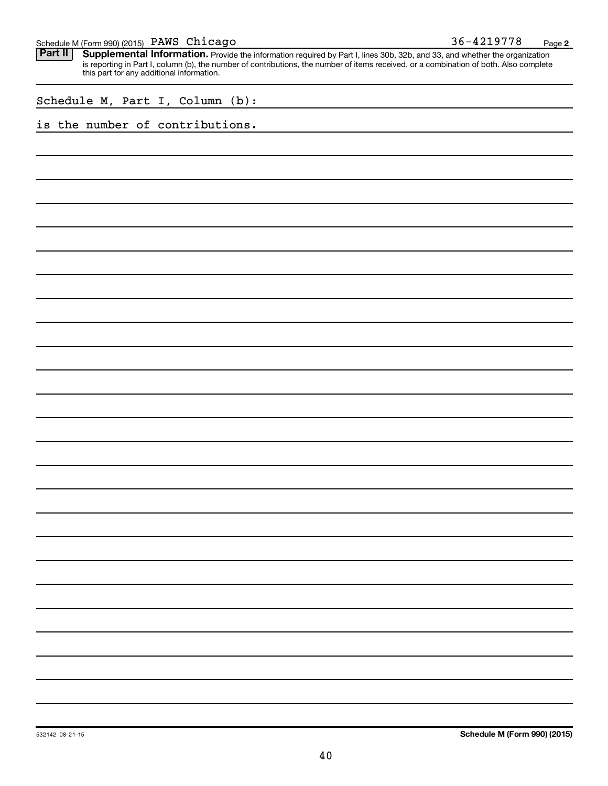|  |  |  | 36-4219778 | Page |  |
|--|--|--|------------|------|--|
|--|--|--|------------|------|--|

Provide the information required by Part I, lines 30b, 32b, and 33, and whether the organization is reporting in Part I, column (b), the number of contributions, the number of items received, or a combination of both. Also complete this part for any additional information. **Part II Supplemental Information.** 

| Schedule M, Part I, Column (b): |  |  |  |  |  |
|---------------------------------|--|--|--|--|--|
|---------------------------------|--|--|--|--|--|

### is the number of contributions.

532142 08-21-15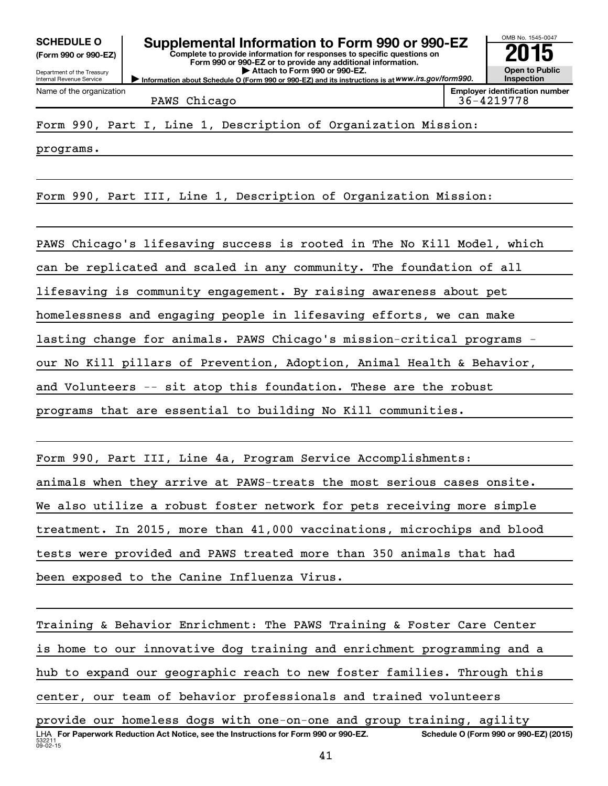**(Form 990 or 990-EZ)**

Department of the Treasury Internal Revenue Service

Name of the organization

**Complete to provide information for responses to specific questions on Form 990 or 990-EZ or to provide any additional information. | Attach to Form 990 or 990-EZ.** SCHEDULE O **Supplemental Information to Form 990 or 990-EZ** 2015<br>(Form 990 or 990-EZ)

**Information about Schedule O (Form 990 or 990-EZ) and its instructions is at WWW.irs.gov/form990.** 

PAWS Chicago and a set of the set of the set of the set of the set of the set of the set of the set of the set o

OMB No. 1545-0047

**Open to Public Inspection Employer identification number**

programs.

Form 990, Part III, Line 1, Description of Organization Mission:

PAWS Chicago's lifesaving success is rooted in The No Kill Model, which can be replicated and scaled in any community. The foundation of all lifesaving is community engagement. By raising awareness about pet homelessness and engaging people in lifesaving efforts, we can make lasting change for animals. PAWS Chicago's mission-critical programs our No Kill pillars of Prevention, Adoption, Animal Health & Behavior, and Volunteers -- sit atop this foundation. These are the robust programs that are essential to building No Kill communities.

Form 990, Part III, Line 4a, Program Service Accomplishments: animals when they arrive at PAWS-treats the most serious cases onsite. We also utilize a robust foster network for pets receiving more simple treatment. In 2015, more than 41,000 vaccinations, microchips and blood tests were provided and PAWS treated more than 350 animals that had been exposed to the Canine Influenza Virus.

Training & Behavior Enrichment: The PAWS Training & Foster Care Center is home to our innovative dog training and enrichment programming and a hub to expand our geographic reach to new foster families. Through this center, our team of behavior professionals and trained volunteers

 $53221$  $09 - 02 - 15$ LHA For Paperwork Reduction Act Notice, see the Instructions for Form 990 or 990-EZ. Schedule O (Form 990 or 990-EZ) (2015) provide our homeless dogs with one-on-one and group training, agility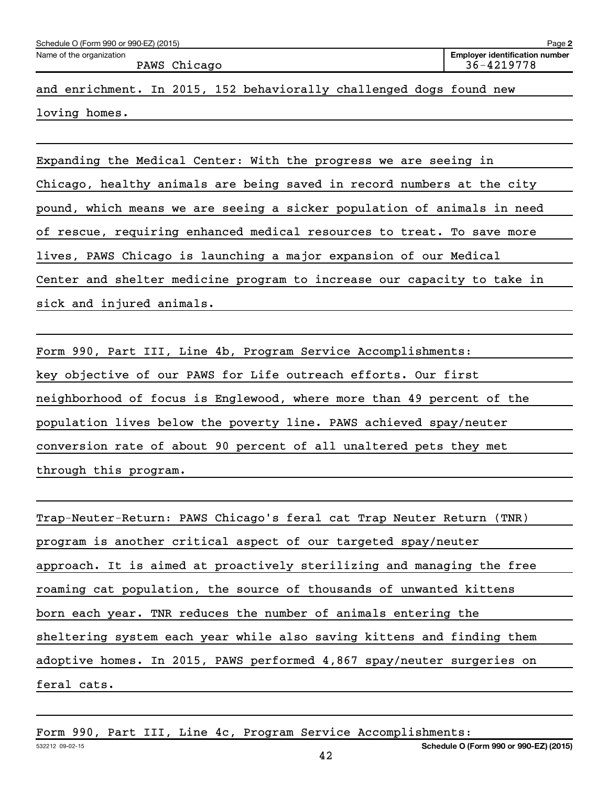| Name of the organization |  |              |                                                                     |  | <b>Employer identification number</b> |
|--------------------------|--|--------------|---------------------------------------------------------------------|--|---------------------------------------|
|                          |  | PAWS Chicago |                                                                     |  | 36-4219778                            |
|                          |  |              | and enrichment. In 2015, 152 behaviorally challenged dogs found new |  |                                       |

Expanding the Medical Center: With the progress we are seeing in Chicago, healthy animals are being saved in record numbers at the city pound, which means we are seeing a sicker population of animals in need of rescue, requiring enhanced medical resources to treat. To save more lives, PAWS Chicago is launching a major expansion of our Medical Center and shelter medicine program to increase our capacity to take in sick and injured animals.

Form 990, Part III, Line 4b, Program Service Accomplishments: key objective of our PAWS for Life outreach efforts. Our first neighborhood of focus is Englewood, where more than 49 percent of the population lives below the poverty line. PAWS achieved spay/neuter conversion rate of about 90 percent of all unaltered pets they met through this program.

Trap-Neuter-Return: PAWS Chicago's feral cat Trap Neuter Return (TNR) program is another critical aspect of our targeted spay/neuter approach. It is aimed at proactively sterilizing and managing the free roaming cat population, the source of thousands of unwanted kittens born each year. TNR reduces the number of animals entering the sheltering system each year while also saving kittens and finding them adoptive homes. In 2015, PAWS performed 4,867 spay/neuter surgeries on feral cats.

Form 990, Part III, Line 4c, Program Service Accomplishments: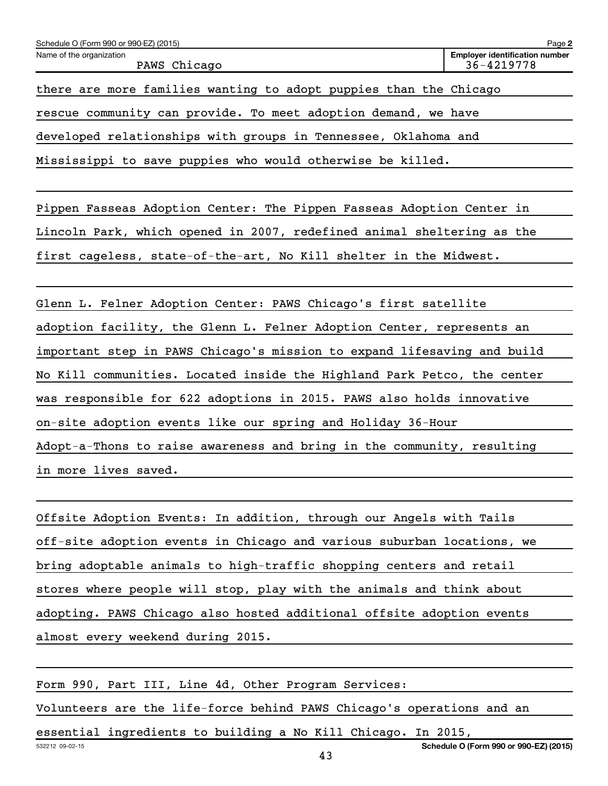| Schedule O (Form 990 or 990-EZ) (2015)                            | Page 2                                              |
|-------------------------------------------------------------------|-----------------------------------------------------|
| Name of the organization<br>PAWS Chicago                          | <b>Employer identification number</b><br>36-4219778 |
| there are more families wanting to adopt puppies than the Chicago |                                                     |
| rescue community can provide. To meet adoption demand, we have    |                                                     |
| developed relationships with groups in Tennessee, Oklahoma and    |                                                     |
| Mississippi to save puppies who would otherwise be killed.        |                                                     |

Pippen Fasseas Adoption Center: The Pippen Fasseas Adoption Center in Lincoln Park, which opened in 2007, redefined animal sheltering as the first cageless, state-of-the-art, No Kill shelter in the Midwest.

Glenn L. Felner Adoption Center: PAWS Chicago's first satellite adoption facility, the Glenn L. Felner Adoption Center, represents an important step in PAWS Chicago's mission to expand lifesaving and build No Kill communities. Located inside the Highland Park Petco, the center was responsible for 622 adoptions in 2015. PAWS also holds innovative on-site adoption events like our spring and Holiday 36-Hour Adopt-a-Thons to raise awareness and bring in the community, resulting in more lives saved.

Offsite Adoption Events: In addition, through our Angels with Tails off-site adoption events in Chicago and various suburban locations, we bring adoptable animals to high-traffic shopping centers and retail stores where people will stop, play with the animals and think about adopting. PAWS Chicago also hosted additional offsite adoption events almost every weekend during 2015.

Form 990, Part III, Line 4d, Other Program Services:

Volunteers are the life-force behind PAWS Chicago's operations and an

essential ingredients to building a No Kill Chicago. In 2015,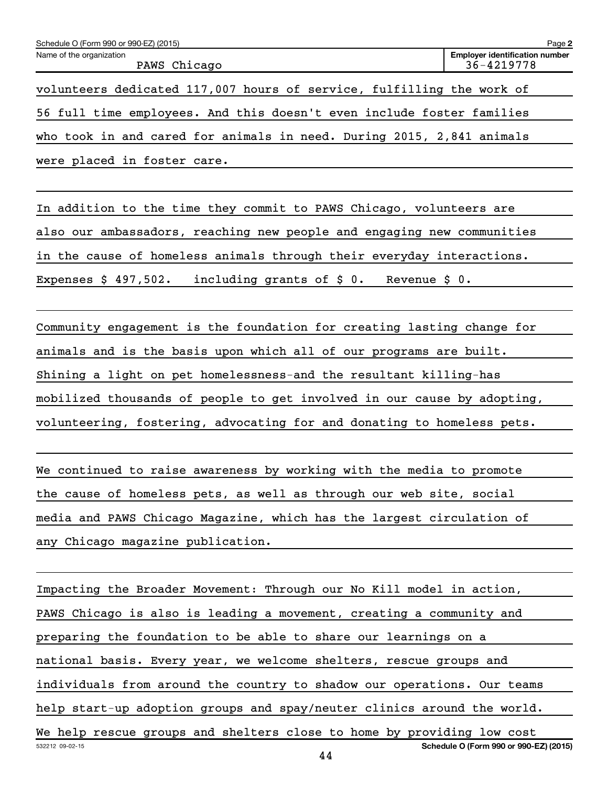| Schedule O (Form 990 or 990-EZ) (2015)                                | Page 2                                              |
|-----------------------------------------------------------------------|-----------------------------------------------------|
| Name of the organization<br>PAWS Chicago                              | <b>Employer identification number</b><br>36-4219778 |
| volunteers dedicated 117,007 hours of service, fulfilling the work of |                                                     |
| 56 full time employees. And this doesn't even include foster families |                                                     |
| who took in and cared for animals in need. During 2015, 2,841 animals |                                                     |
| were placed in foster care.                                           |                                                     |

In addition to the time they commit to PAWS Chicago, volunteers are also our ambassadors, reaching new people and engaging new communities in the cause of homeless animals through their everyday interactions. Expenses \$ 497,502. including grants of \$ 0. Revenue \$ 0.

Community engagement is the foundation for creating lasting change for animals and is the basis upon which all of our programs are built. Shining a light on pet homelessness-and the resultant killing-has mobilized thousands of people to get involved in our cause by adopting, volunteering, fostering, advocating for and donating to homeless pets.

We continued to raise awareness by working with the media to promote the cause of homeless pets, as well as through our web site, social media and PAWS Chicago Magazine, which has the largest circulation of any Chicago magazine publication.

532212 09-02-15 **Schedule O (Form 990 or 990-EZ) (2015)** Impacting the Broader Movement: Through our No Kill model in action, PAWS Chicago is also is leading a movement, creating a community and preparing the foundation to be able to share our learnings on a national basis. Every year, we welcome shelters, rescue groups and individuals from around the country to shadow our operations. Our teams help start-up adoption groups and spay/neuter clinics around the world. We help rescue groups and shelters close to home by providing low cost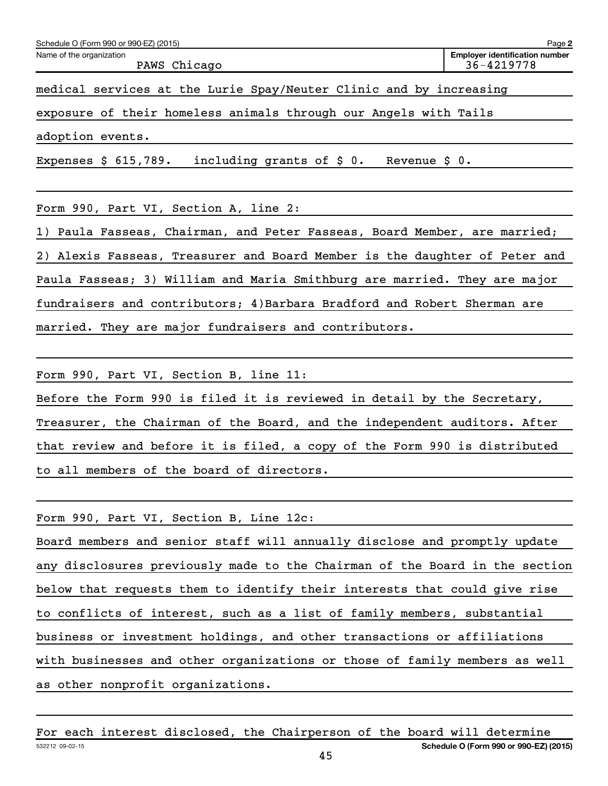| Schedule O (Form 990 or 990-EZ) (2015)                                  | Page 2                                              |
|-------------------------------------------------------------------------|-----------------------------------------------------|
| Name of the organization<br>PAWS Chicago                                | <b>Employer identification number</b><br>36-4219778 |
| medical services at the Lurie Spay/Neuter Clinic and by increasing      |                                                     |
| exposure of their homeless animals through our Angels with Tails        |                                                     |
| adoption events.                                                        |                                                     |
| including grants of $\zeta$ 0.<br>Expenses $$615,789.$<br>Revenue $$0.$ |                                                     |

Form 990, Part VI, Section A, line 2:

1) Paula Fasseas, Chairman, and Peter Fasseas, Board Member, are married; 2) Alexis Fasseas, Treasurer and Board Member is the daughter of Peter and Paula Fasseas; 3) William and Maria Smithburg are married. They are major fundraisers and contributors; 4)Barbara Bradford and Robert Sherman are married. They are major fundraisers and contributors.

Form 990, Part VI, Section B, line 11:

Before the Form 990 is filed it is reviewed in detail by the Secretary, Treasurer, the Chairman of the Board, and the independent auditors. After that review and before it is filed, a copy of the Form 990 is distributed to all members of the board of directors.

Form 990, Part VI, Section B, Line 12c:

Board members and senior staff will annually disclose and promptly update any disclosures previously made to the Chairman of the Board in the section below that requests them to identify their interests that could give rise to conflicts of interest, such as a list of family members, substantial business or investment holdings, and other transactions or affiliations with businesses and other organizations or those of family members as well as other nonprofit organizations.